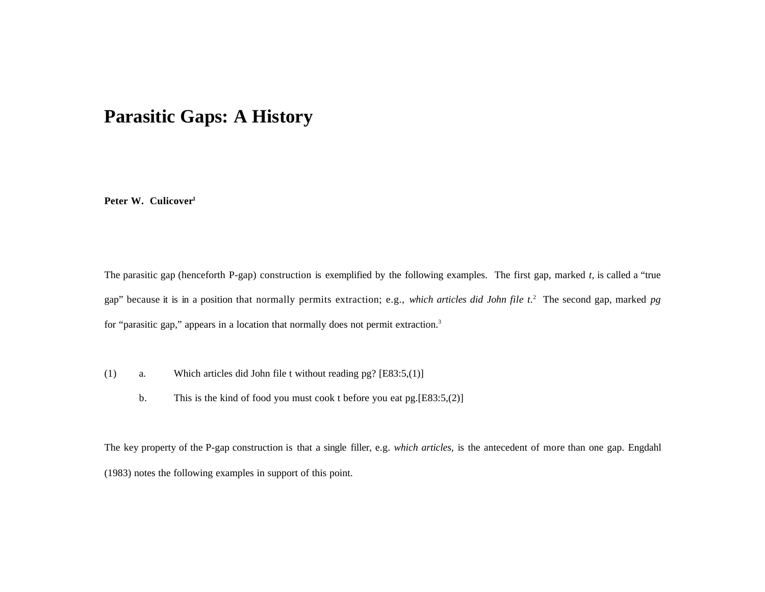# **Parasitic Gaps: A History**

**Peter W. Culicover<sup>1</sup>**

The parasitic gap (henceforth P-gap) construction is exemplified by the following examples. The first gap, marked *t*, is called a "true gap" because it is in a position that normally permits extraction; e.g., *which articles did John file t.*<sup>2</sup> The second gap, marked *pg* for "parasitic gap," appears in a location that normally does not permit extraction.<sup>3</sup>

- (1) a. Which articles did John file t without reading pg? [E83:5,(1)]
	- b. This is the kind of food you must cook t before you eat pg.[E83:5,(2)]

The key property of the P-gap construction is that a single filler, e.g. *which articles*, is the antecedent of more than one gap. Engdahl (1983) notes the following examples in support of this point.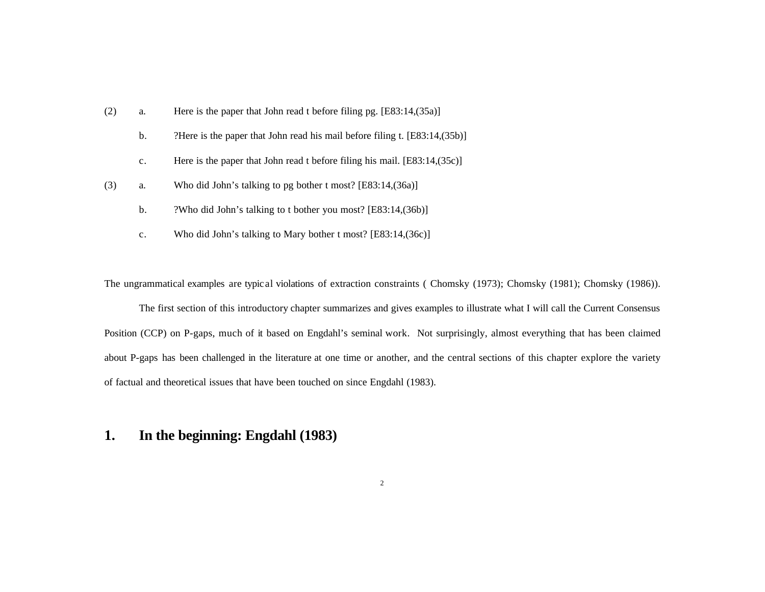| (2) | a.             | Here is the paper that John read t before filing pg. $[E83:14,(35a)]$       |
|-----|----------------|-----------------------------------------------------------------------------|
|     | $\mathbf{b}$ . | ?Here is the paper that John read his mail before filing t. [E83:14, (35b)] |
|     | $\mathbf{c}$ . | Here is the paper that John read t before filing his mail. $[E83:14,(35c)]$ |
| (3) | a.             | Who did John's talking to pg bother t most? [E83:14, (36a)]                 |
|     | b.             | ?Who did John's talking to t bother you most? [E83:14, (36b)]               |
|     | c.             | Who did John's talking to Mary bother t most? [E83:14, (36c)]               |

The ungrammatical examples are typic al violations of extraction constraints ( Chomsky (1973); Chomsky (1981); Chomsky (1986)).

The first section of this introductory chapter summarizes and gives examples to illustrate what I will call the Current Consensus Position (CCP) on P-gaps, much of it based on Engdahl's seminal work. Not surprisingly, almost everything that has been claimed about P-gaps has been challenged in the literature at one time or another, and the central sections of this chapter explore the variety of factual and theoretical issues that have been touched on since Engdahl (1983).

# **1. In the beginning: Engdahl (1983)**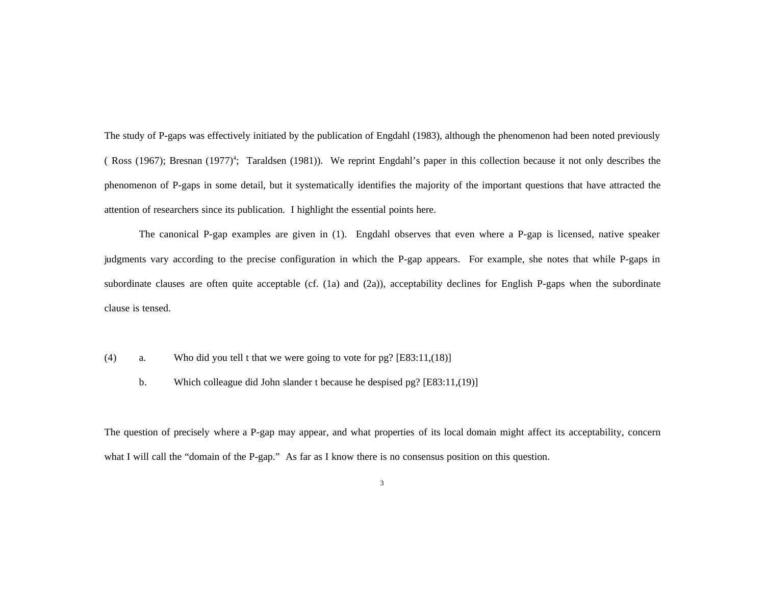The study of P-gaps was effectively initiated by the publication of Engdahl (1983), although the phenomenon had been noted previously (Ross (1967); Bresnan (1977)<sup>4</sup>; Taraldsen (1981)). We reprint Engdahl's paper in this collection because it not only describes the phenomenon of P-gaps in some detail, but it systematically identifies the majority of the important questions that have attracted the attention of researchers since its publication. I highlight the essential points here.

The canonical P-gap examples are given in (1). Engdahl observes that even where a P-gap is licensed, native speaker judgments vary according to the precise configuration in which the P-gap appears. For example, she notes that while P-gaps in subordinate clauses are often quite acceptable (cf. (1a) and (2a)), acceptability declines for English P-gaps when the subordinate clause is tensed.

- (4) a. Who did you tell t that we were going to vote for pg? [E83:11,(18)]
	- b. Which colleague did John slander t because he despised pg? [E83:11,(19)]

The question of precisely where a P-gap may appear, and what properties of its local domain might affect its acceptability, concern what I will call the "domain of the P-gap." As far as I know there is no consensus position on this question.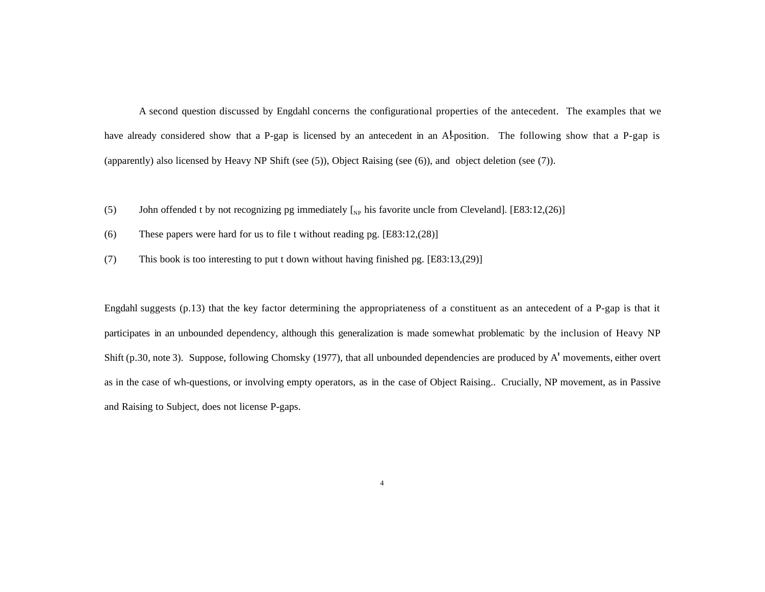A second question discussed by Engdahl concerns the configurational properties of the antecedent. The examples that we have already considered show that a P-gap is licensed by an antecedent in an Al-position. The following show that a P-gap is (apparently) also licensed by Heavy NP Shift (see (5)), Object Raising (see (6)), and object deletion (see (7)).

- (5) John offended t by not recognizing pg immediately  $\left[\right]_{NP}$  his favorite uncle from Cleveland]. [E83:12,(26)]
- (6) These papers were hard for us to file t without reading pg. [E83:12,(28)]
- (7) This book is too interesting to put t down without having finished pg. [E83:13,(29)]

Engdahl suggests (p.13) that the key factor determining the appropriateness of a constituent as an antecedent of a P-gap is that it participates in an unbounded dependency, although this generalization is made somewhat problematic by the inclusion of Heavy NP Shift (p.30, note 3). Suppose, following Chomsky (1977), that all unbounded dependencies are produced by A' movements, either overt as in the case of wh-questions, or involving empty operators, as in the case of Object Raising.. Crucially, NP movement, as in Passive and Raising to Subject, does not license P-gaps.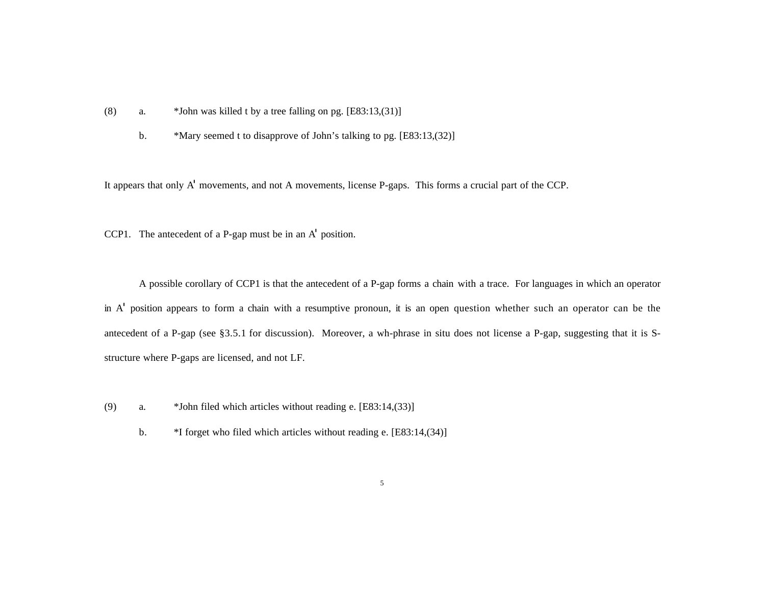- (8) a. \*John was killed t by a tree falling on pg. [E83:13,(31)]
	- b. \*Mary seemed t to disapprove of John's talking to pg. [E83:13,(32)]

It appears that only A' movements, and not A movements, license P-gaps. This forms a crucial part of the CCP.

CCP1. The antecedent of a P-gap must be in an A' position.

A possible corollary of CCP1 is that the antecedent of a P-gap forms a chain with a trace. For languages in which an operator in A' position appears to form a chain with a resumptive pronoun, it is an open question whether such an operator can be the antecedent of a P-gap (see §3.5.1 for discussion). Moreover, a wh-phrase in situ does not license a P-gap, suggesting that it is Sstructure where P-gaps are licensed, and not LF.

- (9) a. \*John filed which articles without reading e. [E83:14,(33)]
	- b.  $*I$  forget who filed which articles without reading e. [E83:14,(34)]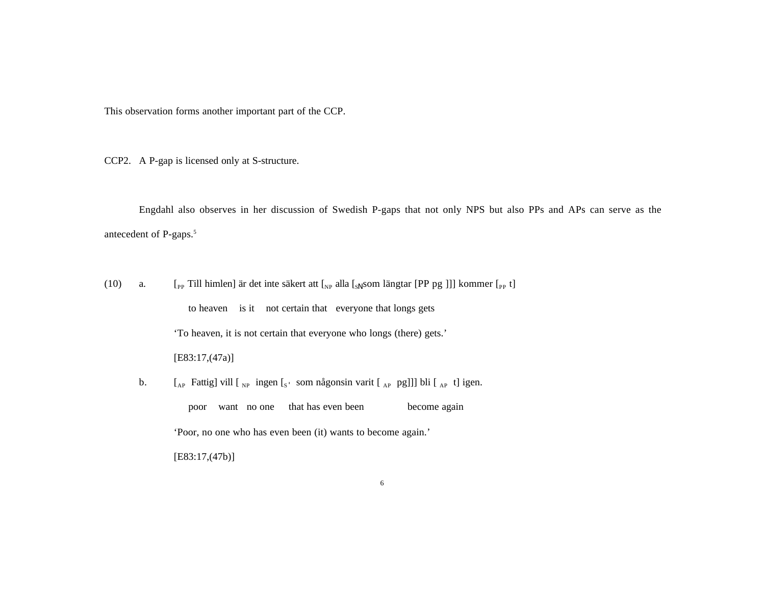This observation forms another important part of the CCP.

CCP2. A P-gap is licensed only at S-structure.

Engdahl also observes in her discussion of Swedish P-gaps that not only NPS but also PPs and APs can serve as the antecedent of P-gaps.<sup>5</sup>

(10) a.  $[\ ]_{PP}$  Till himlen] är det inte säkert att  $[\ ]_{NP}$  alla  $[\ ]_{S\parallel}$  som längtar [PP pg ]]] kommer  $[\ ]_{PP}$  t]

to heaven is it not certain that everyone that longs gets

'To heaven, it is not certain that everyone who longs (there) gets.'

#### [E83:17,(47a)]

b.  $\left[ \begin{array}{cc} [A]_{\text{AP}} \end{array} \right]$  Fattig] vill  $\left[ \begin{array}{cc} [A]_{\text{AP}} \end{array} \right]$  igen. poor want no one that has even been become again 'Poor, no one who has even been (it) wants to become again.' [E83:17,(47b)]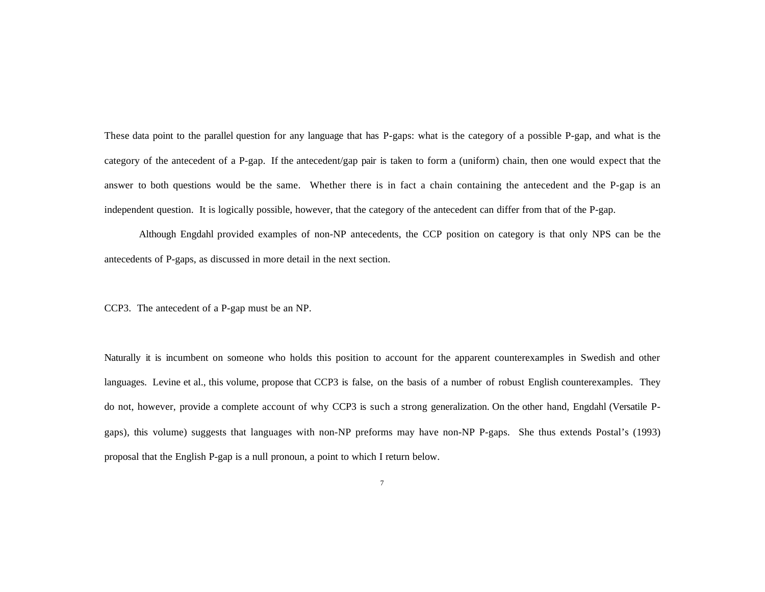These data point to the parallel question for any language that has P-gaps: what is the category of a possible P-gap, and what is the category of the antecedent of a P-gap. If the antecedent/gap pair is taken to form a (uniform) chain, then one would expect that the answer to both questions would be the same. Whether there is in fact a chain containing the antecedent and the P-gap is an independent question. It is logically possible, however, that the category of the antecedent can differ from that of the P-gap.

Although Engdahl provided examples of non-NP antecedents, the CCP position on category is that only NPS can be the antecedents of P-gaps, as discussed in more detail in the next section.

CCP3. The antecedent of a P-gap must be an NP.

Naturally it is incumbent on someone who holds this position to account for the apparent counterexamples in Swedish and other languages. Levine et al., this volume, propose that CCP3 is false, on the basis of a number of robust English counterexamples. They do not, however, provide a complete account of why CCP3 is such a strong generalization. On the other hand, Engdahl (Versatile Pgaps), this volume) suggests that languages with non-NP preforms may have non-NP P-gaps. She thus extends Postal's (1993) proposal that the English P-gap is a null pronoun, a point to which I return below.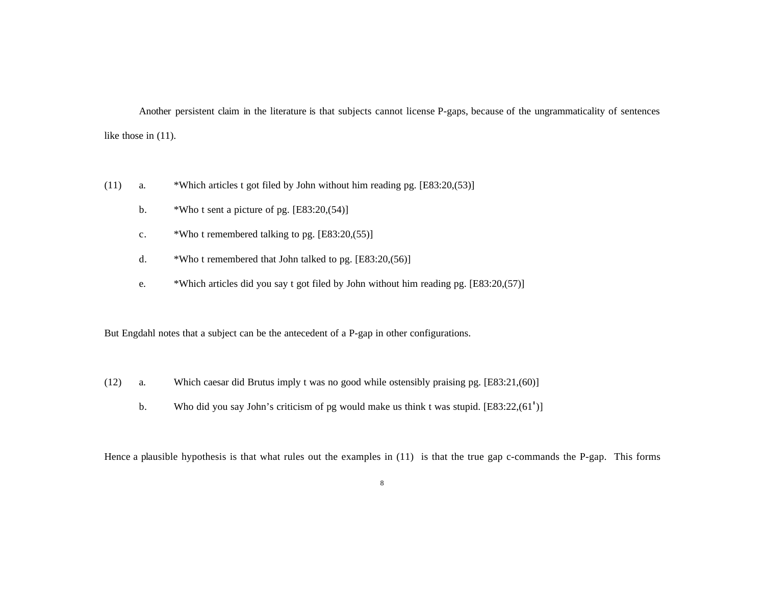Another persistent claim in the literature is that subjects cannot license P-gaps, because of the ungrammaticality of sentences like those in (11).

- (11) a. \*Which articles t got filed by John without him reading pg. [E83:20,(53)]
	- b. \*Who t sent a picture of pg.  $[E83:20,(54)]$
	- c.  $*Who$  t remembered talking to pg.  $[E83:20,(55)]$
	- d. \*Who t remembered that John talked to pg. [E83:20,(56)]
	- e. \*Which articles did you say t got filed by John without him reading pg. [E83:20,(57)]

But Engdahl notes that a subject can be the antecedent of a P-gap in other configurations.

- (12) a. Which caesar did Brutus imply t was no good while ostensibly praising pg. [E83:21,(60)]
	- b. Who did you say John's criticism of pg would make us think t was stupid. [E83:22,(61')]

Hence a plausible hypothesis is that what rules out the examples in (11) is that the true gap c-commands the P-gap. This forms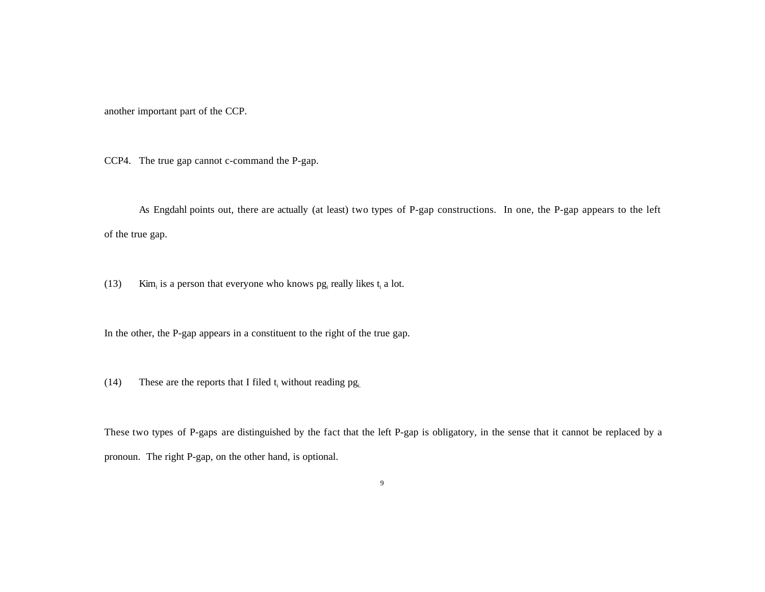another important part of the CCP.

CCP4. The true gap cannot c-command the P-gap.

As Engdahl points out, there are actually (at least) two types of P-gap constructions. In one, the P-gap appears to the left of the true gap.

(13) Kim<sub>i</sub> is a person that everyone who knows  $pg_i$  really likes  $t_i$  a lot.

In the other, the P-gap appears in a constituent to the right of the true gap.

(14) These are the reports that I filed  $t_i$  without reading  $pg_{i}$ .

These two types of P-gaps are distinguished by the fact that the left P-gap is obligatory, in the sense that it cannot be replaced by a pronoun. The right P-gap, on the other hand, is optional.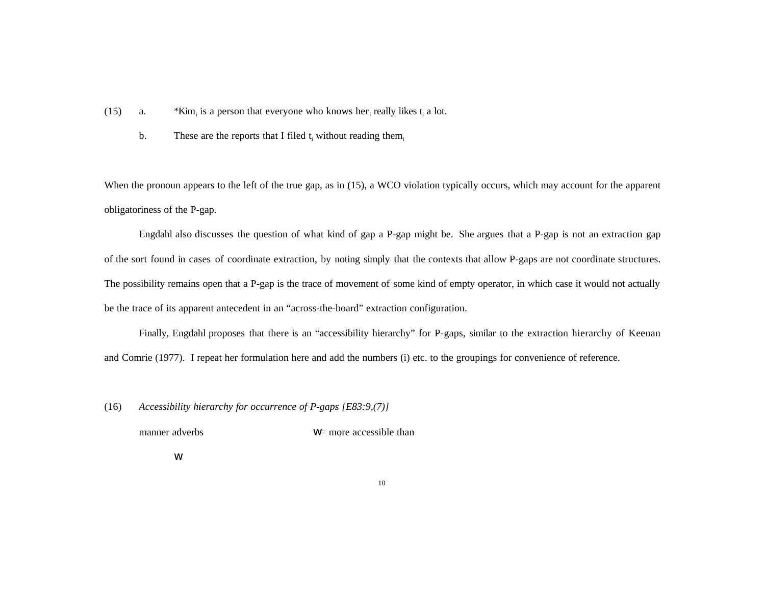- (15) a. \* Kim<sub>i</sub> is a person that everyone who knows her<sub>i</sub> really likes  $t_i$  a lot.
	- b. These are the reports that I filed  $t_i$  without reading them.

When the pronoun appears to the left of the true gap, as in (15), a WCO violation typically occurs, which may account for the apparent obligatoriness of the P-gap.

Engdahl also discusses the question of what kind of gap a P-gap might be. She argues that a P-gap is not an extraction gap of the sort found in cases of coordinate extraction, by noting simply that the contexts that allow P-gaps are not coordinate structures. The possibility remains open that a P-gap is the trace of movement of some kind of empty operator, in which case it would not actually be the trace of its apparent antecedent in an "across-the-board" extraction configuration.

Finally, Engdahl proposes that there is an "accessibility hierarchy" for P-gaps, similar to the extraction hierarchy of Keenan and Comrie (1977). I repeat her formulation here and add the numbers (i) etc. to the groupings for convenience of reference.

(16) *Accessibility hierarchy for occurrence of P-gaps [E83:9,(7)]*

manner adverbs w= more accessible than

w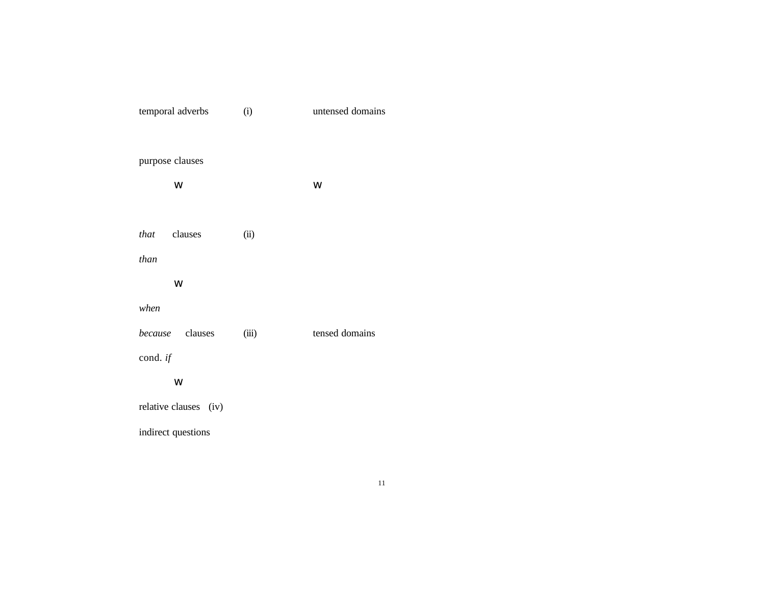| temporal adverbs      | (i)   | untensed domains |  |  |  |  |
|-----------------------|-------|------------------|--|--|--|--|
|                       |       |                  |  |  |  |  |
| purpose clauses       |       |                  |  |  |  |  |
| W                     |       | W                |  |  |  |  |
|                       |       |                  |  |  |  |  |
| that clauses          | (ii)  |                  |  |  |  |  |
| than                  |       |                  |  |  |  |  |
| W                     |       |                  |  |  |  |  |
| when                  |       |                  |  |  |  |  |
| because clauses       | (iii) | tensed domains   |  |  |  |  |
| cond. if              |       |                  |  |  |  |  |
| W                     |       |                  |  |  |  |  |
| relative clauses (iv) |       |                  |  |  |  |  |
| indirect questions    |       |                  |  |  |  |  |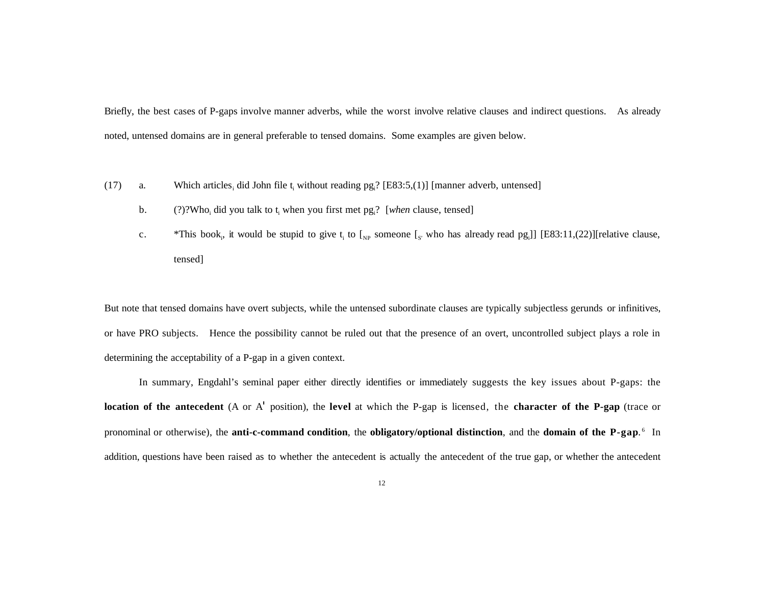Briefly, the best cases of P-gaps involve manner adverbs, while the worst involve relative clauses and indirect questions. As already noted, untensed domains are in general preferable to tensed domains. Some examples are given below.

- (17) a. Which articles, did John file  $t_i$  without reading  $pg_i$ ? [E83:5,(1)] [manner adverb, untensed]
	- b. (?)?Who<sub>i</sub> did you talk to t<sub>i</sub> when you first met pg<sub>i</sub>? [*when* clause, tensed]
	- c. \*This book, it would be stupid to give  $t_i$  to  $\mathcal{L}_{NP}$  someone  $\mathcal{L}_{S'}$  who has already read pg. [E83:11,(22)] [relative clause, tensed]

But note that tensed domains have overt subjects, while the untensed subordinate clauses are typically subjectless gerunds or infinitives, or have PRO subjects. Hence the possibility cannot be ruled out that the presence of an overt, uncontrolled subject plays a role in determining the acceptability of a P-gap in a given context.

In summary, Engdahl's seminal paper either directly identifies or immediately suggests the key issues about P-gaps: the **location of the antecedent** (A or A' position), the **level** at which the P-gap is licensed, the **character of the P-gap** (trace or pronominal or otherwise), the **anti-c-command condition**, the **obligatory/optional distinction**, and the **domain of the P-gap**. 6 In addition, questions have been raised as to whether the antecedent is actually the antecedent of the true gap, or whether the antecedent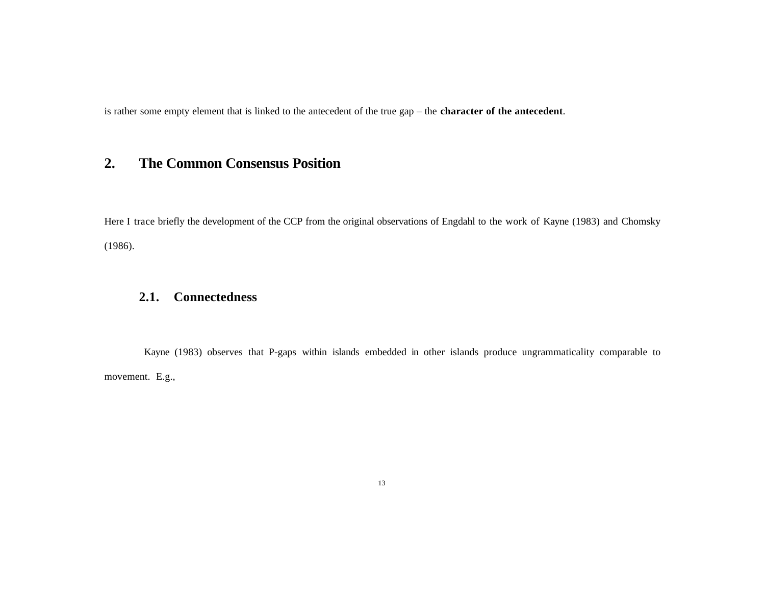is rather some empty element that is linked to the antecedent of the true gap – the **character of the antecedent**.

# **2. The Common Consensus Position**

Here I trace briefly the development of the CCP from the original observations of Engdahl to the work of Kayne (1983) and Chomsky (1986).

### **2.1. Connectedness**

Kayne (1983) observes that P-gaps within islands embedded in other islands produce ungrammaticality comparable to movement. E.g.,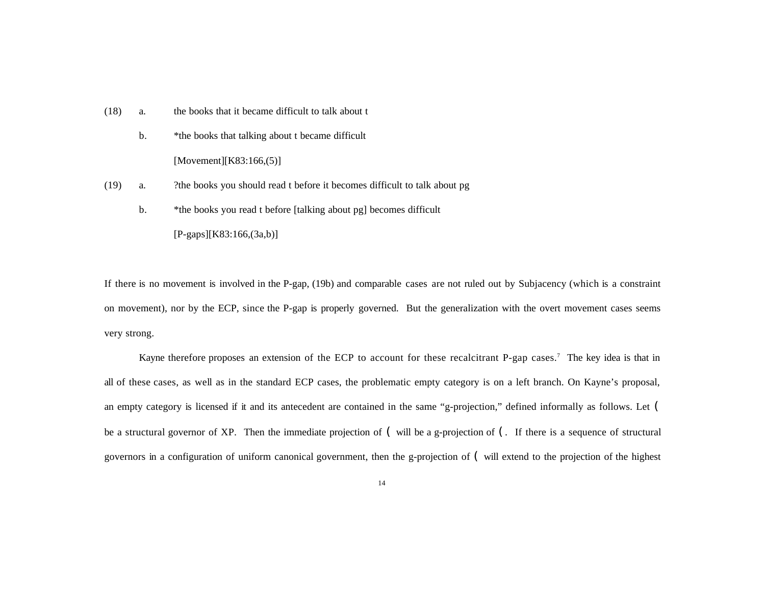- (18) a. the books that it became difficult to talk about t
	- b. \* the books that talking about t became difficult [Movement][K83:166,(5)]
- (19) a. ?the books you should read t before it becomes difficult to talk about pg
	- b. \*the books you read t before [talking about pg] becomes difficult

[P-gaps][K83:166,(3a,b)]

If there is no movement is involved in the P-gap, (19b) and comparable cases are not ruled out by Subjacency (which is a constraint on movement), nor by the ECP, since the P-gap is properly governed. But the generalization with the overt movement cases seems very strong.

Kayne therefore proposes an extension of the ECP to account for these recalcitrant P-gap cases.<sup>7</sup> The key idea is that in all of these cases, as well as in the standard ECP cases, the problematic empty category is on a left branch. On Kayne's proposal, an empty category is licensed if it and its antecedent are contained in the same "g-projection," defined informally as follows. Let ( be a structural governor of XP. Then the immediate projection of  $\zeta$  will be a g-projection of  $\zeta$ . If there is a sequence of structural governors in a configuration of uniform canonical government, then the g-projection of ( will extend to the projection of the highest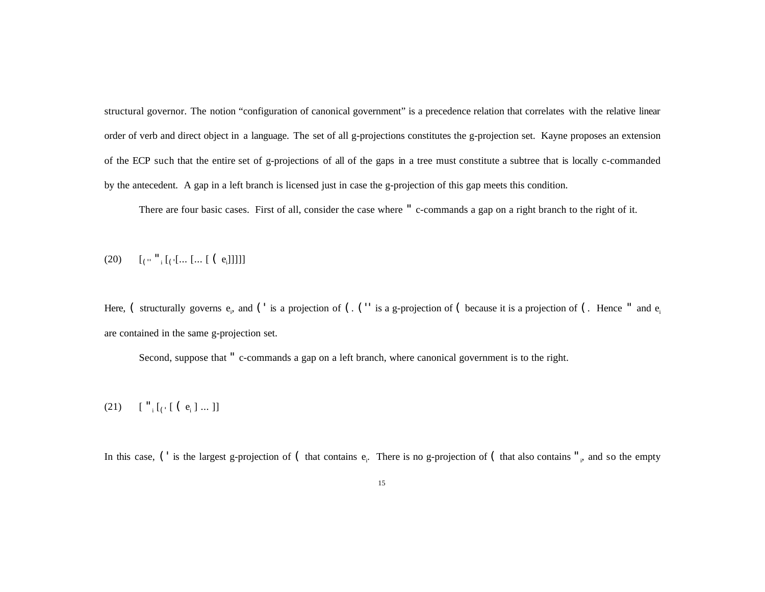structural governor. The notion "configuration of canonical government" is a precedence relation that correlates with the relative linear order of verb and direct object in a language. The set of all g-projections constitutes the g-projection set. Kayne proposes an extension of the ECP such that the entire set of g-projections of all of the gaps in a tree must constitute a subtree that is locally c-commanded by the antecedent. A gap in a left branch is licensed just in case the g-projection of this gap meets this condition.

There are four basic cases. First of all, consider the case where " c-commands a gap on a right branch to the right of it.

(20)  $\qquad \qquad [\left( \begin{smallmatrix} 0 & 1 \ 1 & 1 \end{smallmatrix} \right] \left[ \left( \begin{smallmatrix} 0 & 0 \end{smallmatrix} \right] \dots \left[ \begin{smallmatrix} 0 & 0 \end{smallmatrix} \right] \right]\ \qquad ] ]$ 

Here, ( structurally governs  $e_i$ , and (' is a projection of (. ('' is a g-projection of ( because it is a projection of (. Hence " and  $e_i$ are contained in the same g-projection set.

Second, suppose that " c-commands a gap on a left branch, where canonical government is to the right.

### (21)  $\left[ \begin{array}{c} \n\cdot & \cdot \\
\cdot & \cdot \\
\cdot & \cdot\n\end{array} \right]$   $\left[ \begin{array}{c} \n\cdot & \cdot \\
\cdot & \cdot \\
\cdot & \cdot\n\end{array} \right]$

In this case, (' is the largest g-projection of (that contains  $e_i$ . There is no g-projection of (that also contains "<sub>i</sub>, and so the empty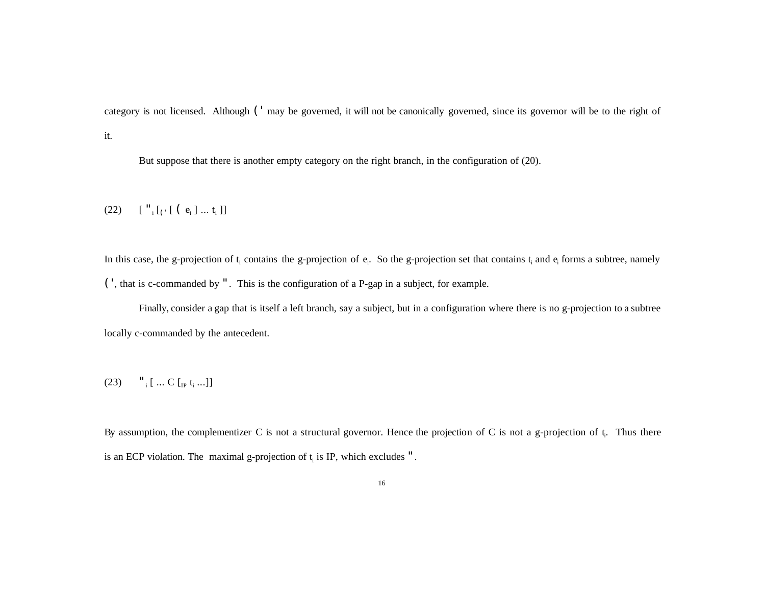category is not licensed. Although (' may be governed, it will not be canonically governed, since its governor will be to the right of it.

But suppose that there is another empty category on the right branch, in the configuration of (20).

### (22) [ "<sup>i</sup> [(' [ ( e<sup>i</sup> ] ... t<sup>i</sup> ]]

In this case, the g-projection of  $t_i$  contains the g-projection of  $e_i$ . So the g-projection set that contains  $t_i$  and  $e_i$  forms a subtree, namely (', that is c-commanded by ". This is the configuration of a P-gap in a subject, for example.

Finally, consider a gap that is itself a left branch, say a subject, but in a configuration where there is no g-projection to a subtree locally c-commanded by the antecedent.

#### (23)  $\frac{1}{i}$  [ ... C [<sub>IP</sub> t<sub>i</sub> ...]]

By assumption, the complementizer C is not a structural governor. Hence the projection of C is not a g-projection of  $t<sub>i</sub>$ . Thus there is an ECP violation. The maximal g-projection of  $t_i$  is IP, which excludes ".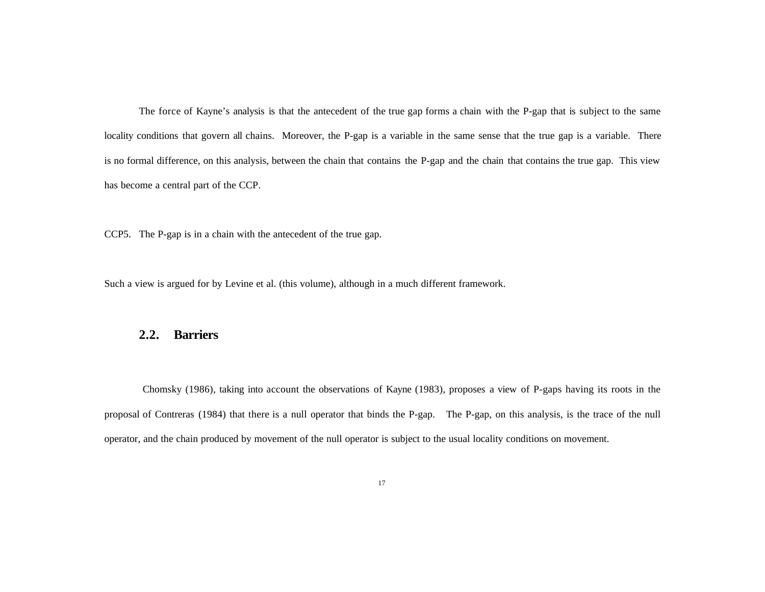The force of Kayne's analysis is that the antecedent of the true gap forms a chain with the P-gap that is subject to the same locality conditions that govern all chains. Moreover, the P-gap is a variable in the same sense that the true gap is a variable. There is no formal difference, on this analysis, between the chain that contains the P-gap and the chain that contains the true gap. This view has become a central part of the CCP.

CCP5. The P-gap is in a chain with the antecedent of the true gap.

Such a view is argued for by Levine et al. (this volume), although in a much different framework.

### **2.2. Barriers**

Chomsky (1986), taking into account the observations of Kayne (1983), proposes a view of P-gaps having its roots in the proposal of Contreras (1984) that there is a null operator that binds the P-gap. The P-gap, on this analysis, is the trace of the null operator, and the chain produced by movement of the null operator is subject to the usual locality conditions on movement.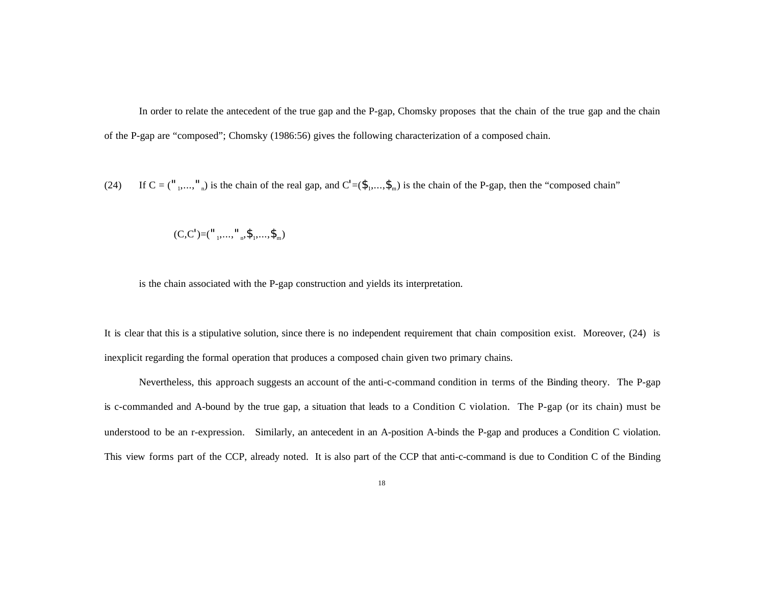In order to relate the antecedent of the true gap and the P-gap, Chomsky proposes that the chain of the true gap and the chain of the P-gap are "composed"; Chomsky (1986:56) gives the following characterization of a composed chain.

(24) If  $C = {n_1, \ldots, n_n}$  is the chain of the real gap, and  $C' = (\hat{\mathbf{S}}_1, \ldots, \hat{\mathbf{S}}_m)$  is the chain of the P-gap, then the "composed chain"

$$
(C, C') = ("_1, ..., "_n, \$_1, ..., \$_m)
$$

is the chain associated with the P-gap construction and yields its interpretation.

It is clear that this is a stipulative solution, since there is no independent requirement that chain composition exist. Moreover, (24) is inexplicit regarding the formal operation that produces a composed chain given two primary chains.

Nevertheless, this approach suggests an account of the anti-c-command condition in terms of the Binding theory. The P-gap is c-commanded and A-bound by the true gap, a situation that leads to a Condition C violation. The P-gap (or its chain) must be understood to be an r-expression. Similarly, an antecedent in an A-position A-binds the P-gap and produces a Condition C violation. This view forms part of the CCP, already noted. It is also part of the CCP that anti-c-command is due to Condition C of the Binding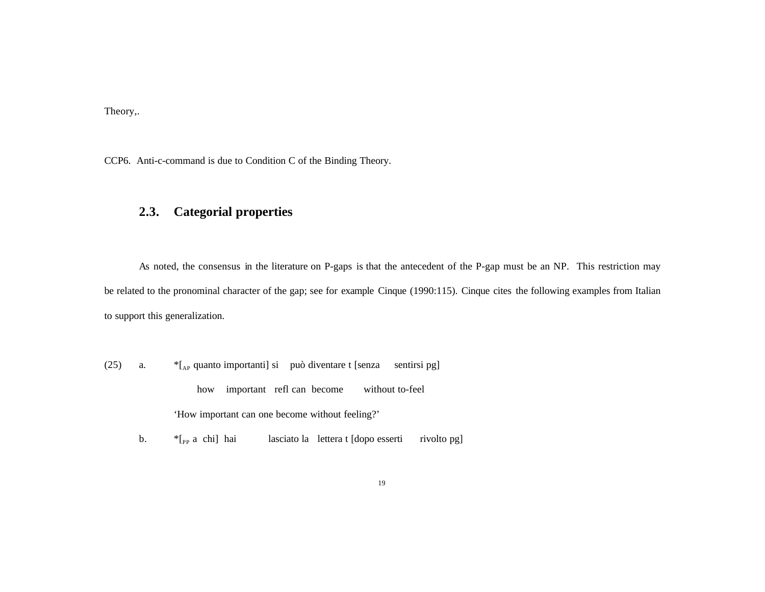Theory,.

CCP6. Anti-c-command is due to Condition C of the Binding Theory.

# **2.3. Categorial properties**

As noted, the consensus in the literature on P-gaps is that the antecedent of the P-gap must be an NP. This restriction may be related to the pronominal character of the gap; see for example Cinque (1990:115). Cinque cites the following examples from Italian to support this generalization.

- (25) a.  $*_{A_P}$  quanto importanti] si può diventare t [senza sentirsi pg] how important refl can become without to-feel 'How important can one become without feeling?'
	- b.  $*$ [<sub>PP</sub> a chi] hai lasciato la lettera t [dopo esserti rivolto pg]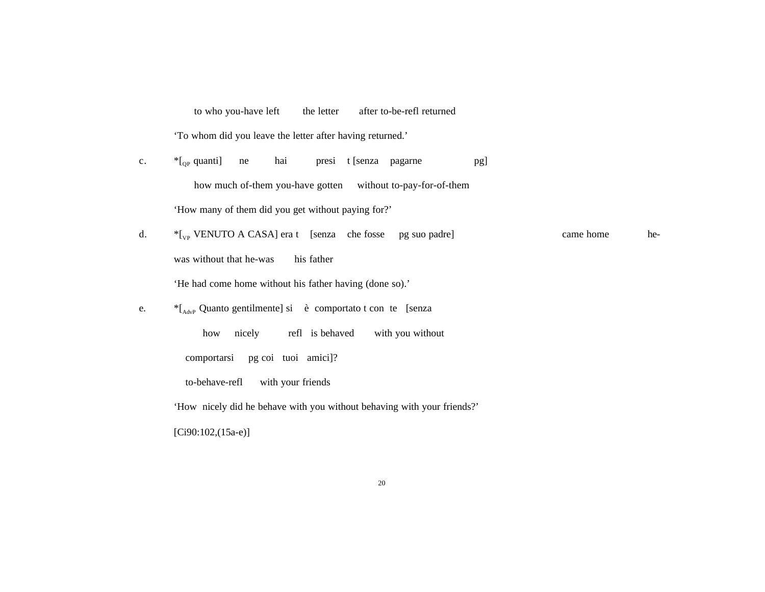to who you-have left the letter after to-be-refl returned

'To whom did you leave the letter after having returned.'

- c.  $*$ [<sub>OP</sub> quanti] ne hai presi t [senza pagarne pg] how much of-them you-have gotten without to-pay-for-of-them 'How many of them did you get without paying for?'
- d.  $*$ [<sub>VP</sub> VENUTO A CASA] era t [senza che fosse pg suo padre] came home hewas without that he-was his father 'He had come home without his father having (done so).'
- e. \* [AdvP Quanto gentilmente] si è comportato t con te [senza

how nicely refl is behaved with you without comportarsi pg coi tuoi amici]? to-behave-refl with your friends

'How nicely did he behave with you without behaving with your friends?'

[Ci90:102,(15a-e)]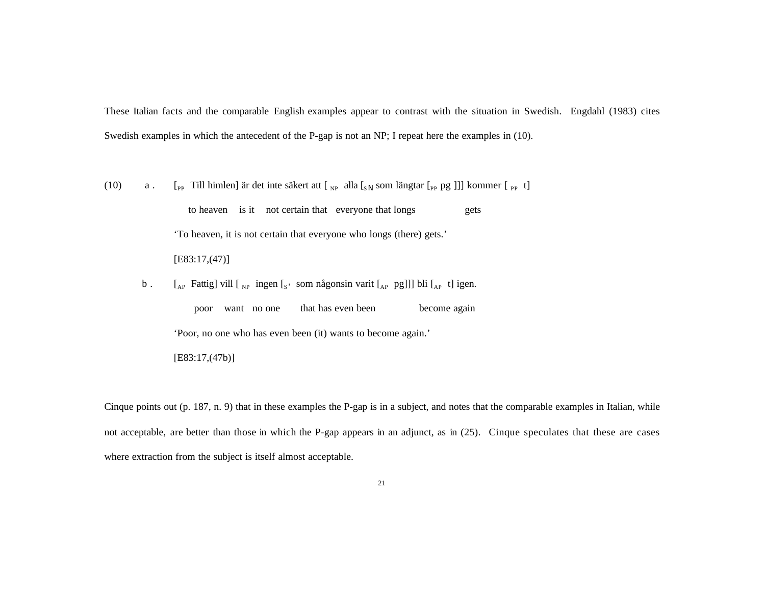These Italian facts and the comparable English examples appear to contrast with the situation in Swedish. Engdahl (1983) cites Swedish examples in which the antecedent of the P-gap is not an NP; I repeat here the examples in (10).

(10)  $a$ . [<sub>PP</sub> Till himlen] är det inte säkert att [<sub>NP</sub> alla [<sub>S||</sub> som längtar [<sub>PP</sub> pg ]]] kommer [<sub>PP</sub> t]

to heaven is it not certain that everyone that longs gets 'To heaven, it is not certain that everyone who longs (there) gets.' [E83:17,(47)]

b.  $\left[ \begin{array}{cc} \begin{bmatrix} A_P & \text{Fattig} \end{bmatrix} \text{ will } \begin{bmatrix} N_P & \text{ingen} \end{bmatrix} \begin{bmatrix} S' & \text{som någonsin varit} \end{bmatrix} \begin{bmatrix} A_P & \text{pg}} \end{bmatrix} \right] \text{ bli } \begin{bmatrix} A_P & \text{t} \end{bmatrix} \text{igen.}$ 

 poor want no one that has even been become again 'Poor, no one who has even been (it) wants to become again.'

[E83:17,(47b)]

Cinque points out (p. 187, n. 9) that in these examples the P-gap is in a subject, and notes that the comparable examples in Italian, while not acceptable, are better than those in which the P-gap appears in an adjunct, as in (25). Cinque speculates that these are cases where extraction from the subject is itself almost acceptable.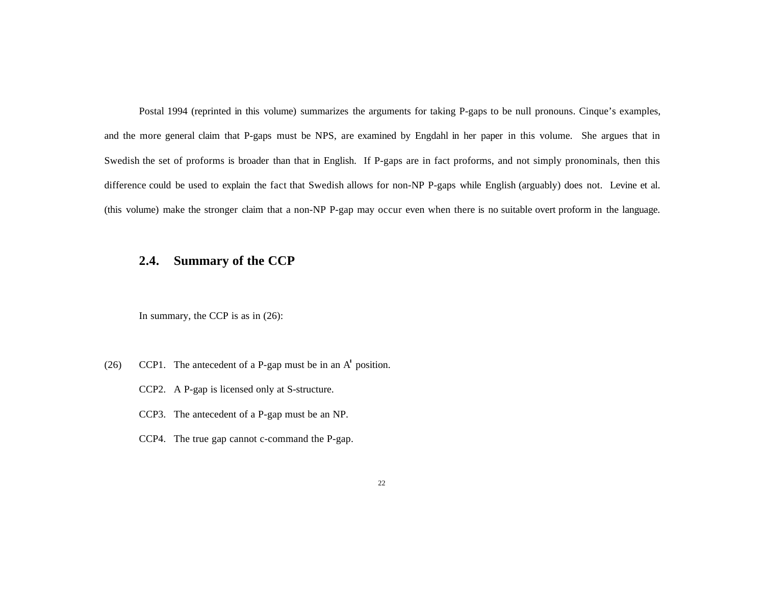Postal 1994 (reprinted in this volume) summarizes the arguments for taking P-gaps to be null pronouns. Cinque's examples, and the more general claim that P-gaps must be NPS, are examined by Engdahl in her paper in this volume. She argues that in Swedish the set of proforms is broader than that in English. If P-gaps are in fact proforms, and not simply pronominals, then this difference could be used to explain the fact that Swedish allows for non-NP P-gaps while English (arguably) does not. Levine et al. (this volume) make the stronger claim that a non-NP P-gap may occur even when there is no suitable overt proform in the language.

### **2.4. Summary of the CCP**

In summary, the CCP is as in (26):

- (26) CCP1. The antecedent of a P-gap must be in an A' position.
	- CCP2. A P-gap is licensed only at S-structure.
	- CCP3. The antecedent of a P-gap must be an NP.
	- CCP4. The true gap cannot c-command the P-gap.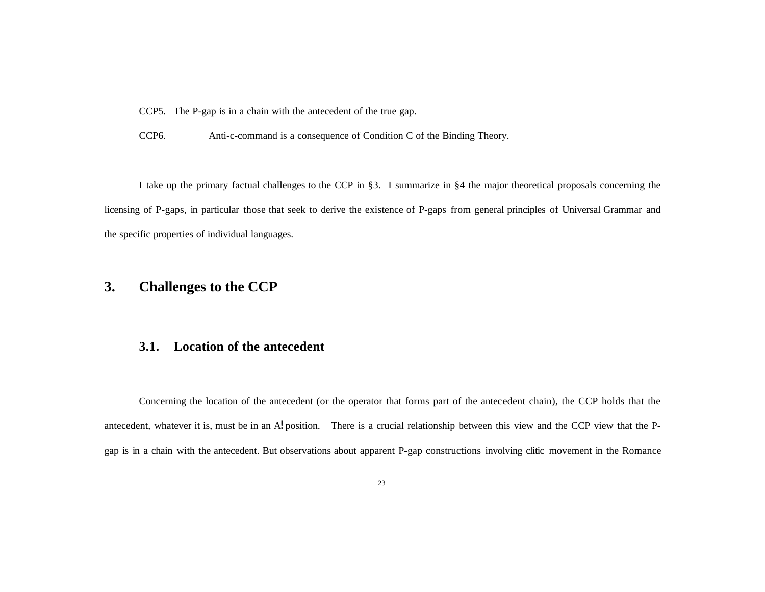CCP5. The P-gap is in a chain with the antecedent of the true gap.

CCP6. Anti-c-command is a consequence of Condition C of the Binding Theory.

I take up the primary factual challenges to the CCP in §3. I summarize in §4 the major theoretical proposals concerning the licensing of P-gaps, in particular those that seek to derive the existence of P-gaps from general principles of Universal Grammar and the specific properties of individual languages.

# **3. Challenges to the CCP**

### **3.1. Location of the antecedent**

Concerning the location of the antecedent (or the operator that forms part of the antecedent chain), the CCP holds that the antecedent, whatever it is, must be in an A! position. There is a crucial relationship between this view and the CCP view that the Pgap is in a chain with the antecedent. But observations about apparent P-gap constructions involving clitic movement in the Romance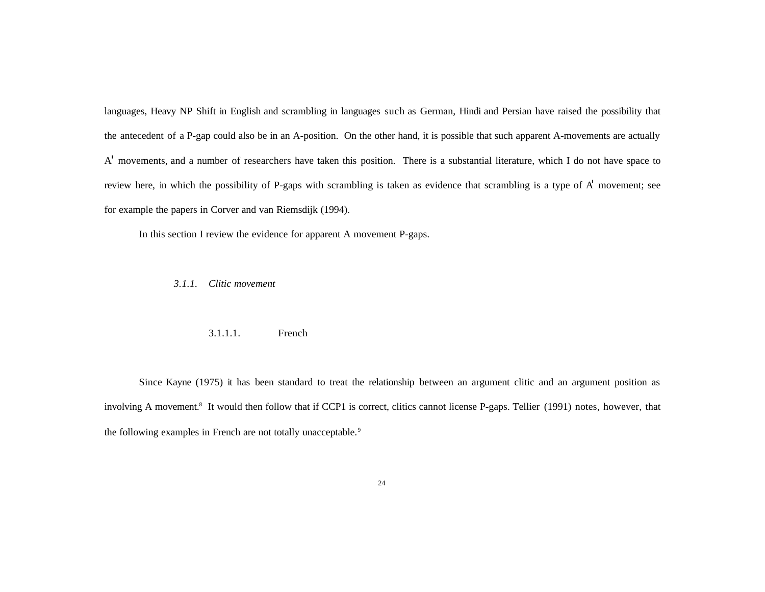languages, Heavy NP Shift in English and scrambling in languages such as German, Hindi and Persian have raised the possibility that the antecedent of a P-gap could also be in an A-position. On the other hand, it is possible that such apparent A-movements are actually A' movements, and a number of researchers have taken this position. There is a substantial literature, which I do not have space to review here, in which the possibility of P-gaps with scrambling is taken as evidence that scrambling is a type of A' movement; see for example the papers in Corver and van Riemsdijk (1994).

In this section I review the evidence for apparent A movement P-gaps.

*3.1.1. Clitic movement*

#### 3.1.1.1. French

Since Kayne (1975) it has been standard to treat the relationship between an argument clitic and an argument position as involving A movement.<sup>8</sup> It would then follow that if CCP1 is correct, clitics cannot license P-gaps. Tellier (1991) notes, however, that the following examples in French are not totally unacceptable.<sup>9</sup>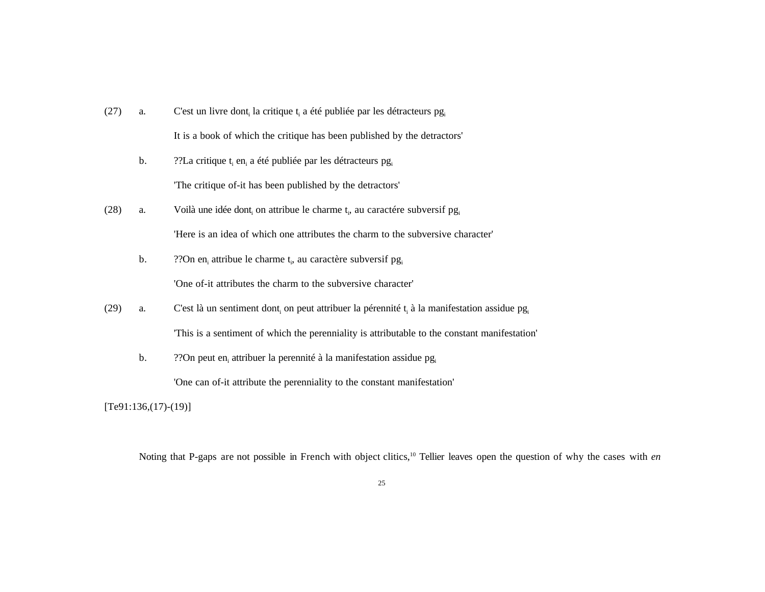- (27) a. C'est un livre dont, la critique  $t_i$  a été publiée par les détracteurs pg It is a book of which the critique has been published by the detractors'
	- b.  $?$ ?La critique  $t_i$  en<sub>i</sub> a été publiée par les détracteurs pg<sub>i</sub> 'The critique of-it has been published by the detractors'
- (28) a. Voilà une idée dont<sub>i</sub> on attribue le charme t<sub>i</sub>, au caractére subversif pg<sub>i</sub> 'Here is an idea of which one attributes the charm to the subversive character'
	- b.  $\gamma$ ?On en<sub>i</sub> attribue le charme t<sub>i</sub>, au caractère subversif pg<sub>i</sub> 'One of-it attributes the charm to the subversive character'
	-
- (29) a. C'est là un sentiment dont<sub>i</sub> on peut attribuer la pérennité t<sub>i</sub> à la manifestation assidue pg<sub>i</sub> 'This is a sentiment of which the perenniality is attributable to the constant manifestation'
	- b.  $\gamma$ ? On peut en<sub>i</sub> attribuer la perennité à la manifestation assidue pg<sub>i</sub>

'One can of-it attribute the perenniality to the constant manifestation'

 $[Te91:136,(17)-(19)]$ 

Noting that P-gaps are not possible in French with object clitics,<sup>10</sup> Tellier leaves open the question of why the cases with *en*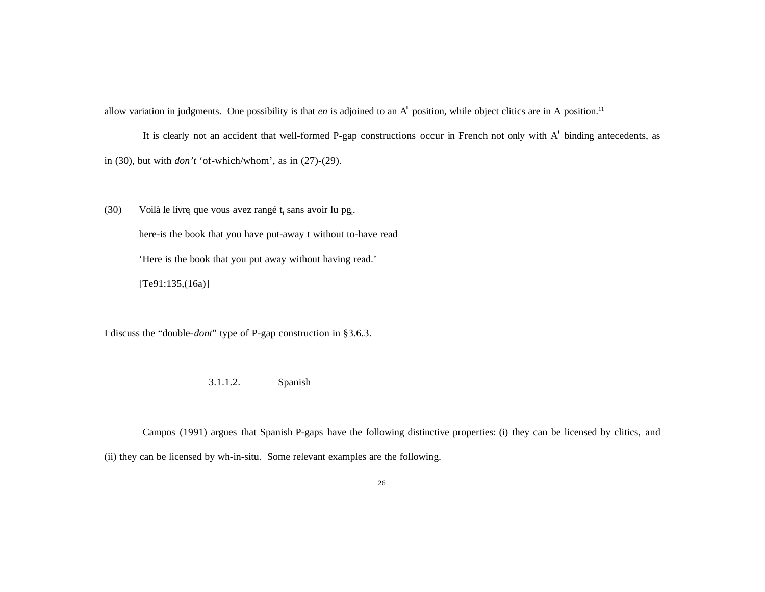allow variation in judgments. One possibility is that *en* is adjoined to an A' position, while object clitics are in A position.<sup>11</sup>

It is clearly not an accident that well-formed P-gap constructions occur in French not only with A' binding antecedents, as in (30), but with *don't* 'of-which/whom', as in (27)-(29).

(30) Voilà le livre<sub>i</sub> que vous avez rangé t<sub>i</sub> sans avoir lu pg<sub>i</sub>. here-is the book that you have put-away t without to-have read 'Here is the book that you put away without having read.'  $[Te91:135,(16a)]$ 

I discuss the "double-*dont*" type of P-gap construction in §3.6.3.

3.1.1.2. Spanish

Campos (1991) argues that Spanish P-gaps have the following distinctive properties: (i) they can be licensed by clitics, and (ii) they can be licensed by wh-in-situ. Some relevant examples are the following.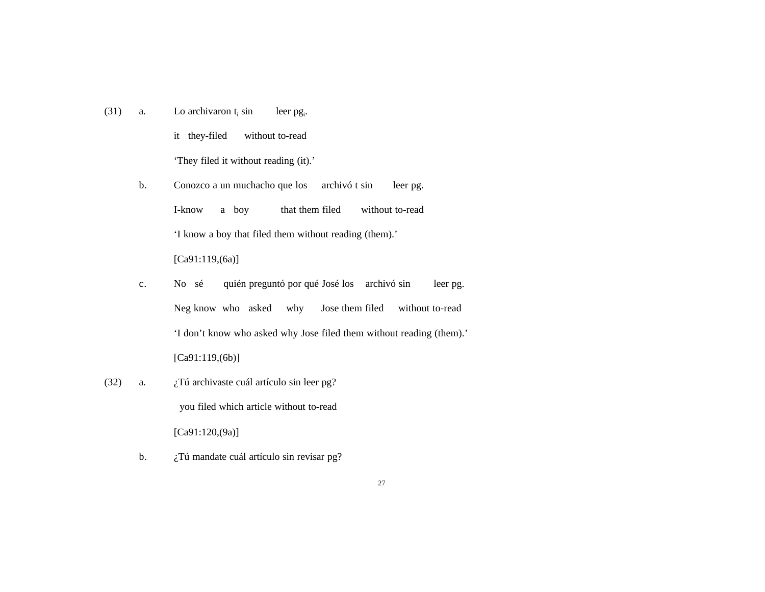(31) a. Lo archivaron  $t_i$  sin sin leer pg<sub>i</sub>.

> it they-filed without to-read 'They filed it without reading (it).'

- b. Conozco a un muchacho que los archivó t sin leer pg. I-know a boy that them filed without to-read 'I know a boy that filed them without reading (them).' [Ca91:119,(6a)]
- c. No sé quién preguntó por qué José los archivó sin leer pg. Neg know who asked why Jose them filed without to-read 'I don't know who asked why Jose filed them without reading (them).' [Ca91:119,(6b)]
- (32) a.  $i$ Tú archivaste cuál artículo sin leer pg? you filed which article without to-read [Ca91:120, (9a)]
	- b. *i*. Tú mandate cuál artículo sin revisar pg?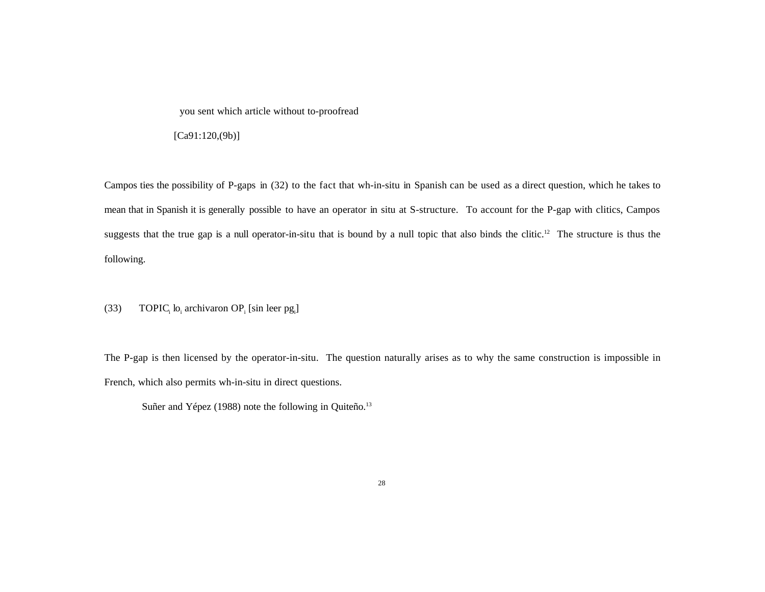you sent which article without to-proofread

[Ca91:120,(9b)]

Campos ties the possibility of P-gaps in (32) to the fact that wh-in-situ in Spanish can be used as a direct question, which he takes to mean that in Spanish it is generally possible to have an operator in situ at S-structure. To account for the P-gap with clitics, Campos suggests that the true gap is a null operator-in-situ that is bound by a null topic that also binds the clitic.<sup>12</sup> The structure is thus the following.

(33) TOPIC<sub>i</sub> lo<sub>i</sub> archivaron OP<sub>i</sub> [sin leer pg<sub>i</sub>]

The P-gap is then licensed by the operator-in-situ. The question naturally arises as to why the same construction is impossible in French, which also permits wh-in-situ in direct questions.

Suñer and Yépez (1988) note the following in Quiteño.<sup>13</sup>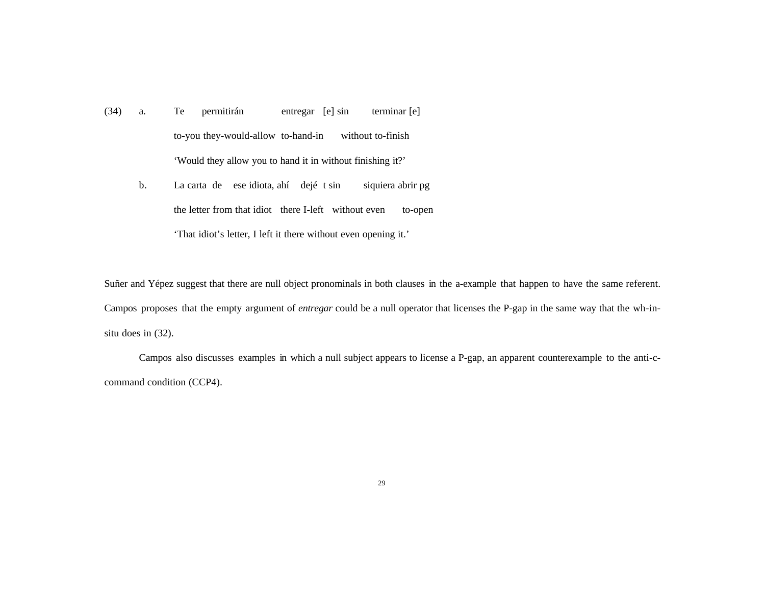- (34) a. Te permitirán entregar [e] sin terminar [e] to-you they-would-allow to-hand-in without to-finish 'Would they allow you to hand it in without finishing it?'
	- b. La carta de ese idiota, ahí dejé t sin siquiera abrir pg the letter from that idiot there I-left without even to-open 'That idiot's letter, I left it there without even opening it.'

Suñer and Yépez suggest that there are null object pronominals in both clauses in the a-example that happen to have the same referent. Campos proposes that the empty argument of *entregar* could be a null operator that licenses the P-gap in the same way that the wh-insitu does in (32).

Campos also discusses examples in which a null subject appears to license a P-gap, an apparent counterexample to the anti-ccommand condition (CCP4).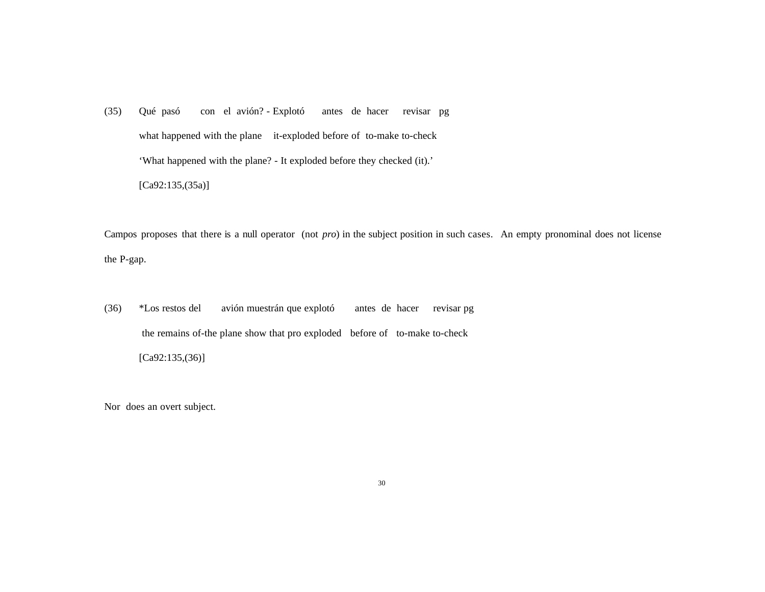(35) Qué pasó con el avión? - Explotó antes de hacer revisar pg what happened with the plane it-exploded before of to-make to-check 'What happened with the plane? - It exploded before they checked (it).' [Ca92:135,(35a)]

Campos proposes that there is a null operator (not *pro*) in the subject position in such cases. An empty pronominal does not license the P-gap.

(36) \*Los restos del avión muestrán que explotó antes de hacer revisar pg the remains of-the plane show that pro exploded before of to-make to-check  $[Ca92:135,(36)]$ 

Nor does an overt subject.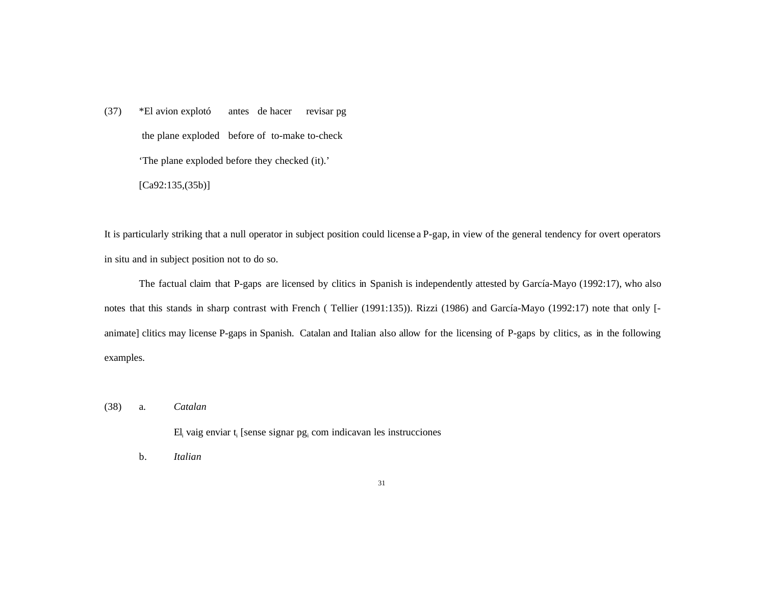(37) \*El avion explotó antes de hacer revisar pg the plane exploded before of to-make to-check 'The plane exploded before they checked (it).'  $[Ca92:135,(35b)]$ 

It is particularly striking that a null operator in subject position could license a P-gap, in view of the general tendency for overt operators in situ and in subject position not to do so.

The factual claim that P-gaps are licensed by clitics in Spanish is independently attested by García-Mayo (1992:17), who also notes that this stands in sharp contrast with French ( Tellier (1991:135)). Rizzi (1986) and García-Mayo (1992:17) note that only [ animate] clitics may license P-gaps in Spanish. Catalan and Italian also allow for the licensing of P-gaps by clitics, as in the following examples.

(38) a. *Catalan*

El<sub>i</sub> vaig enviar t<sub>i</sub> [sense signar pg<sub>i</sub> com indicavan les instrucciones

b. *Italian*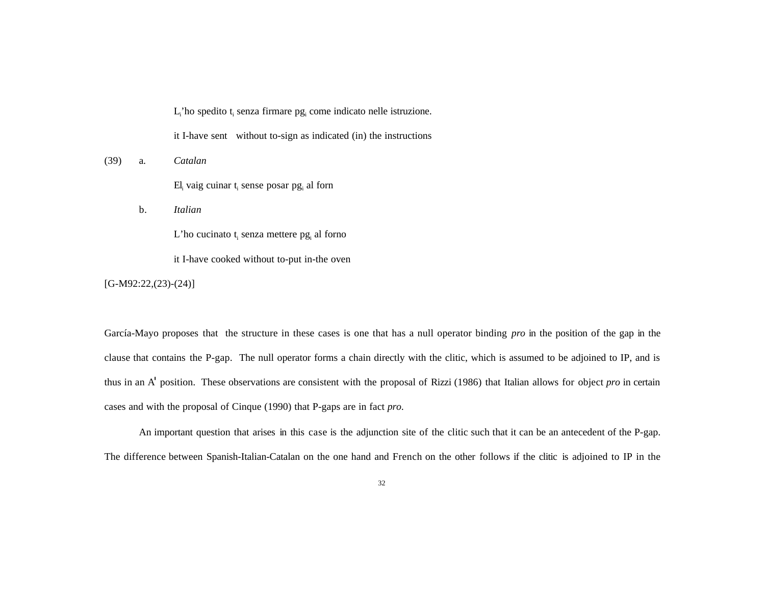$L_i$ 'ho spedito t<sub>i</sub> senza firmare pg<sub>i</sub> come indicato nelle istruzione.

it I-have sent without to-sign as indicated (in) the instructions

#### (39) a. *Catalan*

 $EI_i$  vaig cuinar  $t_i$  sense posar  $pg_i$  al forn

b. *Italian*

 $L'$ ho cucinato t<sub>i</sub> senza mettere pg<sub>i</sub> al forno

it I-have cooked without to-put in-the oven

 $[G-M92:22,(23)-(24)]$ 

García-Mayo proposes that the structure in these cases is one that has a null operator binding *pro* in the position of the gap in the clause that contains the P-gap. The null operator forms a chain directly with the clitic, which is assumed to be adjoined to IP, and is thus in an A' position. These observations are consistent with the proposal of Rizzi (1986) that Italian allows for object *pro* in certain cases and with the proposal of Cinque (1990) that P-gaps are in fact *pro*.

An important question that arises in this case is the adjunction site of the clitic such that it can be an antecedent of the P-gap. The difference between Spanish-Italian-Catalan on the one hand and French on the other follows if the clitic is adjoined to IP in the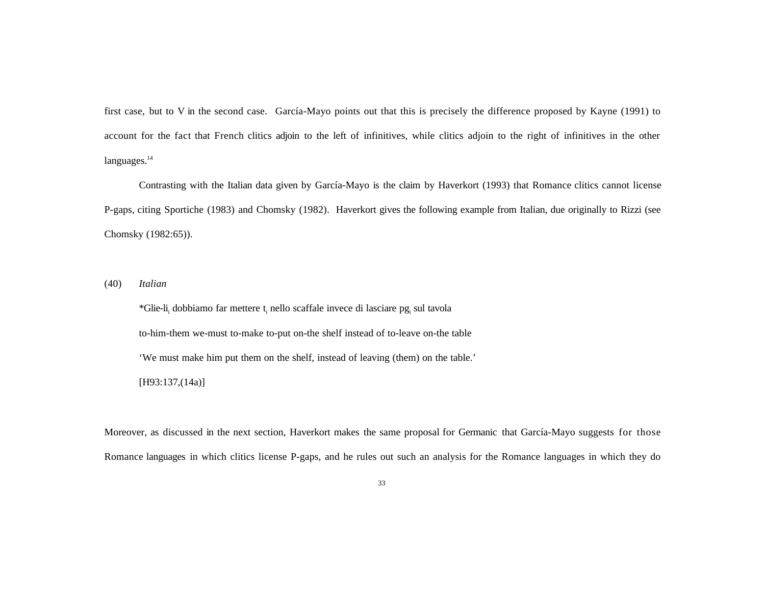first case, but to V in the second case. García-Mayo points out that this is precisely the difference proposed by Kayne (1991) to account for the fact that French clitics adjoin to the left of infinitives, while clitics adjoin to the right of infinitives in the other languages.<sup>14</sup>

Contrasting with the Italian data given by García-Mayo is the claim by Haverkort (1993) that Romance clitics cannot license P-gaps, citing Sportiche (1983) and Chomsky (1982). Haverkort gives the following example from Italian, due originally to Rizzi (see Chomsky (1982:65)).

(40) *Italian*

\*Glie-li<sub>i</sub> dobbiamo far mettere t<sub>i</sub> nello scaffale invece di lasciare pg<sub>i</sub> sul tavola to-him-them we-must to-make to-put on-the shelf instead of to-leave on-the table 'We must make him put them on the shelf, instead of leaving (them) on the table.' [H93:137,(14a)]

Moreover, as discussed in the next section, Haverkort makes the same proposal for Germanic that García-Mayo suggests for those Romance languages in which clitics license P-gaps, and he rules out such an analysis for the Romance languages in which they do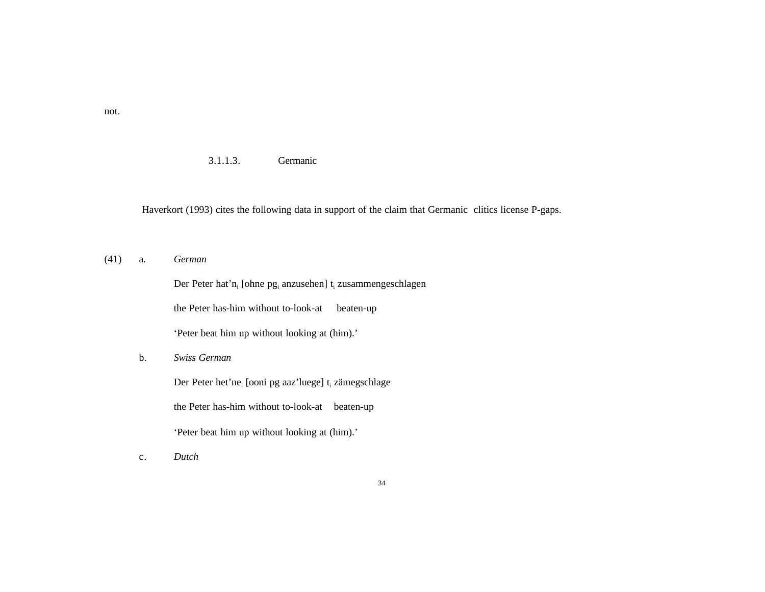3.1.1.3. Germanic

Haverkort (1993) cites the following data in support of the claim that Germanic clitics license P-gaps.

(41) a. *German*

|    | Der Peter hat'n <sub>i</sub> [ohne pg <sub>i</sub> anzusehen] t <sub>i</sub> zusammengeschlagen |
|----|-------------------------------------------------------------------------------------------------|
|    | the Peter has-him without to-look-at<br>beaten-up                                               |
|    | 'Peter beat him up without looking at (him).'                                                   |
| b. | Swiss German                                                                                    |
|    | Der Peter het ne [ooni pg aaz luege] t zämegschlage                                             |
|    | the Peter has-him without to-look-at<br>beaten-up                                               |
|    | 'Peter beat him up without looking at (him).'                                                   |
| c. | Dutch                                                                                           |

not.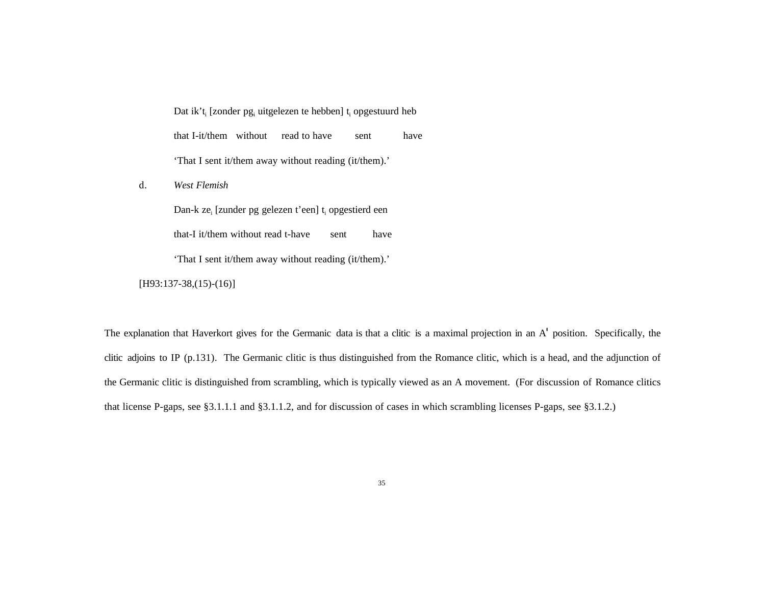Dat ik't<sub>i</sub> [zonder pg<sub>i</sub> uitgelezen te hebben] t<sub>i</sub> opgestuurd heb that I-it/them without read to have sent have 'That I sent it/them away without reading (it/them).'

d. *West Flemish*

Dan-k ze<sub>i</sub> [zunder pg gelezen t'een] t<sub>i</sub> opgestierd een that-I it/them without read t-have sent have 'That I sent it/them away without reading (it/them).'

[H93:137-38,(15)-(16)]

The explanation that Haverkort gives for the Germanic data is that a clitic is a maximal projection in an A' position. Specifically, the clitic adjoins to IP (p.131). The Germanic clitic is thus distinguished from the Romance clitic, which is a head, and the adjunction of the Germanic clitic is distinguished from scrambling, which is typically viewed as an A movement. (For discussion of Romance clitics that license P-gaps, see §3.1.1.1 and §3.1.1.2, and for discussion of cases in which scrambling licenses P-gaps, see §3.1.2.)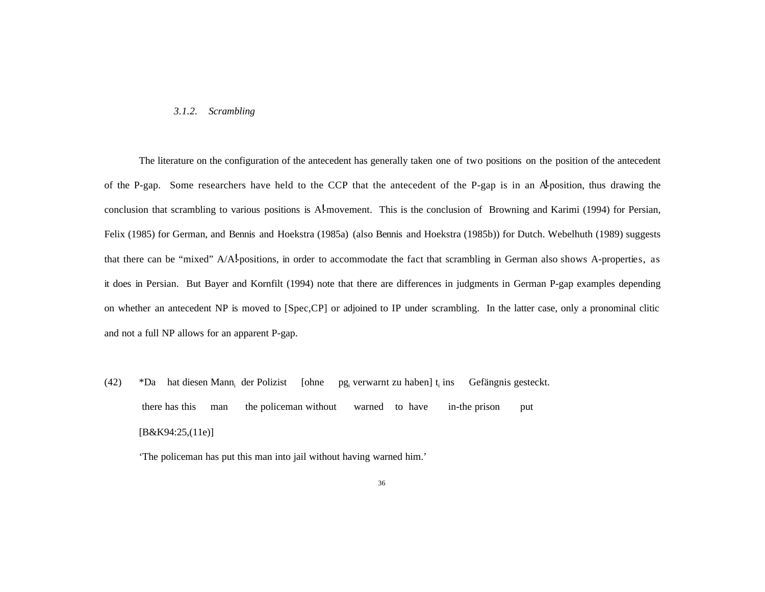#### *3.1.2. Scrambling*

The literature on the configuration of the antecedent has generally taken one of two positions on the position of the antecedent of the P-gap. Some researchers have held to the CCP that the antecedent of the P-gap is in an A-position, thus drawing the conclusion that scrambling to various positions is A!-movement. This is the conclusion of Browning and Karimi (1994) for Persian, Felix (1985) for German, and Bennis and Hoekstra (1985a) (also Bennis and Hoekstra (1985b)) for Dutch. Webelhuth (1989) suggests that there can be "mixed" A/A!-positions, in order to accommodate the fact that scrambling in German also shows A-properties, as it does in Persian. But Bayer and Kornfilt (1994) note that there are differences in judgments in German P-gap examples depending on whether an antecedent NP is moved to [Spec,CP] or adjoined to IP under scrambling. In the latter case, only a pronominal clitic and not a full NP allows for an apparent P-gap.

(42)  $*$ Da hat diesen Mann<sub>i</sub> der Polizist [ohne pg<sub>i</sub> verwarnt zu haben] t<sub>i</sub> ins Gefängnis gesteckt. there has this man the policeman without warned to have in-the prison put [B&K94:25,(11e)]

'The policeman has put this man into jail without having warned him.'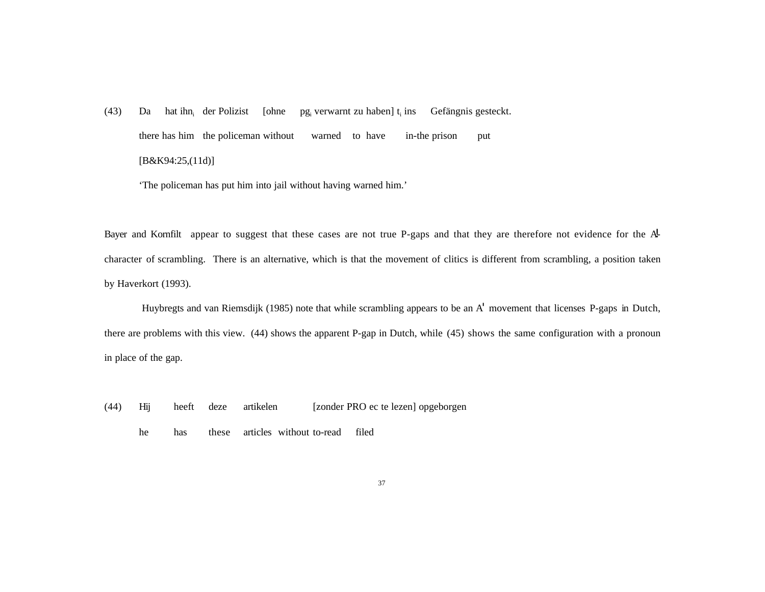(43) Da hat ihn<sub>i</sub> der Polizist [ohne pg<sub>i</sub> verwarnt zu haben]  $t_i$  ins Gefängnis gesteckt. there has him the policeman without warned to have in-the prison put [B&K94:25,(11d)]

'The policeman has put him into jail without having warned him.'

Bayer and Kornfilt appear to suggest that these cases are not true P-gaps and that they are therefore not evidence for the Acharacter of scrambling. There is an alternative, which is that the movement of clitics is different from scrambling, a position taken by Haverkort (1993).

 Huybregts and van Riemsdijk (1985) note that while scrambling appears to be an A' movement that licenses P-gaps in Dutch, there are problems with this view. (44) shows the apparent P-gap in Dutch, while (45) shows the same configuration with a pronoun in place of the gap.

- (44) Hij heeft deze artikelen [zonder PRO ec te lezen] opgeborgen
	- he has these articles without to-read filed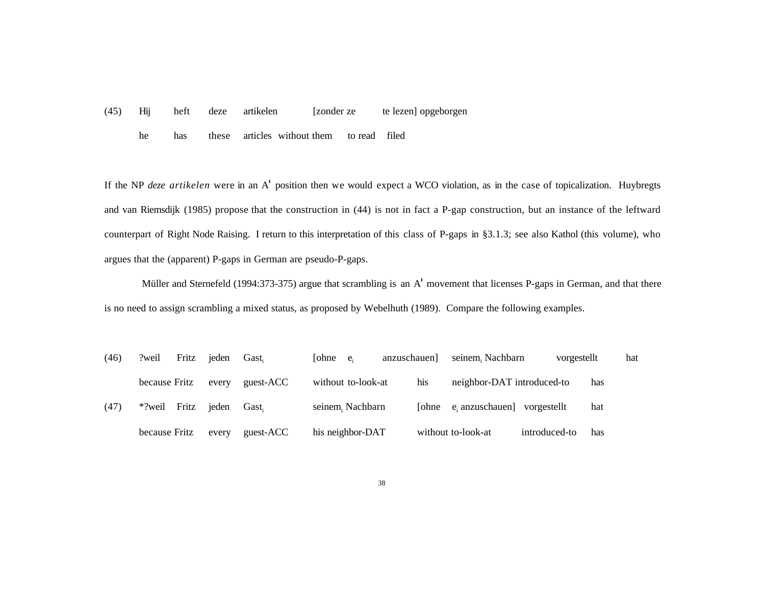(45) Hij heft deze artikelen [zonder ze te lezen] opgeborgen

he has these articles without them to read filed

If the NP *deze artikelen* were in an A' position then we would expect a WCO violation, as in the case of topicalization. Huybregts and van Riemsdijk (1985) propose that the construction in (44) is not in fact a P-gap construction, but an instance of the leftward counterpart of Right Node Raising. I return to this interpretation of this class of P-gaps in §3.1.3; see also Kathol (this volume), who argues that the (apparent) P-gaps in German are pseudo-P-gaps.

 Müller and Sternefeld (1994:373-375) argue that scrambling is an A' movement that licenses P-gaps in German, and that there is no need to assign scrambling a mixed status, as proposed by Webelhuth (1989). Compare the following examples.

| (46) | Fritz<br>?weil  | ieden | Gast.     | [ohne $e_i$        | anzuschauen] | seinem, Nachbarn           | vorgestellt   |     | hat |
|------|-----------------|-------|-----------|--------------------|--------------|----------------------------|---------------|-----|-----|
|      | because Fritz   | every | guest-ACC | without to-look-at | his          | neighbor-DAT introduced-to |               | has |     |
| (47) | Fritz<br>*?weil | ieden | Gast.     | seinem, Nachbarn   | <b>Sohne</b> | e, anzuschauen]            | vorgestellt   | hat |     |
|      | because Fritz   | every | guest-ACC | his neighbor-DAT   |              | without to-look-at         | introduced-to | has |     |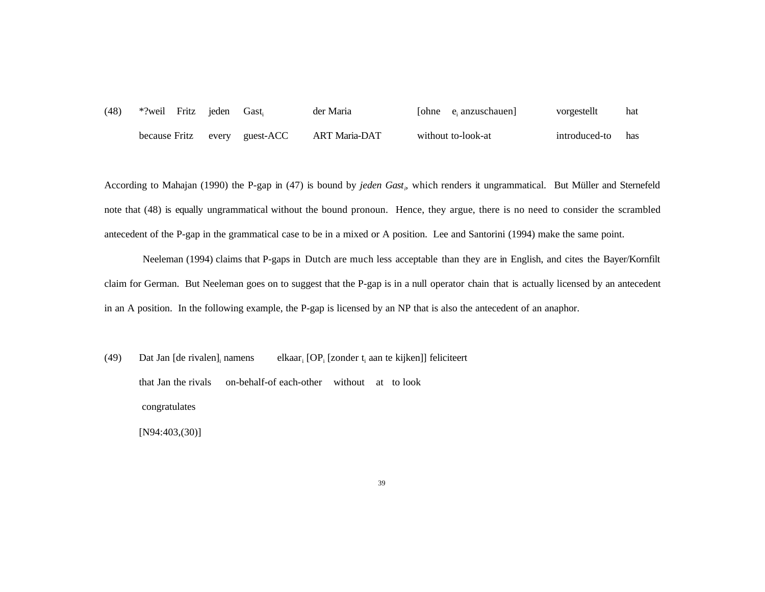(48) \*?weil Fritz jeden Gast, der Maria anzuschauen] vorgestellt hat because Fritz every guest-ACC ART Maria-DAT without to-look-at introduced-to has

According to Mahajan (1990) the P-gap in (47) is bound by *jeden Gast<sup>i</sup>* , which renders it ungrammatical. But Müller and Sternefeld note that (48) is equally ungrammatical without the bound pronoun. Hence, they argue, there is no need to consider the scrambled antecedent of the P-gap in the grammatical case to be in a mixed or A position. Lee and Santorini (1994) make the same point.

Neeleman (1994) claims that P-gaps in Dutch are much less acceptable than they are in English, and cites the Bayer/Kornfilt claim for German. But Neeleman goes on to suggest that the P-gap is in a null operator chain that is actually licensed by an antecedent in an A position. In the following example, the P-gap is licensed by an NP that is also the antecedent of an anaphor.

(49) Dat Jan [de rivalen]<sub>i</sub> namens elkaar<sub>i</sub>  $[OP_i$  [zonder  $t_i$  aan te kijken]] feliciteert that Jan the rivals on-behalf-of each-other without at to look congratulates [N94:403,(30)]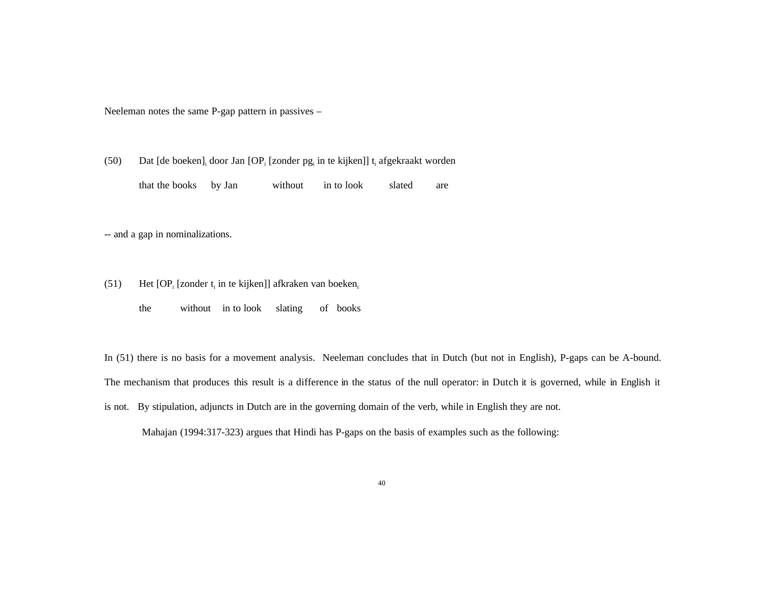Neeleman notes the same P-gap pattern in passives –

(50) Dat [de boeken]<sub>i</sub> door Jan  $[OP_i$  [zonder pg<sub>i</sub> in te kijken]] t<sub>i</sub> afgekraakt worden

that the books by Jan without in to look slated are

-- and a gap in nominalizations.

- (51) Het  $[OP_i$  [zonder  $t_i$  in te kijken]] afkraken van boeken<sub>i</sub>
	- the without in to look slating of books

In (51) there is no basis for a movement analysis. Neeleman concludes that in Dutch (but not in English), P-gaps can be A-bound. The mechanism that produces this result is a difference in the status of the null operator: in Dutch it is governed, while in English it is not. By stipulation, adjuncts in Dutch are in the governing domain of the verb, while in English they are not.

Mahajan (1994:317-323) argues that Hindi has P-gaps on the basis of examples such as the following: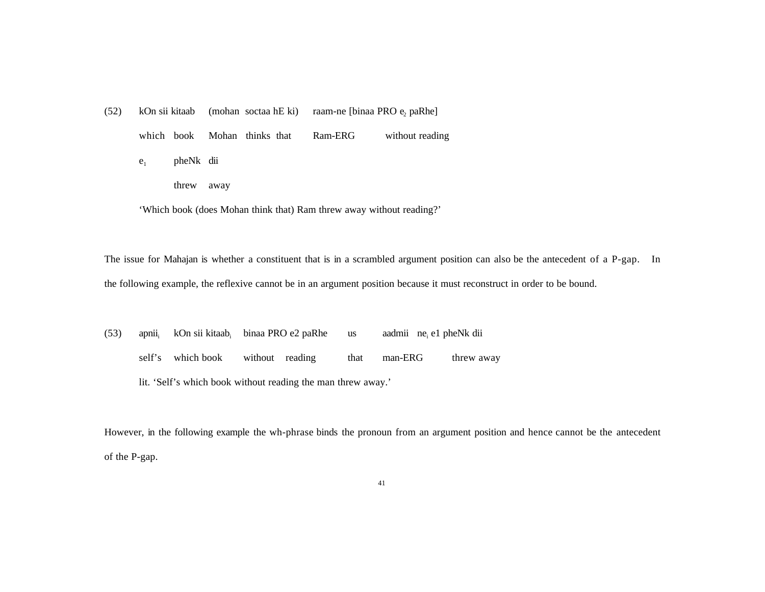$(52)$  kOn sii kitaab (mohan soctaa hE ki) raam-ne [binaa PRO e<sub>2</sub> paRhe] which book Mohan thinks that Ram-ERG without reading e<sub>1</sub> pheNk dii threw away

'Which book (does Mohan think that) Ram threw away without reading?'

The issue for Mahajan is whether a constituent that is in a scrambled argument position can also be the antecedent of a P-gap. In the following example, the reflexive cannot be in an argument position because it must reconstruct in order to be bound.

(53) apnii<sub>i</sub> kOn sii kitaab<sub>i</sub> binaa PRO e2 paRhe us aadmii ne<sub>i</sub> e1 pheNk dii self's which book without reading that man-ERG threw away lit. 'Self's which book without reading the man threw away.'

However, in the following example the wh-phrase binds the pronoun from an argument position and hence cannot be the antecedent of the P-gap.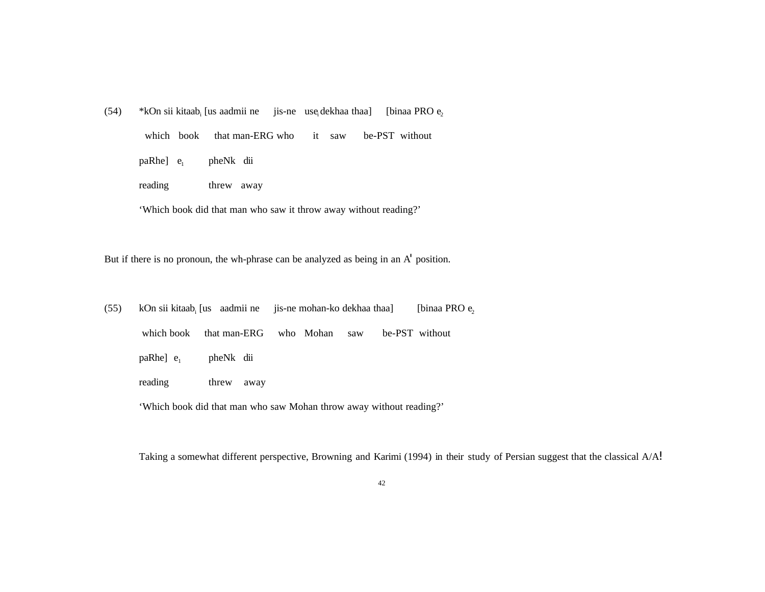(54) \*kOn sii kitaab<sub>i</sub> [us aadmii ne jis-ne use<sub>i</sub> dekhaa thaa] [binaa PRO  $e_2$  which book that man-ERG who it saw be-PST without paRhe] e<sub>1</sub> pheNk dii reading threw away

'Which book did that man who saw it throw away without reading?'

But if there is no pronoun, the wh-phrase can be analyzed as being in an A' position.

(55) kOn sii kitaab<sub>i</sub> [us aadmii ne jis-ne mohan-ko dekhaa thaa] [binaa PRO  $e_2$  which book that man-ERG who Mohan saw be-PST without paRhe] e<sub>1</sub> pheNk dii reading threw away

'Which book did that man who saw Mohan throw away without reading?'

Taking a somewhat different perspective, Browning and Karimi (1994) in their study of Persian suggest that the classical A/A!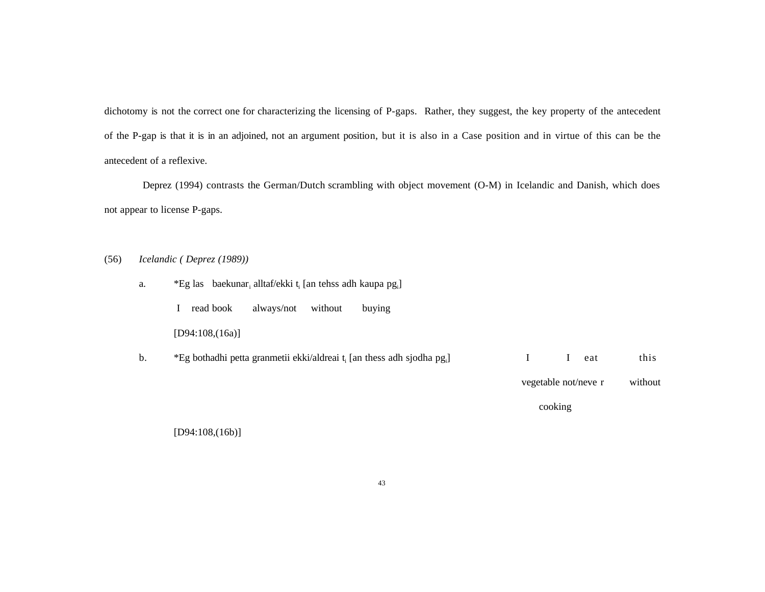dichotomy is not the correct one for characterizing the licensing of P-gaps. Rather, they suggest, the key property of the antecedent of the P-gap is that it is in an adjoined, not an argument position, but it is also in a Case position and in virtue of this can be the antecedent of a reflexive.

Deprez (1994) contrasts the German/Dutch scrambling with object movement (O-M) in Icelandic and Danish, which does not appear to license P-gaps.

(56) *Icelandic ( Deprez (1989))*

|    |                                                                                                 |                      | cooking |         |  |  |  |  |  |  |  |  |
|----|-------------------------------------------------------------------------------------------------|----------------------|---------|---------|--|--|--|--|--|--|--|--|
|    |                                                                                                 | vegetable not/neve r |         | without |  |  |  |  |  |  |  |  |
| b. | *Eg bothadhi petta granmetii ekki/aldreai t <sub>i</sub> [an thess adh sjodha pg <sub>i</sub> ] | I                    | eat     | this    |  |  |  |  |  |  |  |  |
|    | [D94:108,(16a)]                                                                                 |                      |         |         |  |  |  |  |  |  |  |  |
|    | read book<br>without<br>always/not<br>buying                                                    |                      |         |         |  |  |  |  |  |  |  |  |
| a. | *Eg las baekunar, alltaf/ekki t, [an tehss adh kaupa pg,]                                       |                      |         |         |  |  |  |  |  |  |  |  |

[D94:108,(16b)]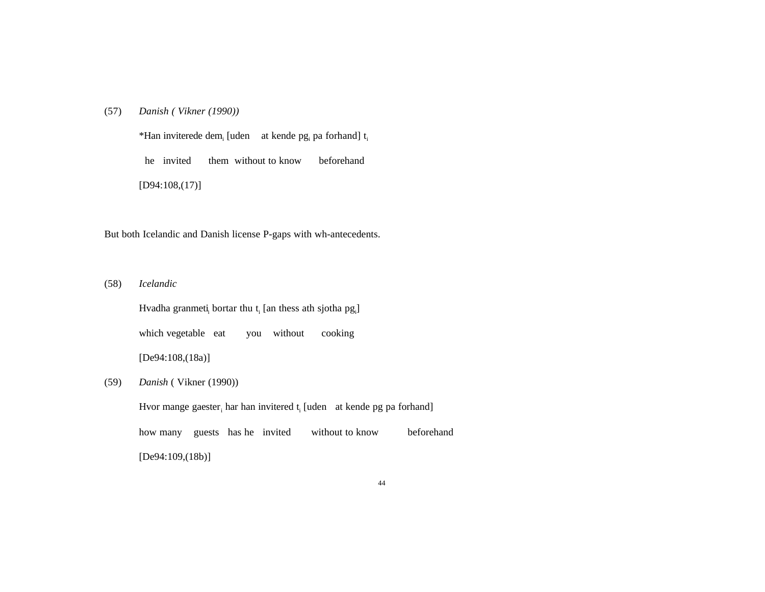(57) *Danish ( Vikner (1990))*

\*Han inviterede dem<sub>i</sub> [uden at kende pg<sub>i</sub> pa forhand]  $t_i$  he invited them without to know beforehand [D94:108,(17)]

But both Icelandic and Danish license P-gaps with wh-antecedents.

(58) *Icelandic*

Hvadha granmeti, bortar thu  $t_i$  [an thess ath sjotha  $pg_i$ ] which vegetable eat you without cooking [De94:108,(18a)]

(59) *Danish* ( Vikner (1990))

Hvor mange gaester<sub>i</sub> har han invitered t<sub>i</sub> [uden at kende pg pa forhand]

how many guests has he invited without to know beforehand

[De94:109,(18b)]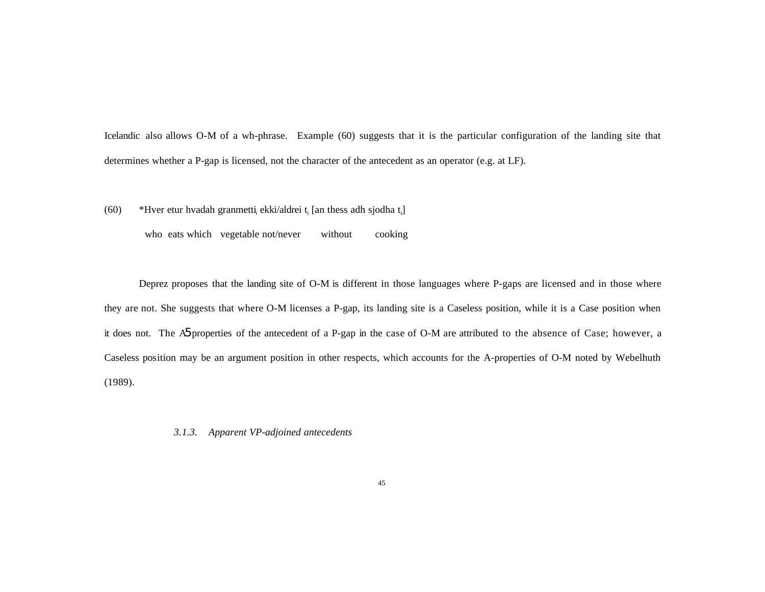Icelandic also allows O-M of a wh-phrase. Example (60) suggests that it is the particular configuration of the landing site that determines whether a P-gap is licensed, not the character of the antecedent as an operator (e.g. at LF).

(60) \*Hver etur hvadah granmetti<sub>i</sub> ekki/aldrei t<sub>i</sub> [an thess adh sjodha t<sub>i</sub>]

who eats which vegetable not/never without cooking

Deprez proposes that the landing site of O-M is different in those languages where P-gaps are licensed and in those where they are not. She suggests that where O-M licenses a P-gap, its landing site is a Caseless position, while it is a Case position when it does not. The A5 properties of the antecedent of a P-gap in the case of O-M are attributed to the absence of Case; however, a Caseless position may be an argument position in other respects, which accounts for the A-properties of O-M noted by Webelhuth (1989).

*3.1.3. Apparent VP-adjoined antecedents*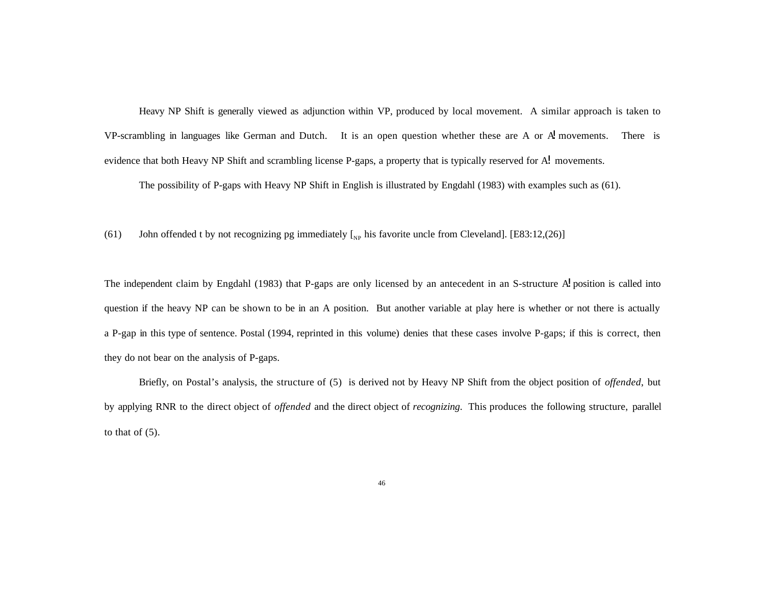Heavy NP Shift is generally viewed as adjunction within VP, produced by local movement. A similar approach is taken to VP-scrambling in languages like German and Dutch. It is an open question whether these are A or  $\vec{A}$  movements. There is evidence that both Heavy NP Shift and scrambling license P-gaps, a property that is typically reserved for A! movements.

The possibility of P-gaps with Heavy NP Shift in English is illustrated by Engdahl (1983) with examples such as (61).

(61) John offended t by not recognizing pg immediately  $\left[_{NP}\right]$  his favorite uncle from Cleveland]. [E83:12,(26)]

The independent claim by Engdahl (1983) that P-gaps are only licensed by an antecedent in an S-structure  $\overrightarrow{A}$  position is called into question if the heavy NP can be shown to be in an A position. But another variable at play here is whether or not there is actually a P-gap in this type of sentence. Postal (1994, reprinted in this volume) denies that these cases involve P-gaps; if this is correct, then they do not bear on the analysis of P-gaps.

Briefly, on Postal's analysis, the structure of (5) is derived not by Heavy NP Shift from the object position of *offended*, but by applying RNR to the direct object of *offended* and the direct object of *recognizing*. This produces the following structure, parallel to that of  $(5)$ .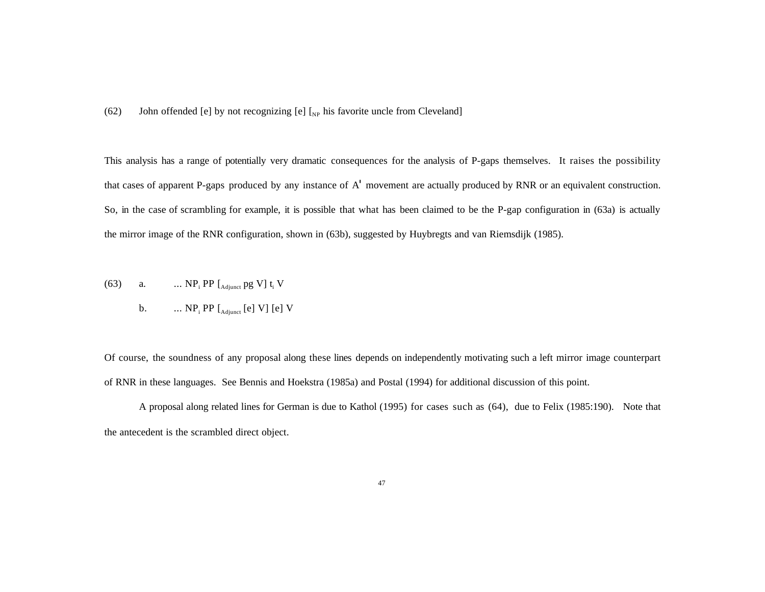(62) John offended [e] by not recognizing [e]  $\left[\int_{NP}\right]$  his favorite uncle from Cleveland]

This analysis has a range of potentially very dramatic consequences for the analysis of P-gaps themselves. It raises the possibility that cases of apparent P-gaps produced by any instance of A' movement are actually produced by RNR or an equivalent construction. So, in the case of scrambling for example, it is possible that what has been claimed to be the P-gap configuration in (63a) is actually the mirror image of the RNR configuration, shown in (63b), suggested by Huybregts and van Riemsdijk (1985).

(63) a. ... NP<sub>i</sub> PP [
$$
_{\text{Adjustet}}
$$
 pg V] t<sub>i</sub> V  
b. ... NP<sub>i</sub> PP [ $_{\text{Adjustet}}$  [e] V] [e] V

Of course, the soundness of any proposal along these lines depends on independently motivating such a left mirror image counterpart of RNR in these languages. See Bennis and Hoekstra (1985a) and Postal (1994) for additional discussion of this point.

A proposal along related lines for German is due to Kathol (1995) for cases such as (64), due to Felix (1985:190). Note that the antecedent is the scrambled direct object.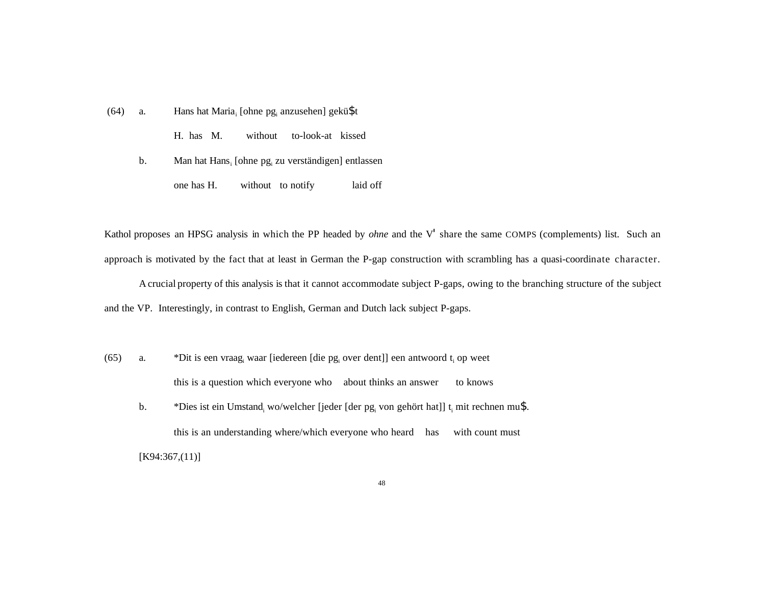(64) a. Hans hat Maria<sub>i</sub> [ohne pg<sub>i</sub> anzusehen] gekü\$t H. has M. without to-look-at kissed b. Man hat Hans<sub>i</sub> [ohne pg<sub>i</sub> zu verständigen] entlassen one has H. without to notify laid off

Kathol proposes an HPSG analysis in which the PP headed by *ohne* and the V' share the same COMPS (complements) list. Such an approach is motivated by the fact that at least in German the P-gap construction with scrambling has a quasi-coordinate character.

Acrucial property of this analysis is that it cannot accommodate subject P-gaps, owing to the branching structure of the subject and the VP. Interestingly, in contrast to English, German and Dutch lack subject P-gaps.

- (65) a. \*Dit is een vraag<sub>i</sub> waar [iedereen [die pg<sub>i</sub> over dent]] een antwoord t<sub>i</sub> op weet this is a question which everyone who about thinks an answer to knows
	- b.  $*$ Dies ist ein Umstand, wo/welcher [jeder [der pg<sub>i</sub> von gehört hat]] t<sub>i</sub> mit rechnen mu\$. this is an understanding where/which everyone who heard has with count must [K94:367,(11)]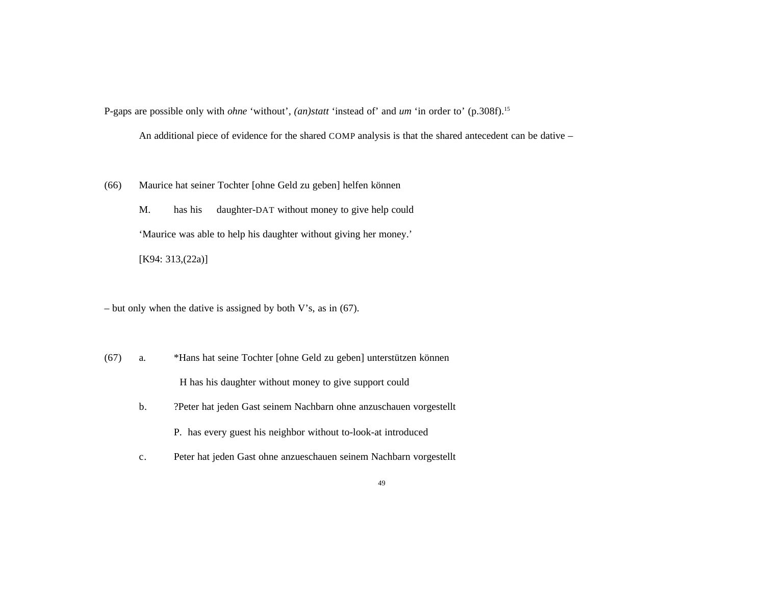P-gaps are possible only with *ohne* 'without', *(an)statt* 'instead of' and *um* 'in order to' (p.308f).<sup>15</sup>

An additional piece of evidence for the shared COMP analysis is that the shared antecedent can be dative –

(66) Maurice hat seiner Tochter [ohne Geld zu geben] helfen können

M. has his daughter-DAT without money to give help could 'Maurice was able to help his daughter without giving her money.' [K94: 313, (22a)]

– but only when the dative is assigned by both V's, as in (67).

- (67) a. \*Hans hat seine Tochter [ohne Geld zu geben] unterstützen können H has his daughter without money to give support could
	- b. ?Peter hat jeden Gast seinem Nachbarn ohne anzuschauen vorgestellt

P. has every guest his neighbor without to-look-at introduced

c. Peter hat jeden Gast ohne anzueschauen seinem Nachbarn vorgestellt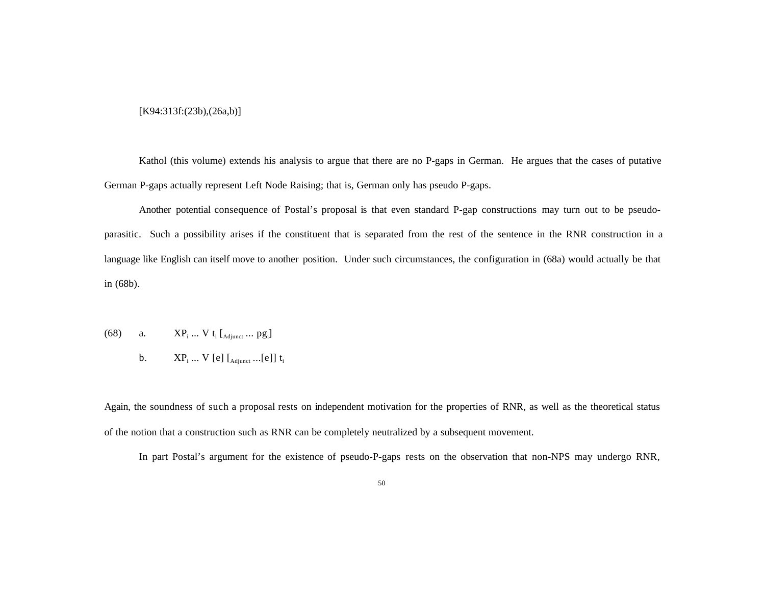### [K94:313f:(23b),(26a,b)]

Kathol (this volume) extends his analysis to argue that there are no P-gaps in German. He argues that the cases of putative German P-gaps actually represent Left Node Raising; that is, German only has pseudo P-gaps.

Another potential consequence of Postal's proposal is that even standard P-gap constructions may turn out to be pseudoparasitic. Such a possibility arises if the constituent that is separated from the rest of the sentence in the RNR construction in a language like English can itself move to another position. Under such circumstances, the configuration in (68a) would actually be that in (68b).

- (68) a.  $XP_i ... V t_i [A_{dijunct} ... p g_i]$ 
	- b.  $XP_i ... V$  [e] [ $_{\text{Adjunct}} ...$ [e]] t<sub>i</sub>

Again, the soundness of such a proposal rests on independent motivation for the properties of RNR, as well as the theoretical status of the notion that a construction such as RNR can be completely neutralized by a subsequent movement.

In part Postal's argument for the existence of pseudo-P-gaps rests on the observation that non-NPS may undergo RNR,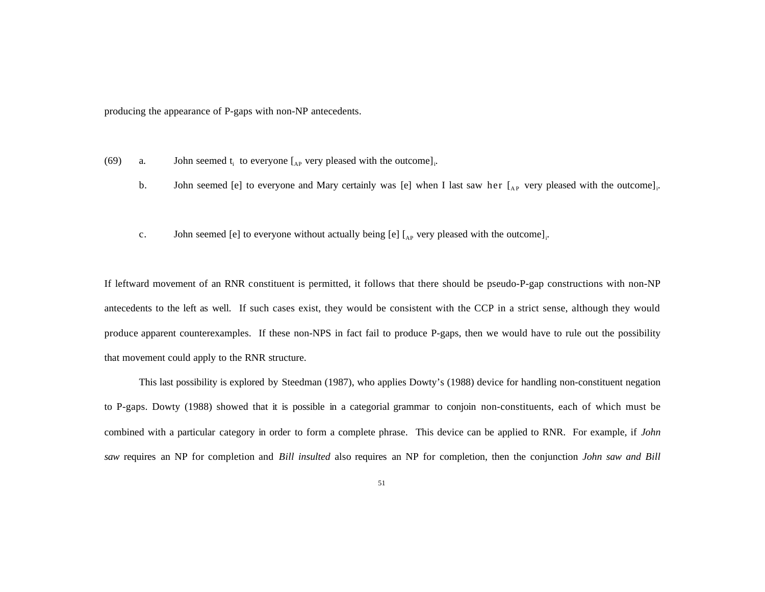producing the appearance of P-gaps with non-NP antecedents.

- (69) a. John seemed  $t_i$  to everyone  $\begin{bmatrix} A_P \end{bmatrix}$  very pleased with the outcome]<sub>i</sub>.
	- b. John seemed [e] to everyone and Mary certainly was [e] when I last saw her  $\left[$ <sub>AP</sub> very pleased with the outcome]<sub>i</sub>.
	- c. John seemed [e] to everyone without actually being [e]  $\left[ \begin{smallmatrix} A_P \end{smallmatrix} \right]$  very pleased with the outcome]<sub>i</sub>.

If leftward movement of an RNR constituent is permitted, it follows that there should be pseudo-P-gap constructions with non-NP antecedents to the left as well. If such cases exist, they would be consistent with the CCP in a strict sense, although they would produce apparent counterexamples. If these non-NPS in fact fail to produce P-gaps, then we would have to rule out the possibility that movement could apply to the RNR structure.

This last possibility is explored by Steedman (1987), who applies Dowty's (1988) device for handling non-constituent negation to P-gaps. Dowty (1988) showed that it is possible in a categorial grammar to conjoin non-constituents, each of which must be combined with a particular category in order to form a complete phrase. This device can be applied to RNR. For example, if *John saw* requires an NP for completion and *Bill insulted* also requires an NP for completion, then the conjunction *John saw and Bill*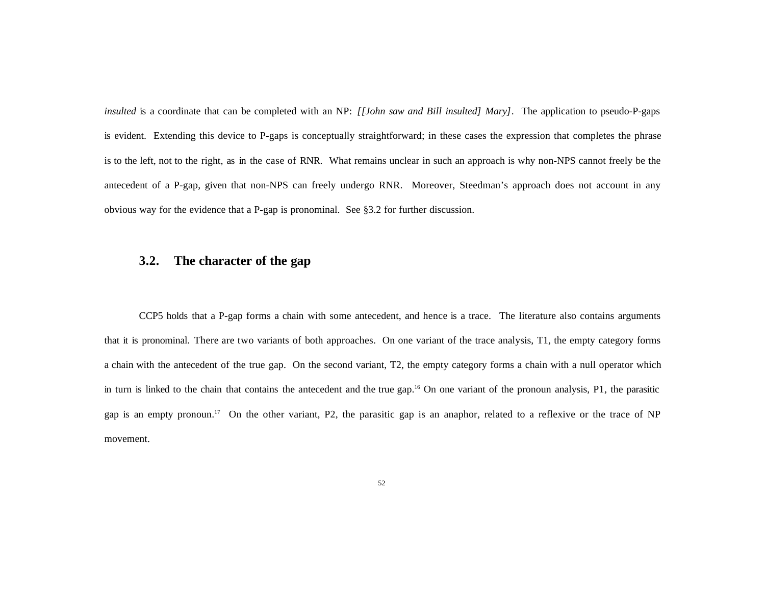*insulted* is a coordinate that can be completed with an NP: *[[John saw and Bill insulted] Mary]*. The application to pseudo-P-gaps is evident. Extending this device to P-gaps is conceptually straightforward; in these cases the expression that completes the phrase is to the left, not to the right, as in the case of RNR. What remains unclear in such an approach is why non-NPS cannot freely be the antecedent of a P-gap, given that non-NPS can freely undergo RNR. Moreover, Steedman's approach does not account in any obvious way for the evidence that a P-gap is pronominal. See §3.2 for further discussion.

# **3.2. The character of the gap**

CCP5 holds that a P-gap forms a chain with some antecedent, and hence is a trace. The literature also contains arguments that it is pronominal. There are two variants of both approaches. On one variant of the trace analysis, T1, the empty category forms a chain with the antecedent of the true gap. On the second variant, T2, the empty category forms a chain with a null operator which in turn is linked to the chain that contains the antecedent and the true gap.<sup>16</sup> On one variant of the pronoun analysis, P1, the parasitic gap is an empty pronoun.<sup>17</sup> On the other variant, P2, the parasitic gap is an anaphor, related to a reflexive or the trace of NP movement.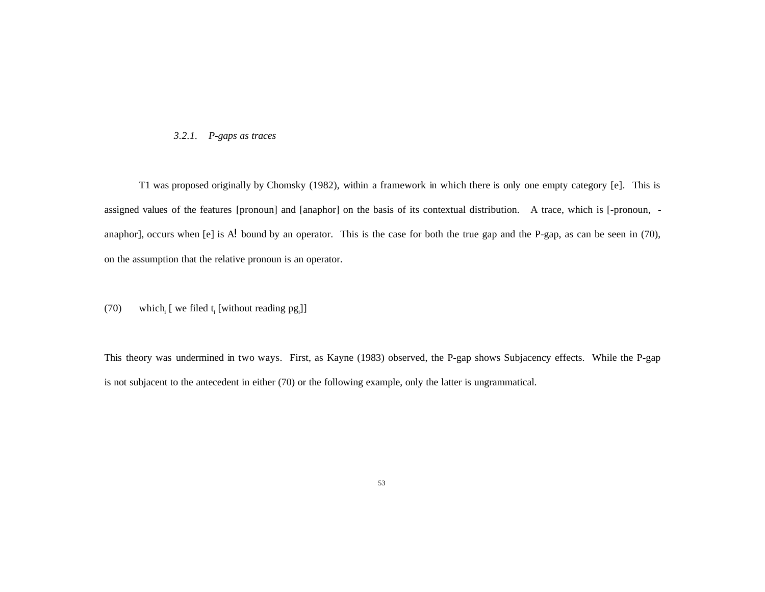### *3.2.1. P-gaps as traces*

T1 was proposed originally by Chomsky (1982), within a framework in which there is only one empty category [e]. This is assigned values of the features [pronoun] and [anaphor] on the basis of its contextual distribution. A trace, which is [-pronoun, anaphor], occurs when [e] is A! bound by an operator. This is the case for both the true gap and the P-gap, as can be seen in (70), on the assumption that the relative pronoun is an operator.

## (70) which [ we filed  $t_i$  [without reading pg<sub>i</sub>]]

This theory was undermined in two ways. First, as Kayne (1983) observed, the P-gap shows Subjacency effects. While the P-gap is not subjacent to the antecedent in either (70) or the following example, only the latter is ungrammatical.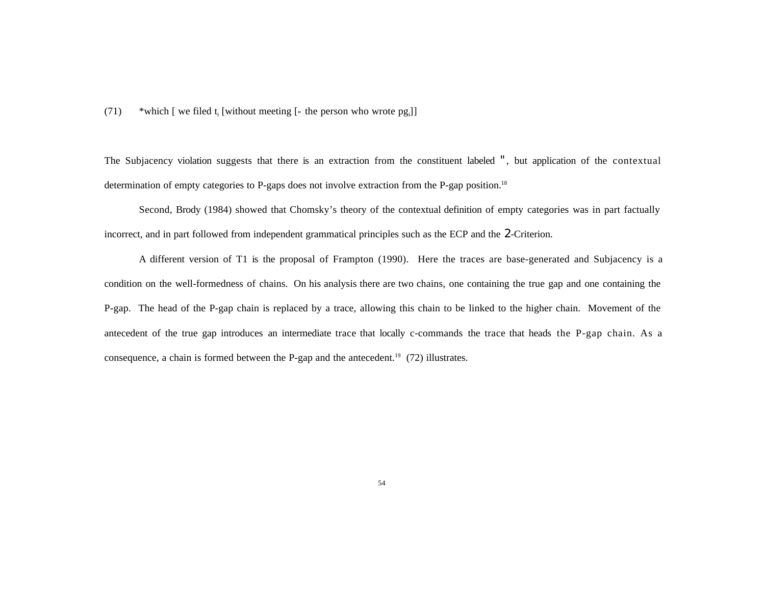(71) \*which [ we filed  $t_i$  [without meeting [ $\cdot$  the person who wrote pg<sub>i</sub>]]

The Subjacency violation suggests that there is an extraction from the constituent labeled ", but application of the contextual determination of empty categories to P-gaps does not involve extraction from the P-gap position.<sup>18</sup>

Second, Brody (1984) showed that Chomsky's theory of the contextual definition of empty categories was in part factually incorrect, and in part followed from independent grammatical principles such as the ECP and the 2-Criterion.

A different version of T1 is the proposal of Frampton (1990). Here the traces are base-generated and Subjacency is a condition on the well-formedness of chains. On his analysis there are two chains, one containing the true gap and one containing the P-gap. The head of the P-gap chain is replaced by a trace, allowing this chain to be linked to the higher chain. Movement of the antecedent of the true gap introduces an intermediate trace that locally c-commands the trace that heads the P-gap chain. As a consequence, a chain is formed between the P-gap and the antecedent.<sup>19</sup> (72) illustrates.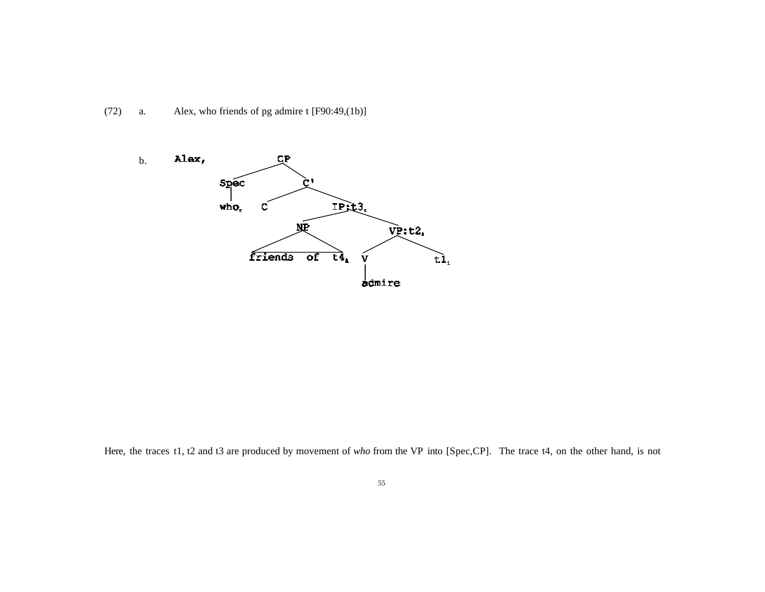



Here, the traces t1, t2 and t3 are produced by movement of *who* from the VP into [Spec,CP]. The trace t4, on the other hand, is not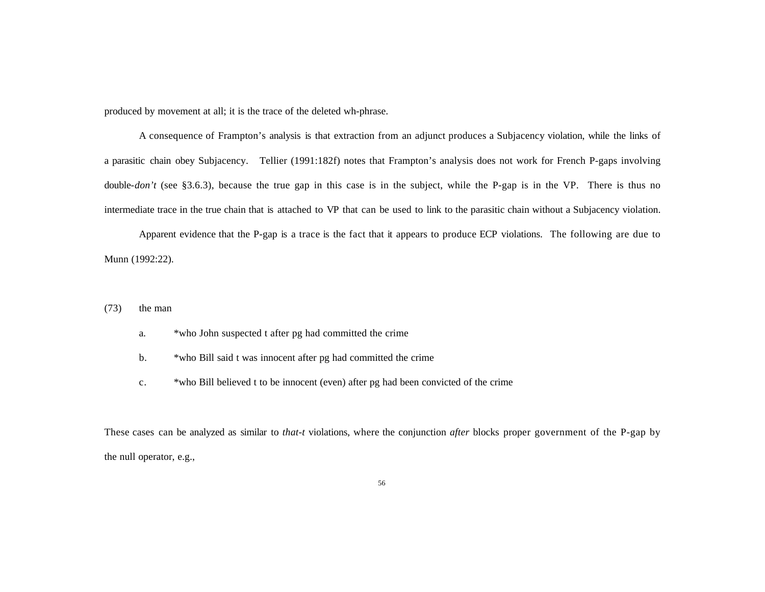produced by movement at all; it is the trace of the deleted wh-phrase.

A consequence of Frampton's analysis is that extraction from an adjunct produces a Subjacency violation, while the links of a parasitic chain obey Subjacency. Tellier (1991:182f) notes that Frampton's analysis does not work for French P-gaps involving double-*don't* (see §3.6.3), because the true gap in this case is in the subject, while the P-gap is in the VP. There is thus no intermediate trace in the true chain that is attached to VP that can be used to link to the parasitic chain without a Subjacency violation.

Apparent evidence that the P-gap is a trace is the fact that it appears to produce ECP violations. The following are due to Munn (1992:22).

- (73) the man
	- a. \*who John suspected t after pg had committed the crime
	- b. \*who Bill said t was innocent after pg had committed the crime
	- c. \*who Bill believed t to be innocent (even) after pg had been convicted of the crime

These cases can be analyzed as similar to *that-t* violations, where the conjunction *after* blocks proper government of the P-gap by the null operator, e.g.,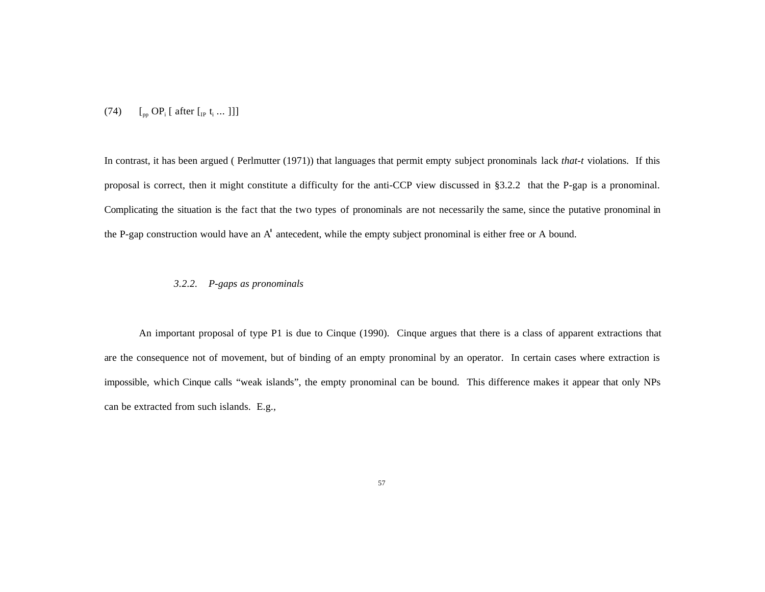(74)  $\left[ \begin{array}{cc} \n\text{op } \Omega_{\text{p}} \text{P}_i \text{ [ after } t_i \dots \text{ ]} \n\end{array} \right]$ 

In contrast, it has been argued ( Perlmutter (1971)) that languages that permit empty subject pronominals lack *that-t* violations. If this proposal is correct, then it might constitute a difficulty for the anti-CCP view discussed in §3.2.2 that the P-gap is a pronominal. Complicating the situation is the fact that the two types of pronominals are not necessarily the same, since the putative pronominal in the P-gap construction would have an A' antecedent, while the empty subject pronominal is either free or A bound.

## *3.2.2. P-gaps as pronominals*

An important proposal of type P1 is due to Cinque (1990). Cinque argues that there is a class of apparent extractions that are the consequence not of movement, but of binding of an empty pronominal by an operator. In certain cases where extraction is impossible, which Cinque calls "weak islands", the empty pronominal can be bound. This difference makes it appear that only NPs can be extracted from such islands. E.g.,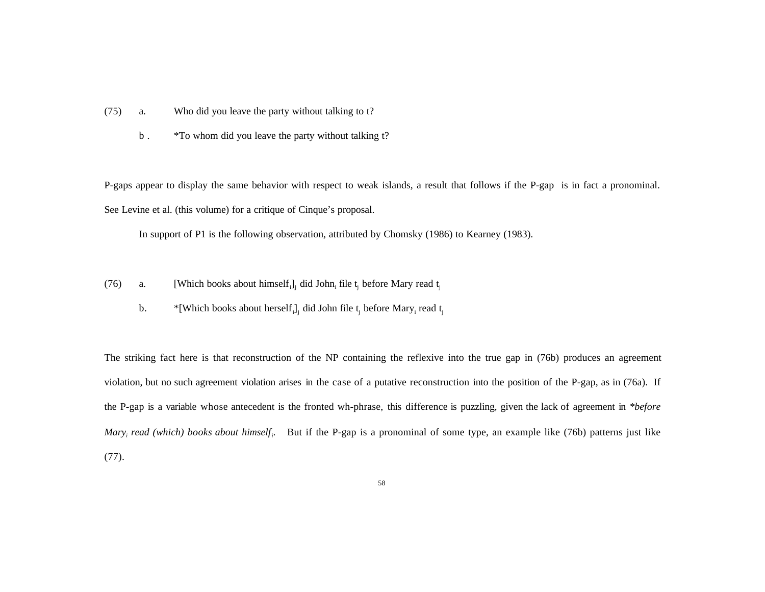- (75) a. Who did you leave the party without talking to t?
	- b . \*To whom did you leave the party without talking t?

P-gaps appear to display the same behavior with respect to weak islands, a result that follows if the P-gap is in fact a pronominal. See Levine et al. (this volume) for a critique of Cinque's proposal.

In support of P1 is the following observation, attributed by Chomsky (1986) to Kearney (1983).

- (76) a. [Which books about himself<sub>i</sub>, did John<sub>i</sub> file t<sub>i</sub> before Mary read t<sub>i</sub>
	- b.  $*$ [Which books about herself<sub>i</sub>]<sub>i</sub> did John file t<sub>i</sub> before Mary<sub>i</sub> read t<sub>i</sub>

The striking fact here is that reconstruction of the NP containing the reflexive into the true gap in (76b) produces an agreement violation, but no such agreement violation arises in the case of a putative reconstruction into the position of the P-gap, as in (76a). If the P-gap is a variable whose antecedent is the fronted wh-phrase, this difference is puzzling, given the lack of agreement in *\*before Mary<sup>i</sup> read (which) books about himself<sup>i</sup>* . But if the P-gap is a pronominal of some type, an example like (76b) patterns just like (77).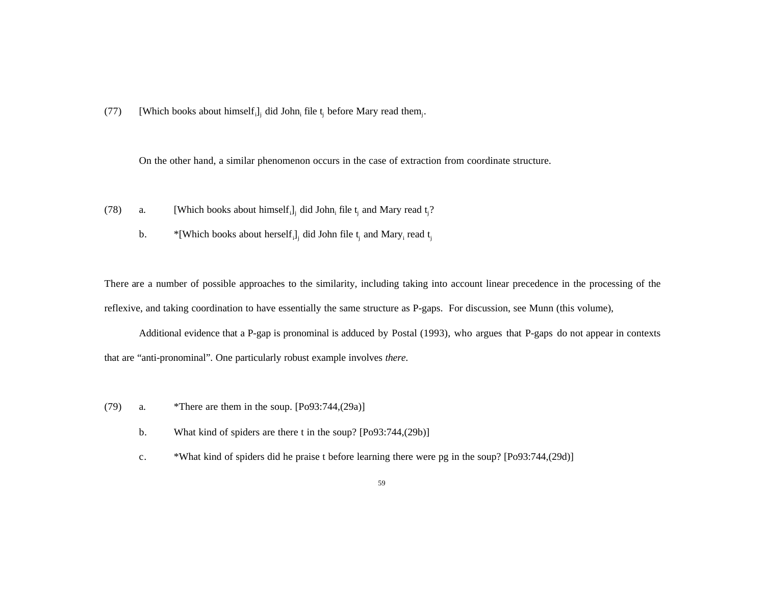(77) [Which books about himself<sub>i</sub>]<sub>i</sub> did John<sub>i</sub> file t<sub>i</sub> before Mary read them<sub>i</sub>.

On the other hand, a similar phenomenon occurs in the case of extraction from coordinate structure.

- (78) a. [Which books about himself<sub>i</sub>]<sub>i</sub> did John<sub>i</sub> file t<sub>i</sub> and Mary read t<sub>i</sub>?
	- b.  $*$ [Which books about herself<sub>i</sub>]<sub>i</sub> did John file t<sub>i</sub> and Mary<sub>i</sub> read t<sub>i</sub>

There are a number of possible approaches to the similarity, including taking into account linear precedence in the processing of the reflexive, and taking coordination to have essentially the same structure as P-gaps. For discussion, see Munn (this volume),

Additional evidence that a P-gap is pronominal is adduced by Postal (1993), who argues that P-gaps do not appear in contexts that are "anti-pronominal". One particularly robust example involves *there*.

- (79) a. \*There are them in the soup.  $[Po93:744,(29a)]$ 
	- b. What kind of spiders are there t in the soup? [Po93:744,(29b)]
	- c. \*What kind of spiders did he praise t before learning there were pg in the soup? [Po93:744,(29d)]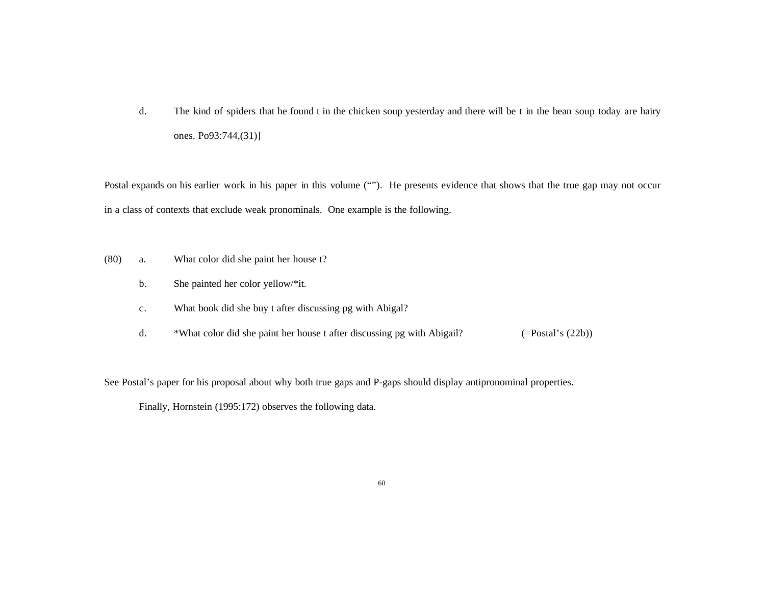d. The kind of spiders that he found t in the chicken soup yesterday and there will be t in the bean soup today are hairy ones. Po93:744,(31)]

Postal expands on his earlier work in his paper in this volume (""). He presents evidence that shows that the true gap may not occur in a class of contexts that exclude weak pronominals. One example is the following.

- (80) a. What color did she paint her house t?
	- b. She painted her color yellow/\*it.
	- c. What book did she buy t after discussing pg with Abigal?
	- d. \*What color did she paint her house t after discussing pg with Abigail? (=Postal's (22b))

See Postal's paper for his proposal about why both true gaps and P-gaps should display antipronominal properties.

Finally, Hornstein (1995:172) observes the following data.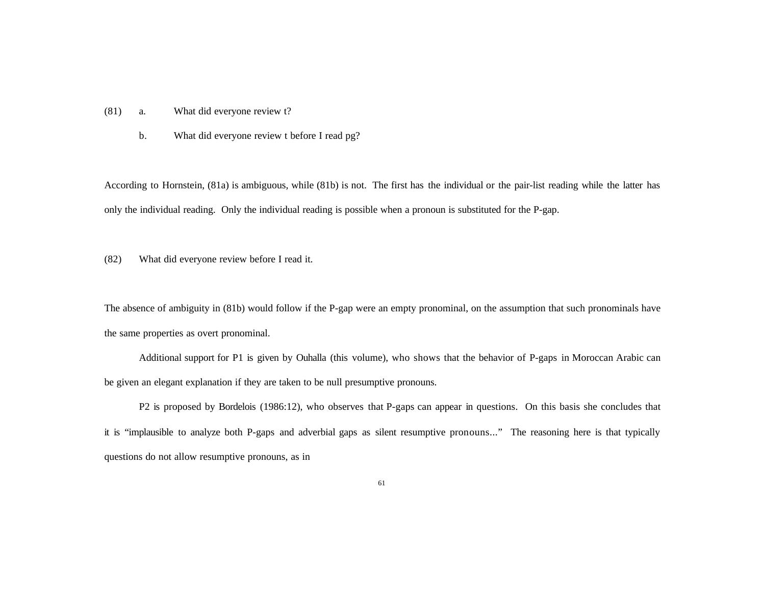- (81) a. What did everyone review t?
	- b. What did everyone review t before I read pg?

According to Hornstein, (81a) is ambiguous, while (81b) is not. The first has the individual or the pair-list reading while the latter has only the individual reading. Only the individual reading is possible when a pronoun is substituted for the P-gap.

(82) What did everyone review before I read it.

The absence of ambiguity in (81b) would follow if the P-gap were an empty pronominal, on the assumption that such pronominals have the same properties as overt pronominal.

Additional support for P1 is given by Ouhalla (this volume), who shows that the behavior of P-gaps in Moroccan Arabic can be given an elegant explanation if they are taken to be null presumptive pronouns.

P2 is proposed by Bordelois (1986:12), who observes that P-gaps can appear in questions. On this basis she concludes that it is "implausible to analyze both P-gaps and adverbial gaps as silent resumptive pronouns..." The reasoning here is that typically questions do not allow resumptive pronouns, as in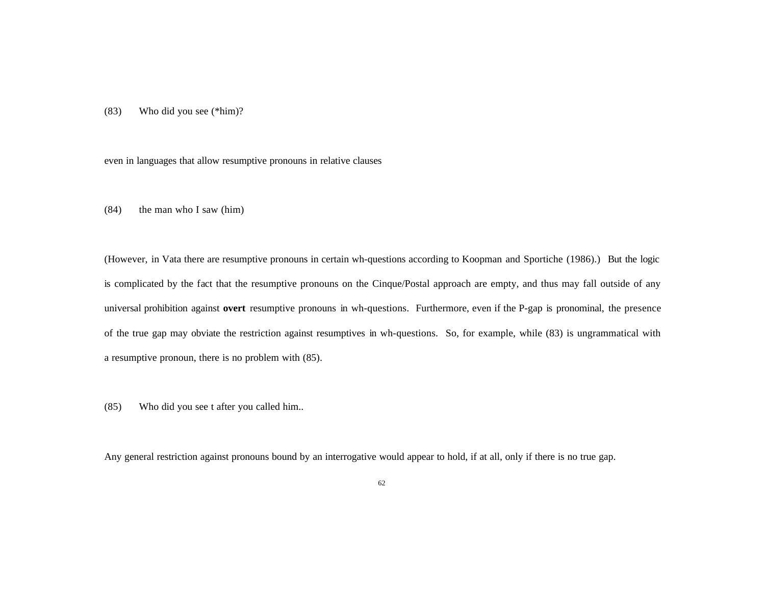(83) Who did you see (\*him)?

even in languages that allow resumptive pronouns in relative clauses

 $(84)$  the man who I saw (him)

(However, in Vata there are resumptive pronouns in certain wh-questions according to Koopman and Sportiche (1986).) But the logic is complicated by the fact that the resumptive pronouns on the Cinque/Postal approach are empty, and thus may fall outside of any universal prohibition against **overt** resumptive pronouns in wh-questions. Furthermore, even if the P-gap is pronominal, the presence of the true gap may obviate the restriction against resumptives in wh-questions. So, for example, while (83) is ungrammatical with a resumptive pronoun, there is no problem with (85).

(85) Who did you see t after you called him..

Any general restriction against pronouns bound by an interrogative would appear to hold, if at all, only if there is no true gap.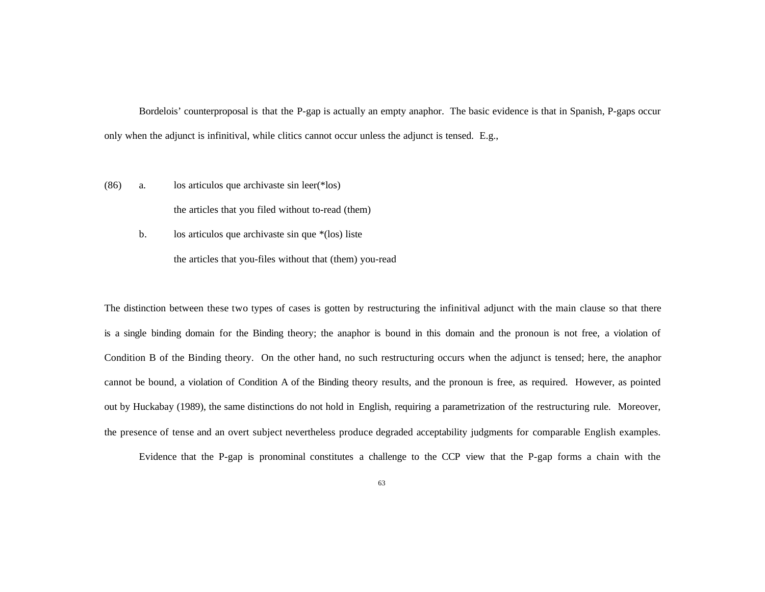Bordelois' counterproposal is that the P-gap is actually an empty anaphor. The basic evidence is that in Spanish, P-gaps occur only when the adjunct is infinitival, while clitics cannot occur unless the adjunct is tensed. E.g.,

(86) a. los articulos que archivaste sin leer(\*los)

the articles that you filed without to-read (them)

b. los articulos que archivaste sin que \*(los) liste

the articles that you-files without that (them) you-read

The distinction between these two types of cases is gotten by restructuring the infinitival adjunct with the main clause so that there is a single binding domain for the Binding theory; the anaphor is bound in this domain and the pronoun is not free, a violation of Condition B of the Binding theory. On the other hand, no such restructuring occurs when the adjunct is tensed; here, the anaphor cannot be bound, a violation of Condition A of the Binding theory results, and the pronoun is free, as required. However, as pointed out by Huckabay (1989), the same distinctions do not hold in English, requiring a parametrization of the restructuring rule. Moreover, the presence of tense and an overt subject nevertheless produce degraded acceptability judgments for comparable English examples.

Evidence that the P-gap is pronominal constitutes a challenge to the CCP view that the P-gap forms a chain with the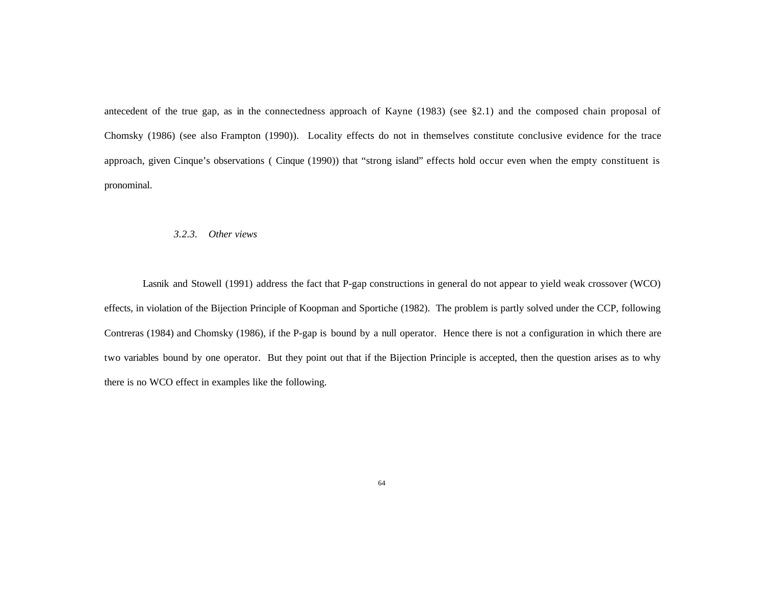antecedent of the true gap, as in the connectedness approach of Kayne (1983) (see §2.1) and the composed chain proposal of Chomsky (1986) (see also Frampton (1990)). Locality effects do not in themselves constitute conclusive evidence for the trace approach, given Cinque's observations ( Cinque (1990)) that "strong island" effects hold occur even when the empty constituent is pronominal.

#### *3.2.3. Other views*

Lasnik and Stowell (1991) address the fact that P-gap constructions in general do not appear to yield weak crossover (WCO) effects, in violation of the Bijection Principle of Koopman and Sportiche (1982). The problem is partly solved under the CCP, following Contreras (1984) and Chomsky (1986), if the P-gap is bound by a null operator. Hence there is not a configuration in which there are two variables bound by one operator. But they point out that if the Bijection Principle is accepted, then the question arises as to why there is no WCO effect in examples like the following.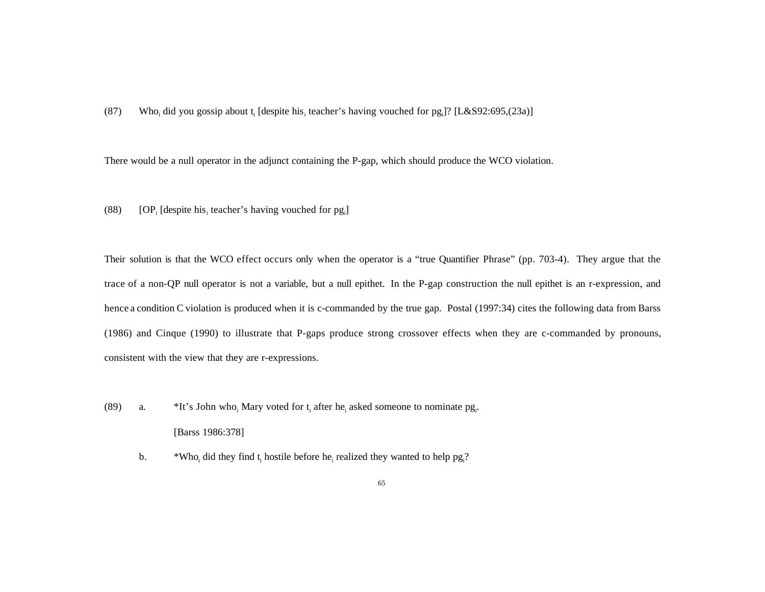(87) Who<sub>i</sub> did you gossip about t<sub>i</sub> [despite his<sub>i</sub> teacher's having vouched for pg<sub>i</sub>]? [L&S92:695,(23a)]

There would be a null operator in the adjunct containing the P-gap, which should produce the WCO violation.

(88) [OP<sub>i</sub> [despite his<sub>i</sub> teacher's having vouched for pg<sub>i</sub>]

Their solution is that the WCO effect occurs only when the operator is a "true Quantifier Phrase" (pp. 703-4). They argue that the trace of a non-QP null operator is not a variable, but a null epithet. In the P-gap construction the null epithet is an r-expression, and hence a condition C violation is produced when it is c-commanded by the true gap. Postal (1997:34) cites the following data from Barss (1986) and Cinque (1990) to illustrate that P-gaps produce strong crossover effects when they are c-commanded by pronouns, consistent with the view that they are r-expressions.

- (89) a. \*It's John who<sub>i</sub> Mary voted for  $t_i$  after he<sub>i</sub> asked someone to nominate pg<sub>i</sub>. [Barss 1986:378]
	- b.  $*W$ ho<sub>i</sub> did they find t<sub>i</sub> hostile before he<sub>i</sub> realized they wanted to help pg<sub>i</sub>?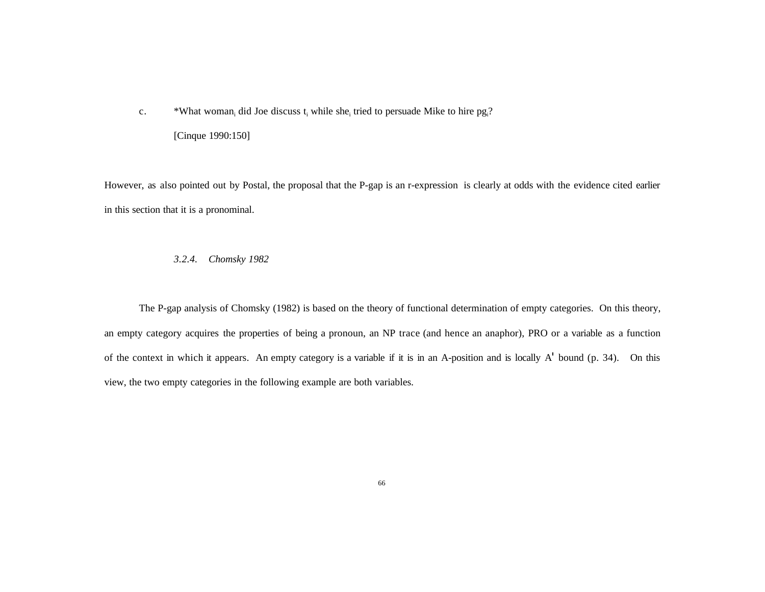c. \*What woman<sub>i</sub> did Joe discuss  $t_i$  while she<sub>i</sub> tried to persuade Mike to hire pg<sub>i</sub>?

[Cinque 1990:150]

However, as also pointed out by Postal, the proposal that the P-gap is an r-expression is clearly at odds with the evidence cited earlier in this section that it is a pronominal.

## *3.2.4. Chomsky 1982*

The P-gap analysis of Chomsky (1982) is based on the theory of functional determination of empty categories. On this theory, an empty category acquires the properties of being a pronoun, an NP trace (and hence an anaphor), PRO or a variable as a function of the context in which it appears. An empty category is a variable if it is in an A-position and is locally A' bound (p. 34). On this view, the two empty categories in the following example are both variables.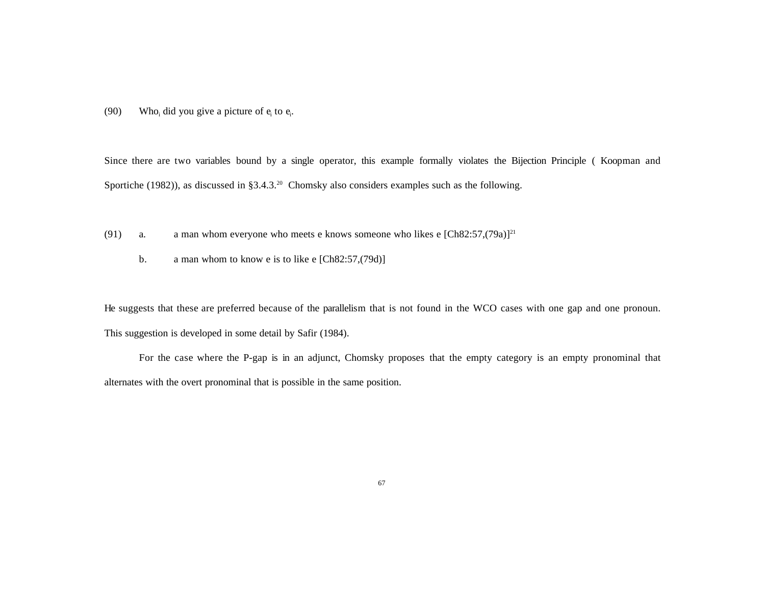(90) Who<sub>i</sub> did you give a picture of  $e_i$  to  $e_i$ .

Since there are two variables bound by a single operator, this example formally violates the Bijection Principle ( Koopman and Sportiche (1982)), as discussed in §3.4.3.<sup>20</sup> Chomsky also considers examples such as the following.

- (91) a. a man whom everyone who meets e knows someone who likes e  $[Ch82:57,(79a)]^{21}$ 
	- b. a man whom to know e is to like e [Ch82:57,(79d)]

He suggests that these are preferred because of the parallelism that is not found in the WCO cases with one gap and one pronoun. This suggestion is developed in some detail by Safir (1984).

For the case where the P-gap is in an adjunct, Chomsky proposes that the empty category is an empty pronominal that alternates with the overt pronominal that is possible in the same position.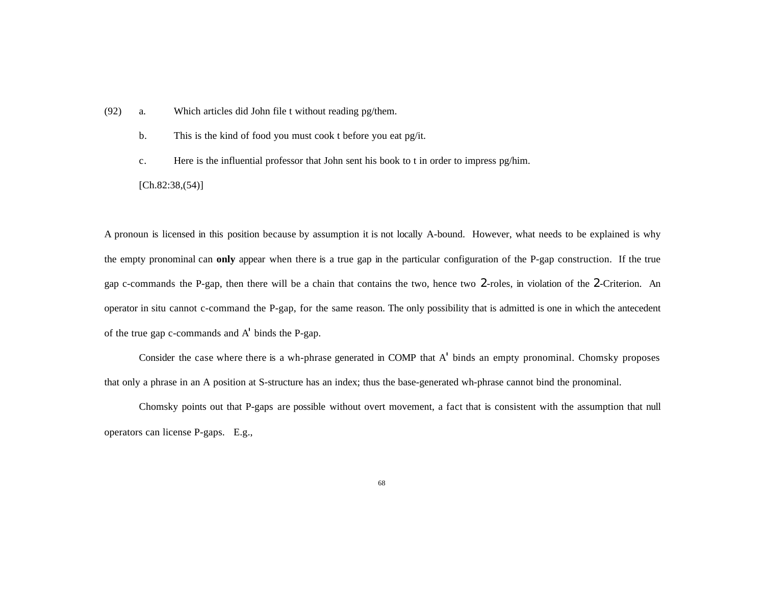- (92) a. Which articles did John file t without reading pg/them.
	- b. This is the kind of food you must cook t before you eat pg/it.
	- c. Here is the influential professor that John sent his book to t in order to impress pg/him.

 $[Ch.82:38,(54)]$ 

A pronoun is licensed in this position because by assumption it is not locally A-bound. However, what needs to be explained is why the empty pronominal can **only** appear when there is a true gap in the particular configuration of the P-gap construction. If the true gap c-commands the P-gap, then there will be a chain that contains the two, hence two 2-roles, in violation of the 2-Criterion. An operator in situ cannot c-command the P-gap, for the same reason. The only possibility that is admitted is one in which the antecedent of the true gap c-commands and A' binds the P-gap.

Consider the case where there is a wh-phrase generated in COMP that A' binds an empty pronominal. Chomsky proposes that only a phrase in an A position at S-structure has an index; thus the base-generated wh-phrase cannot bind the pronominal.

Chomsky points out that P-gaps are possible without overt movement, a fact that is consistent with the assumption that null operators can license P-gaps. E.g.,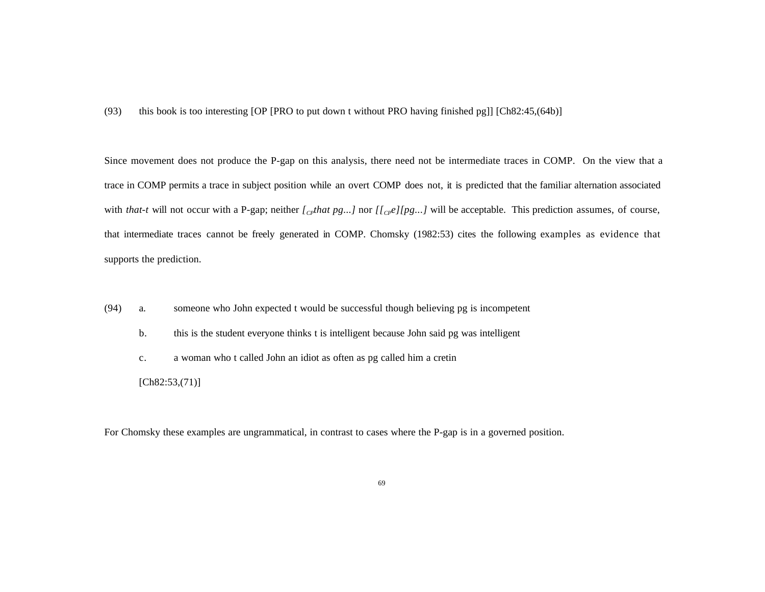(93) this book is too interesting [OP [PRO to put down t without PRO having finished pg]] [Ch82:45,(64b)]

Since movement does not produce the P-gap on this analysis, there need not be intermediate traces in COMP. On the view that a trace in COMP permits a trace in subject position while an overt COMP does not, it is predicted that the familiar alternation associated with *that-t* will not occur with a P-gap; neither  $\int_{C}$ *that pg...]* nor  $\int_{C}$ *e*][*pg...]* will be acceptable. This prediction assumes, of course, that intermediate traces cannot be freely generated in COMP. Chomsky (1982:53) cites the following examples as evidence that supports the prediction.

- (94) a. someone who John expected t would be successful though believing pg is incompetent
	- b. this is the student everyone thinks t is intelligent because John said pg was intelligent
	- c. a woman who t called John an idiot as often as pg called him a cretin
	- $[Ch82:53,(71)]$

For Chomsky these examples are ungrammatical, in contrast to cases where the P-gap is in a governed position.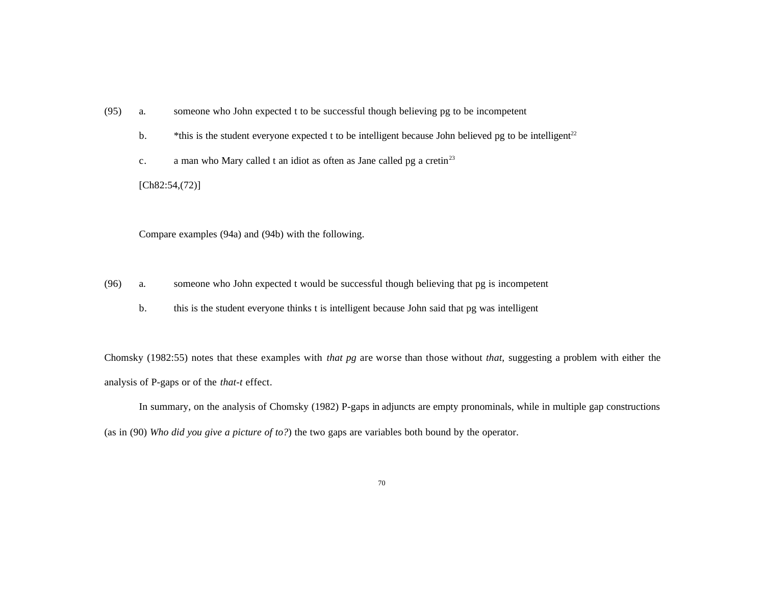- (95) a. someone who John expected t to be successful though believing pg to be incompetent
	- b.  $*$ this is the student everyone expected t to be intelligent because John believed pg to be intelligent<sup>22</sup>
	- c. a man who Mary called t an idiot as often as Jane called pg a cretin<sup>23</sup>

[Ch82:54,(72)]

Compare examples (94a) and (94b) with the following.

- (96) a. someone who John expected t would be successful though believing that pg is incompetent
	- b. this is the student everyone thinks t is intelligent because John said that pg was intelligent

Chomsky (1982:55) notes that these examples with *that pg* are worse than those without *that*, suggesting a problem with either the analysis of P-gaps or of the *that-t* effect.

In summary, on the analysis of Chomsky (1982) P-gaps in adjuncts are empty pronominals, while in multiple gap constructions (as in (90) *Who did you give a picture of to?*) the two gaps are variables both bound by the operator.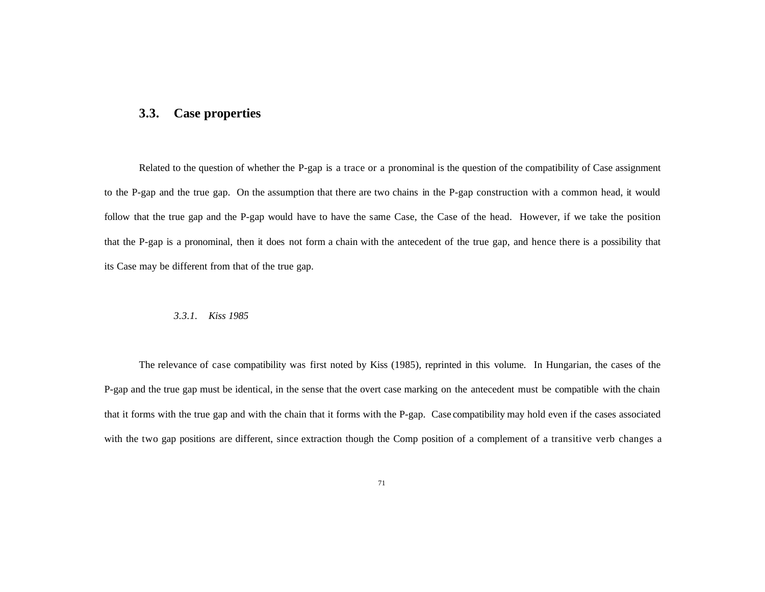## **3.3. Case properties**

Related to the question of whether the P-gap is a trace or a pronominal is the question of the compatibility of Case assignment to the P-gap and the true gap. On the assumption that there are two chains in the P-gap construction with a common head, it would follow that the true gap and the P-gap would have to have the same Case, the Case of the head. However, if we take the position that the P-gap is a pronominal, then it does not form a chain with the antecedent of the true gap, and hence there is a possibility that its Case may be different from that of the true gap.

#### *3.3.1. Kiss 1985*

The relevance of case compatibility was first noted by Kiss (1985), reprinted in this volume. In Hungarian, the cases of the P-gap and the true gap must be identical, in the sense that the overt case marking on the antecedent must be compatible with the chain that it forms with the true gap and with the chain that it forms with the P-gap. Case compatibility may hold even if the cases associated with the two gap positions are different, since extraction though the Comp position of a complement of a transitive verb changes a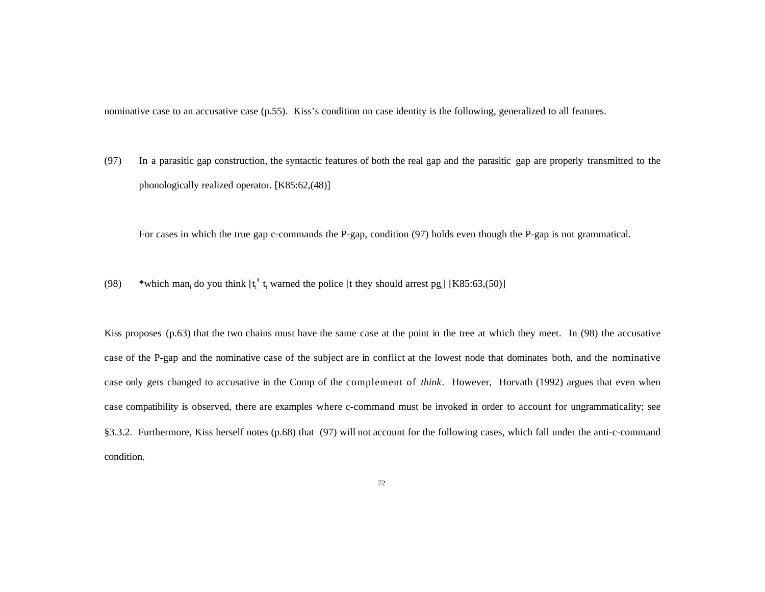nominative case to an accusative case (p.55). Kiss's condition on case identity is the following, generalized to all features.

(97) In a parasitic gap construction, the syntactic features of both the real gap and the parasitic gap are properly transmitted to the phonologically realized operator. [K85:62,(48)]

For cases in which the true gap c-commands the P-gap, condition (97) holds even though the P-gap is not grammatical.

(98) \*which man<sub>i</sub> do you think  $[t_i' t_i$  warned the police [t they should arrest pg<sub>i</sub>] [K85:63,(50)]

Kiss proposes (p.63) that the two chains must have the same case at the point in the tree at which they meet. In (98) the accusative case of the P-gap and the nominative case of the subject are in conflict at the lowest node that dominates both, and the nominative case only gets changed to accusative in the Comp of the complement of *think*. However, Horvath (1992) argues that even when case compatibility is observed, there are examples where c-command must be invoked in order to account for ungrammaticality; see §3.3.2. Furthermore, Kiss herself notes (p.68) that (97) will not account for the following cases, which fall under the anti-c-command condition.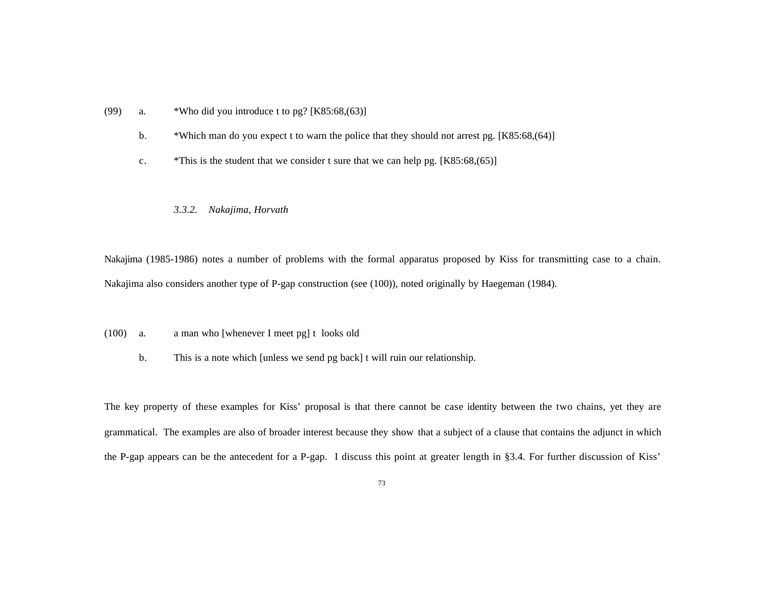- (99) a. \*Who did you introduce t to pg?  $[K85:68,(63)]$ 
	- b. \*Which man do you expect t to warn the police that they should not arrest pg. [K85:68,(64)]
	- c.  $*$ This is the student that we consider t sure that we can help pg. [K85:68,(65)]

### *3.3.2. Nakajima, Horvath*

Nakajima (1985-1986) notes a number of problems with the formal apparatus proposed by Kiss for transmitting case to a chain. Nakajima also considers another type of P-gap construction (see (100)), noted originally by Haegeman (1984).

- (100) a. a man who [whenever I meet pg] t looks old
	- b. This is a note which [unless we send pg back] t will ruin our relationship.

The key property of these examples for Kiss' proposal is that there cannot be case identity between the two chains, yet they are grammatical. The examples are also of broader interest because they show that a subject of a clause that contains the adjunct in which the P-gap appears can be the antecedent for a P-gap. I discuss this point at greater length in §3.4. For further discussion of Kiss'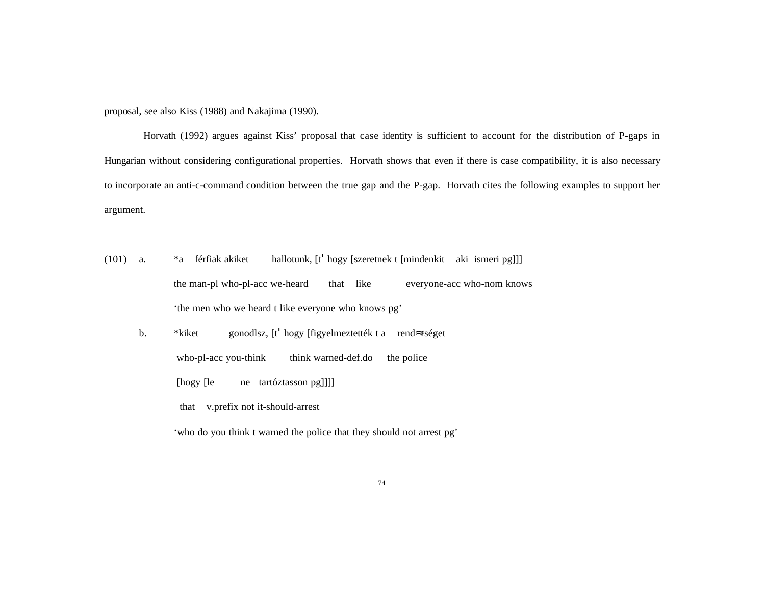proposal, see also Kiss (1988) and Nakajima (1990).

Horvath (1992) argues against Kiss' proposal that case identity is sufficient to account for the distribution of P-gaps in Hungarian without considering configurational properties. Horvath shows that even if there is case compatibility, it is also necessary to incorporate an anti-c-command condition between the true gap and the P-gap. Horvath cites the following examples to support her argument.

- (101) a. \*a férfiak akiket hallotunk, [t' hogy [szeretnek t [mindenkit aki ismeri pg]]] the man-pl who-pl-acc we-heard that like everyone-acc who-nom knows 'the men who we heard t like everyone who knows pg'
	- b. \*kiket gonodlsz, [t' hogy [figyelmeztették t a rendÅrséget who-pl-acc you-think think warned-def.do the police [hogy [le ne tartóztasson pg]]]] that v.prefix not it-should-arrest

'who do you think t warned the police that they should not arrest pg'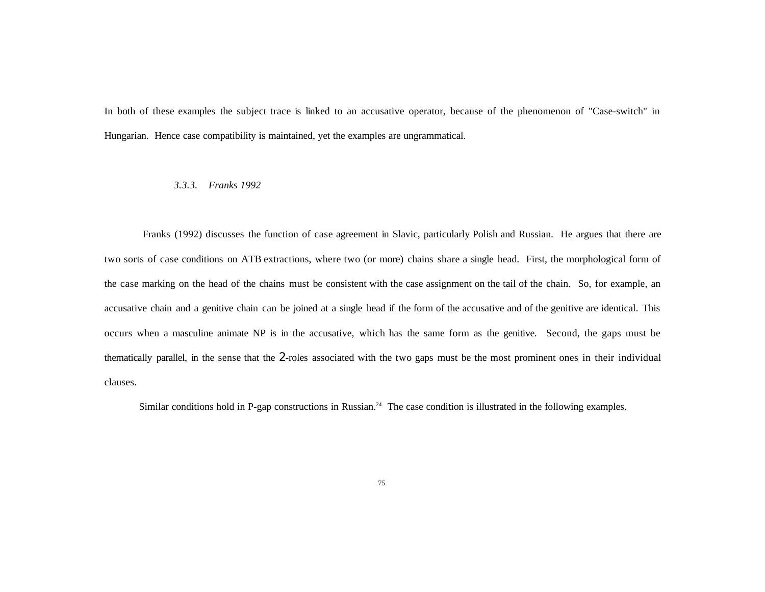In both of these examples the subject trace is linked to an accusative operator, because of the phenomenon of "Case-switch" in Hungarian. Hence case compatibility is maintained, yet the examples are ungrammatical.

#### *3.3.3. Franks 1992*

Franks (1992) discusses the function of case agreement in Slavic, particularly Polish and Russian. He argues that there are two sorts of case conditions on ATB extractions, where two (or more) chains share a single head. First, the morphological form of the case marking on the head of the chains must be consistent with the case assignment on the tail of the chain. So, for example, an accusative chain and a genitive chain can be joined at a single head if the form of the accusative and of the genitive are identical. This occurs when a masculine animate NP is in the accusative, which has the same form as the genitive. Second, the gaps must be thematically parallel, in the sense that the 2-roles associated with the two gaps must be the most prominent ones in their individual clauses.

Similar conditions hold in P-gap constructions in Russian.<sup>24</sup> The case condition is illustrated in the following examples.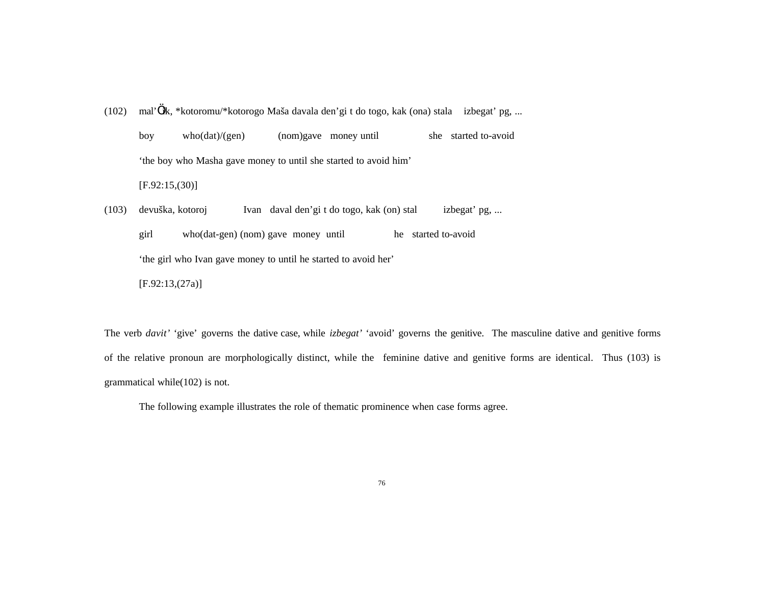(102) mal'…ik, \*kotoromu/\*kotorogo Maša davala den'gi t do togo, kak (ona) stala izbegat' pg, ... boy who(dat)/(gen) (nom)gave money until she started to-avoid 'the boy who Masha gave money to until she started to avoid him'  $[F.92:15,(30)]$ (103) devuška, kotoroj Ivan daval den'gi t do togo, kak (on) stal izbegat' pg, ... girl who(dat-gen) (nom) gave money until he started to-avoid 'the girl who Ivan gave money to until he started to avoid her'

[F.92:13,(27a)]

The verb *davit'* 'give' governs the dative case, while *izbegat'* 'avoid' governs the genitive. The masculine dative and genitive forms of the relative pronoun are morphologically distinct, while the feminine dative and genitive forms are identical. Thus (103) is grammatical while(102) is not.

The following example illustrates the role of thematic prominence when case forms agree.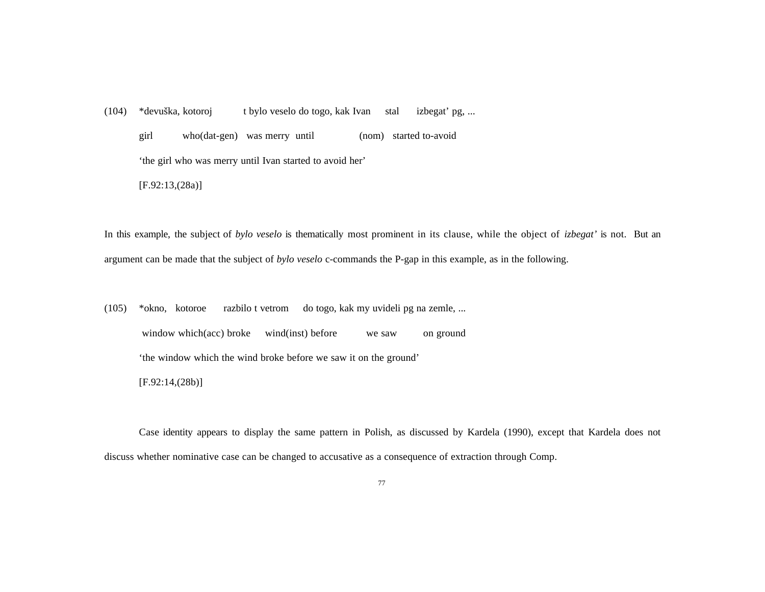(104) \*devuška, kotoroj t bylo veselo do togo, kak Ivan stal izbegat' pg, ...

girl who(dat-gen) was merry until (nom) started to-avoid

'the girl who was merry until Ivan started to avoid her'

[F.92:13,(28a)]

In this example, the subject of *bylo veselo* is thematically most prominent in its clause, while the object of *izbegat'* is not. But an argument can be made that the subject of *bylo veselo* c-commands the P-gap in this example, as in the following.

(105) \*okno, kotoroe razbilo t vetrom do togo, kak my uvideli pg na zemle, ... window which(acc) broke wind(inst) before we saw on ground 'the window which the wind broke before we saw it on the ground' [F.92:14,(28b)]

Case identity appears to display the same pattern in Polish, as discussed by Kardela (1990), except that Kardela does not discuss whether nominative case can be changed to accusative as a consequence of extraction through Comp.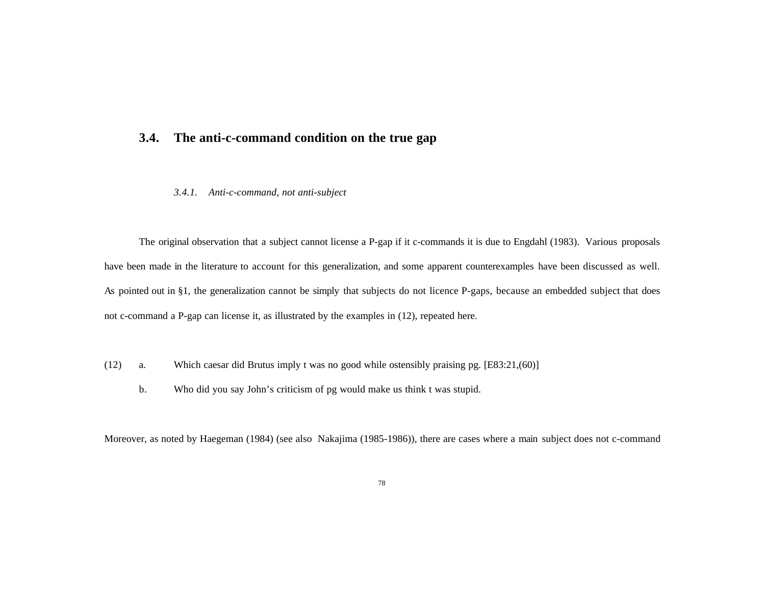# **3.4. The anti-c-command condition on the true gap**

### *3.4.1. Anti-c-command, not anti-subject*

The original observation that a subject cannot license a P-gap if it c-commands it is due to Engdahl (1983). Various proposals have been made in the literature to account for this generalization, and some apparent counterexamples have been discussed as well. As pointed out in §1, the generalization cannot be simply that subjects do not licence P-gaps, because an embedded subject that does not c-command a P-gap can license it, as illustrated by the examples in (12), repeated here.

- (12) a. Which caesar did Brutus imply t was no good while ostensibly praising pg. [E83:21,(60)]
	- b. Who did you say John's criticism of pg would make us think t was stupid.

Moreover, as noted by Haegeman (1984) (see also Nakajima (1985-1986)), there are cases where a main subject does not c-command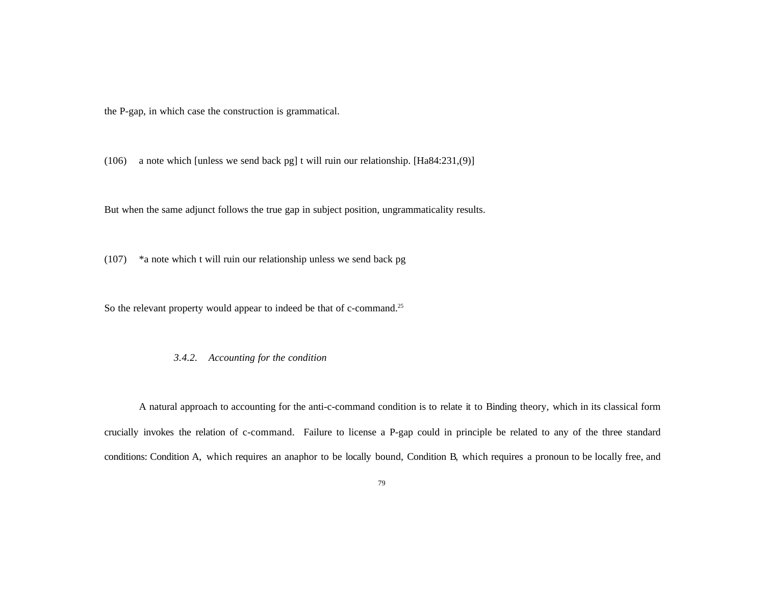the P-gap, in which case the construction is grammatical.

(106) a note which [unless we send back pg] t will ruin our relationship. [Ha84:231,(9)]

But when the same adjunct follows the true gap in subject position, ungrammaticality results.

(107) \*a note which t will ruin our relationship unless we send back pg

So the relevant property would appear to indeed be that of c-command.<sup>25</sup>

### *3.4.2. Accounting for the condition*

A natural approach to accounting for the anti-c-command condition is to relate it to Binding theory, which in its classical form crucially invokes the relation of c-command. Failure to license a P-gap could in principle be related to any of the three standard conditions: Condition A, which requires an anaphor to be locally bound, Condition B, which requires a pronoun to be locally free, and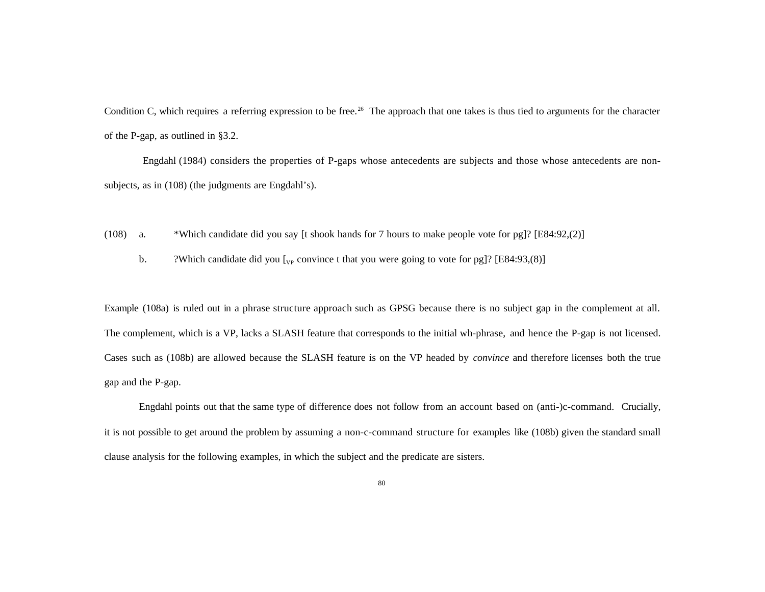Condition C, which requires a referring expression to be free.<sup>26</sup> The approach that one takes is thus tied to arguments for the character of the P-gap, as outlined in §3.2.

Engdahl (1984) considers the properties of P-gaps whose antecedents are subjects and those whose antecedents are nonsubjects, as in (108) (the judgments are Engdahl's).

- (108) a. \*Which candidate did you say [t shook hands for 7 hours to make people vote for pg]? [E84:92,(2)]
	- b. ?Which candidate did you  $\lbrack v_p$  convince t that you were going to vote for pg]? [E84:93,(8)]

Example (108a) is ruled out in a phrase structure approach such as GPSG because there is no subject gap in the complement at all. The complement, which is a VP, lacks a SLASH feature that corresponds to the initial wh-phrase, and hence the P-gap is not licensed. Cases such as (108b) are allowed because the SLASH feature is on the VP headed by *convince* and therefore licenses both the true gap and the P-gap.

Engdahl points out that the same type of difference does not follow from an account based on (anti-)c-command. Crucially, it is not possible to get around the problem by assuming a non-c-command structure for examples like (108b) given the standard small clause analysis for the following examples, in which the subject and the predicate are sisters.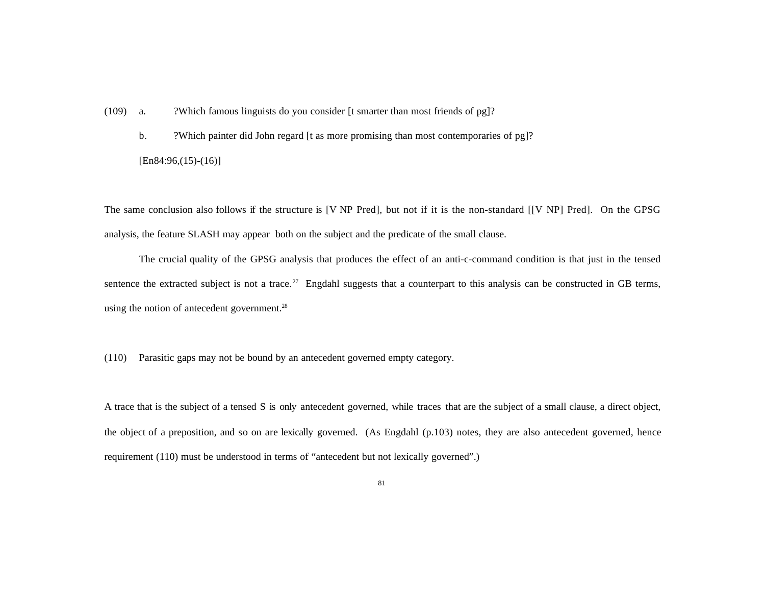(109) a. ?Which famous linguists do you consider [t smarter than most friends of pg]?

b. ?Which painter did John regard [t as more promising than most contemporaries of pg]?

 $[En84:96,(15)-(16)]$ 

The same conclusion also follows if the structure is [V NP Pred], but not if it is the non-standard [[V NP] Pred]. On the GPSG analysis, the feature SLASH may appear both on the subject and the predicate of the small clause.

The crucial quality of the GPSG analysis that produces the effect of an anti-c-command condition is that just in the tensed sentence the extracted subject is not a trace.<sup>27</sup> Engdahl suggests that a counterpart to this analysis can be constructed in GB terms, using the notion of antecedent government.<sup>28</sup>

(110) Parasitic gaps may not be bound by an antecedent governed empty category.

A trace that is the subject of a tensed S is only antecedent governed, while traces that are the subject of a small clause, a direct object, the object of a preposition, and so on are lexically governed. (As Engdahl (p.103) notes, they are also antecedent governed, hence requirement (110) must be understood in terms of "antecedent but not lexically governed".)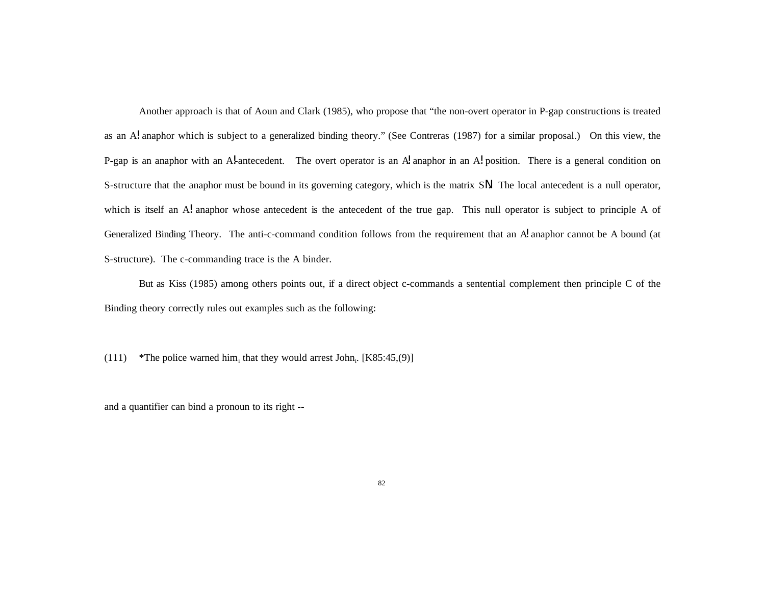Another approach is that of Aoun and Clark (1985), who propose that "the non-overt operator in P-gap constructions is treated as an A! anaphor which is subject to a generalized binding theory." (See Contreras (1987) for a similar proposal.) On this view, the P-gap is an anaphor with an Al-antecedent. The overt operator is an A anaphor in an Al position. There is a general condition on S-structure that the anaphor must be bound in its governing category, which is the matrix SN. The local antecedent is a null operator, which is itself an A! anaphor whose antecedent is the antecedent of the true gap. This null operator is subject to principle A of Generalized Binding Theory. The anti-c-command condition follows from the requirement that an  $\mathcal A$  anaphor cannot be A bound (at S-structure). The c-commanding trace is the A binder.

But as Kiss (1985) among others points out, if a direct object c-commands a sentential complement then principle C of the Binding theory correctly rules out examples such as the following:

(111) \*The police warned him<sub>i</sub> that they would arrest John<sub>i</sub>. [K85:45,(9)]

and a quantifier can bind a pronoun to its right --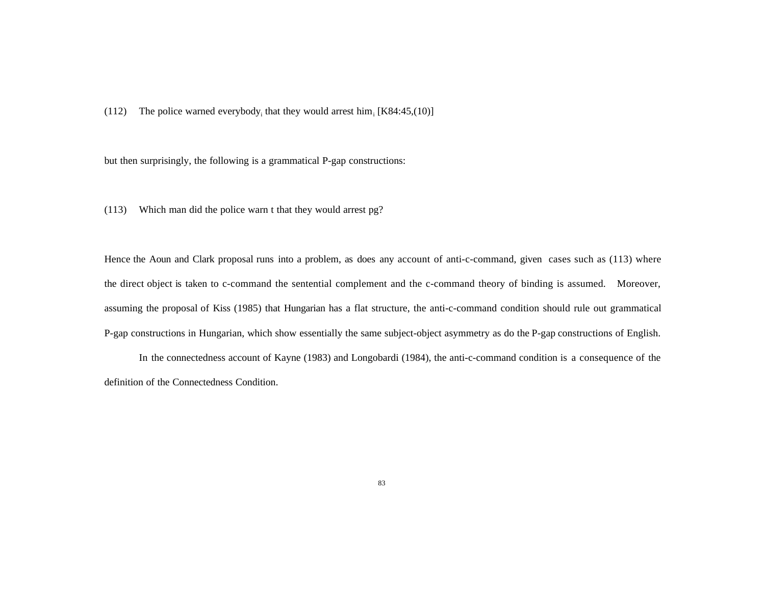(112) The police warned everybody<sub>i</sub> that they would arrest him<sub>i</sub> [K84:45,(10)]

but then surprisingly, the following is a grammatical P-gap constructions:

(113) Which man did the police warn t that they would arrest pg?

Hence the Aoun and Clark proposal runs into a problem, as does any account of anti-c-command, given cases such as (113) where the direct object is taken to c-command the sentential complement and the c-command theory of binding is assumed. Moreover, assuming the proposal of Kiss (1985) that Hungarian has a flat structure, the anti-c-command condition should rule out grammatical P-gap constructions in Hungarian, which show essentially the same subject-object asymmetry as do the P-gap constructions of English.

In the connectedness account of Kayne (1983) and Longobardi (1984), the anti-c-command condition is a consequence of the definition of the Connectedness Condition.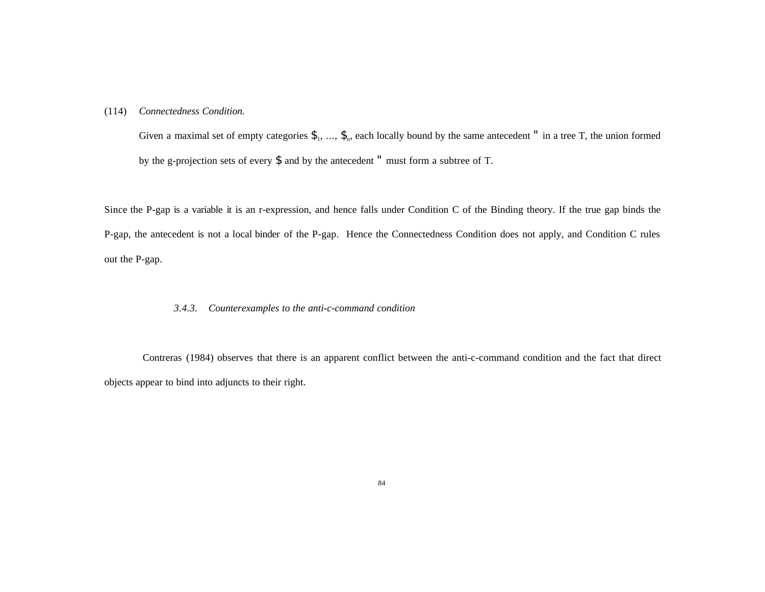### (114) *Connectedness Condition.*

Given a maximal set of empty categories  $\mathcal{F}_1, \ldots, \mathcal{F}_n$ , each locally bound by the same antecedent " in a tree T, the union formed by the g-projection sets of every \$ and by the antecedent " must form a subtree of T.

Since the P-gap is a variable it is an r-expression, and hence falls under Condition C of the Binding theory. If the true gap binds the P-gap, the antecedent is not a local binder of the P-gap. Hence the Connectedness Condition does not apply, and Condition C rules out the P-gap.

### *3.4.3. Counterexamples to the anti-c-command condition*

Contreras (1984) observes that there is an apparent conflict between the anti-c-command condition and the fact that direct objects appear to bind into adjuncts to their right.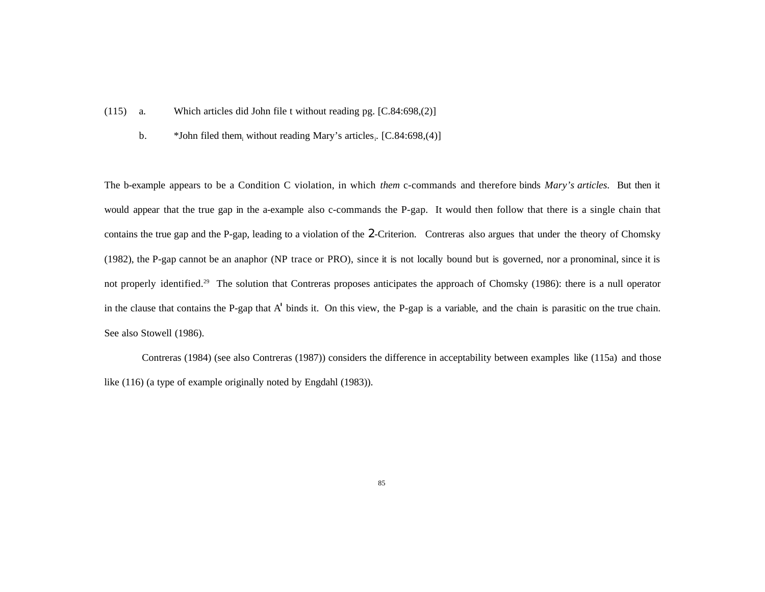- (115) a. Which articles did John file t without reading pg. [C.84:698,(2)]
	- b.  $*$  John filed them, without reading Mary's articles, [C.84:698,(4)]

The b-example appears to be a Condition C violation, in which *them* c-commands and therefore binds *Mary's articles*. But then it would appear that the true gap in the a-example also c-commands the P-gap. It would then follow that there is a single chain that contains the true gap and the P-gap, leading to a violation of the 2-Criterion. Contreras also argues that under the theory of Chomsky (1982), the P-gap cannot be an anaphor (NP trace or PRO), since it is not locally bound but is governed, nor a pronominal, since it is not properly identified.<sup>29</sup> The solution that Contreras proposes anticipates the approach of Chomsky (1986): there is a null operator in the clause that contains the P-gap that A' binds it. On this view, the P-gap is a variable, and the chain is parasitic on the true chain. See also Stowell (1986).

 Contreras (1984) (see also Contreras (1987)) considers the difference in acceptability between examples like (115a) and those like (116) (a type of example originally noted by Engdahl (1983)).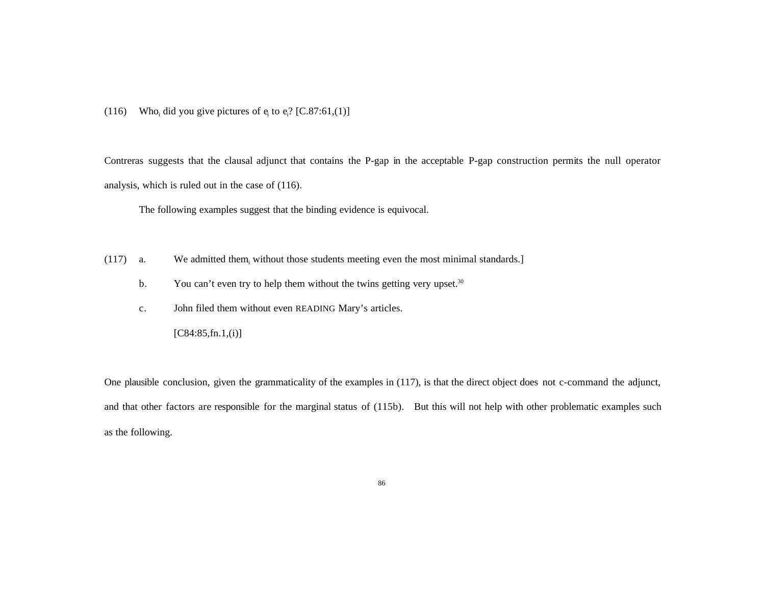(116) Who<sub>i</sub> did you give pictures of  $e_i$  to  $e_i$ ? [C.87:61,(1)]

Contreras suggests that the clausal adjunct that contains the P-gap in the acceptable P-gap construction permits the null operator analysis, which is ruled out in the case of (116).

The following examples suggest that the binding evidence is equivocal.

- $(117)$  a. We admitted them, without those students meeting even the most minimal standards.]
	- b. You can't even try to help them without the twins getting very upset. $30$
	- c. John filed them without even READING Mary's articles.

 $[C84:85,fn.1, (i)]$ 

One plausible conclusion, given the grammaticality of the examples in (117), is that the direct object does not c-command the adjunct, and that other factors are responsible for the marginal status of (115b). But this will not help with other problematic examples such as the following.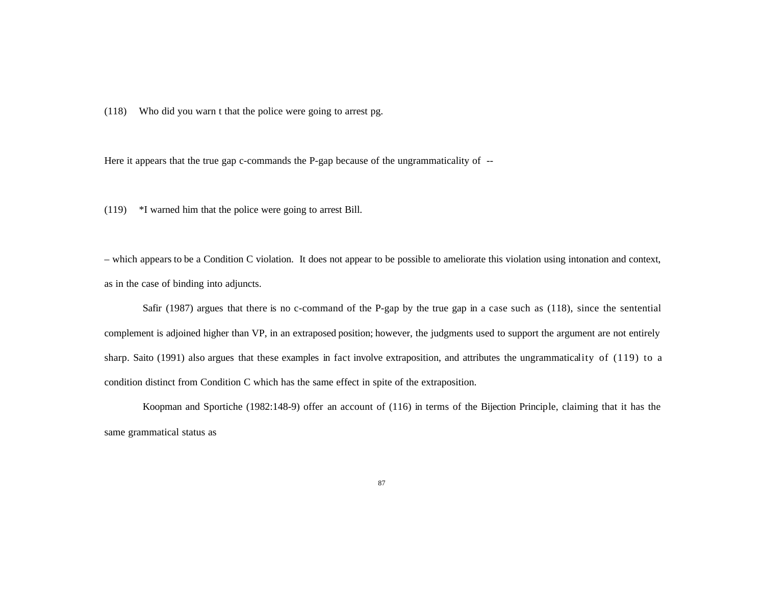(118) Who did you warn t that the police were going to arrest pg.

Here it appears that the true gap c-commands the P-gap because of the ungrammaticality of --

(119) \*I warned him that the police were going to arrest Bill.

– which appears to be a Condition C violation. It does not appear to be possible to ameliorate this violation using intonation and context, as in the case of binding into adjuncts.

Safir (1987) argues that there is no c-command of the P-gap by the true gap in a case such as (118), since the sentential complement is adjoined higher than VP, in an extraposed position; however, the judgments used to support the argument are not entirely sharp. Saito (1991) also argues that these examples in fact involve extraposition, and attributes the ungrammaticality of (119) to a condition distinct from Condition C which has the same effect in spite of the extraposition.

Koopman and Sportiche (1982:148-9) offer an account of (116) in terms of the Bijection Principle, claiming that it has the same grammatical status as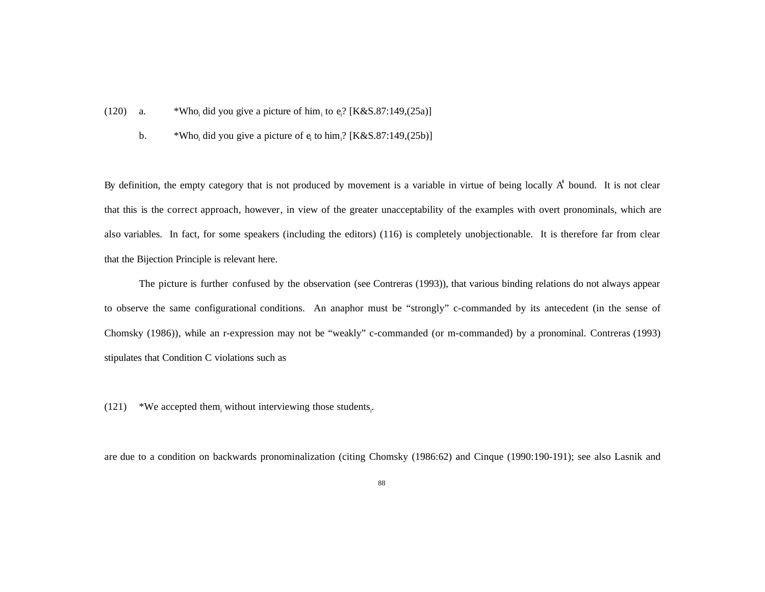- $(120)$  a. did you give a picture of him<sub>i</sub> to  $e_i$ ? [K&S.87:149,(25a)]
	- b. \*Who<sub>i</sub> did you give a picture of  $e_i$  to him<sub>i</sub>? [K&S.87:149,(25b)]

By definition, the empty category that is not produced by movement is a variable in virtue of being locally A' bound. It is not clear that this is the correct approach, however, in view of the greater unacceptability of the examples with overt pronominals, which are also variables. In fact, for some speakers (including the editors) (116) is completely unobjectionable. It is therefore far from clear that the Bijection Principle is relevant here.

The picture is further confused by the observation (see Contreras (1993)), that various binding relations do not always appear to observe the same configurational conditions. An anaphor must be "strongly" c-commanded by its antecedent (in the sense of Chomsky (1986)), while an r-expression may not be "weakly" c-commanded (or m-commanded) by a pronominal. Contreras (1993) stipulates that Condition C violations such as

 $(121)$  \*We accepted them<sub>i</sub> without interviewing those students<sub>i</sub>.

are due to a condition on backwards pronominalization (citing Chomsky (1986:62) and Cinque (1990:190-191); see also Lasnik and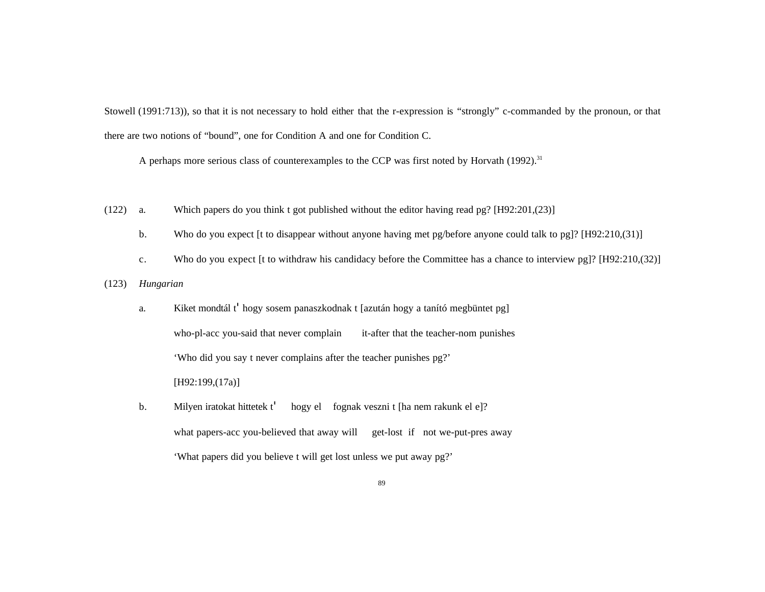Stowell (1991:713)), so that it is not necessary to hold either that the r-expression is "strongly" c-commanded by the pronoun, or that there are two notions of "bound", one for Condition A and one for Condition C.

A perhaps more serious class of counterexamples to the CCP was first noted by Horvath (1992).<sup>31</sup>

- (122) a. Which papers do you think t got published without the editor having read pg? [H92:201,(23)]
	- b. Who do you expect [t to disappear without anyone having met pg/before anyone could talk to pg]? [H92:210,(31)]
	- c. Who do you expect [t to withdraw his candidacy before the Committee has a chance to interview pg]? [H92:210,(32)]
- (123) *Hungarian*
	- a. Kiket mondtál t' hogy sosem panaszkodnak t [azután hogy a tanító megbüntet pg] who-pl-acc you-said that never complain it-after that the teacher-nom punishes 'Who did you say t never complains after the teacher punishes pg?' [H92:199,(17a)]
	- b. Milyen iratokat hittetek t' hogy el fognak veszni t [ha nem rakunk el e]? what papers-acc you-believed that away will get-lost if not we-put-pres away 'What papers did you believe t will get lost unless we put away pg?'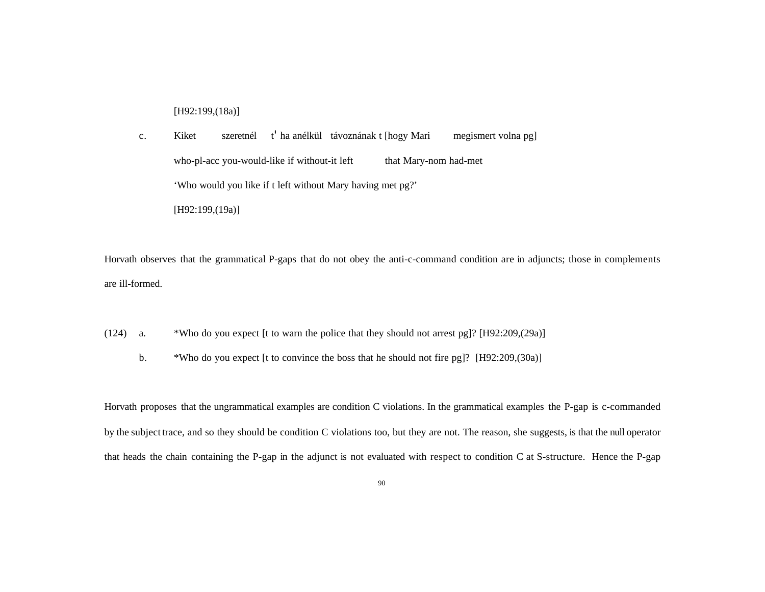[H92:199,(18a)]

c. Kiket szeretnél t' ha anélkül távoznának t [hogy Mari megismert volna pg] who-pl-acc you-would-like if without-it left that Mary-nom had-met 'Who would you like if t left without Mary having met pg?' [H92:199,(19a)]

Horvath observes that the grammatical P-gaps that do not obey the anti-c-command condition are in adjuncts; those in complements are ill-formed.

(124) a. \*Who do you expect [t to warn the police that they should not arrest pg]? [H92:209,(29a)]

b. \*Who do you expect [t to convince the boss that he should not fire pg]? [H92:209,(30a)]

Horvath proposes that the ungrammatical examples are condition C violations. In the grammatical examples the P-gap is c-commanded by the subject trace, and so they should be condition C violations too, but they are not. The reason, she suggests, is that the null operator that heads the chain containing the P-gap in the adjunct is not evaluated with respect to condition C at S-structure. Hence the P-gap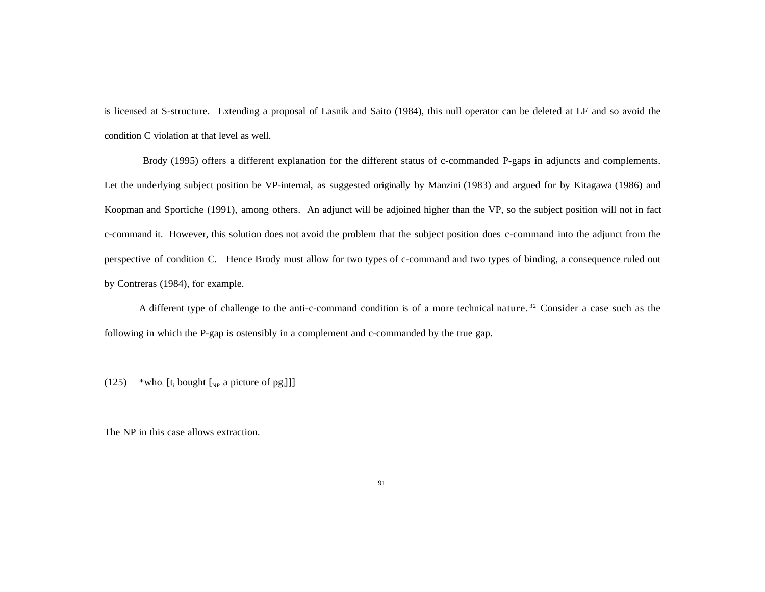is licensed at S-structure. Extending a proposal of Lasnik and Saito (1984), this null operator can be deleted at LF and so avoid the condition C violation at that level as well.

Brody (1995) offers a different explanation for the different status of c-commanded P-gaps in adjuncts and complements. Let the underlying subject position be VP-internal, as suggested originally by Manzini (1983) and argued for by Kitagawa (1986) and Koopman and Sportiche (1991), among others. An adjunct will be adjoined higher than the VP, so the subject position will not in fact c-command it. However, this solution does not avoid the problem that the subject position does c-command into the adjunct from the perspective of condition C. Hence Brody must allow for two types of c-command and two types of binding, a consequence ruled out by Contreras (1984), for example.

A different type of challenge to the anti-c-command condition is of a more technical nature.<sup>32</sup> Consider a case such as the following in which the P-gap is ostensibly in a complement and c-commanded by the true gap.

(125) \*who<sub>i</sub> [t<sub>i</sub> bought [<sub>NP</sub> a picture of pg<sub>i</sub>]]]

The NP in this case allows extraction.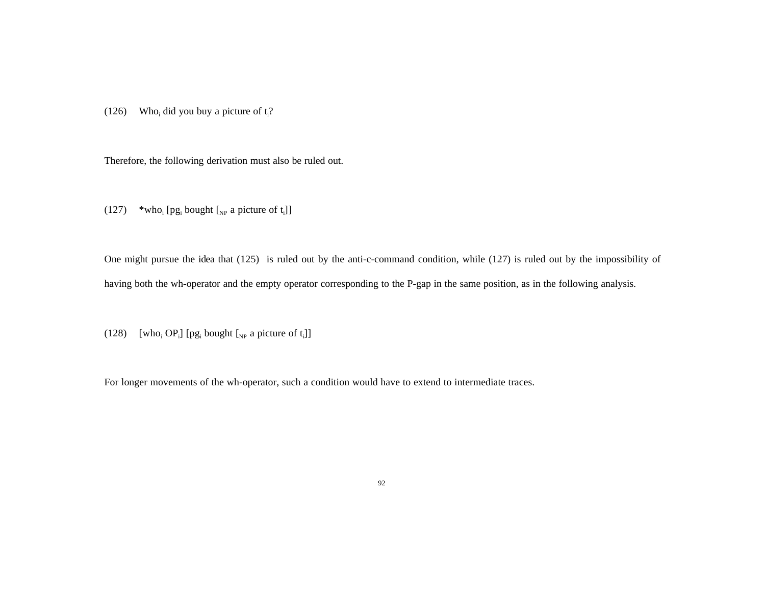(126) Who<sub>i</sub> did you buy a picture of  $t_i$ ?

Therefore, the following derivation must also be ruled out.

 $(127)$  \*who<sub>i</sub> [pg<sub>i</sub> bought [<sub>NP</sub> a picture of t<sub>i</sub>]]

One might pursue the idea that (125) is ruled out by the anti-c-command condition, while (127) is ruled out by the impossibility of having both the wh-operator and the empty operator corresponding to the P-gap in the same position, as in the following analysis.

(128) [who<sub>i</sub> OP<sub>i</sub>] [pg<sub>i</sub> bought  $\left[\begin{smallmatrix} N_P & 0 \end{smallmatrix}\right]$  [vertless]

For longer movements of the wh-operator, such a condition would have to extend to intermediate traces.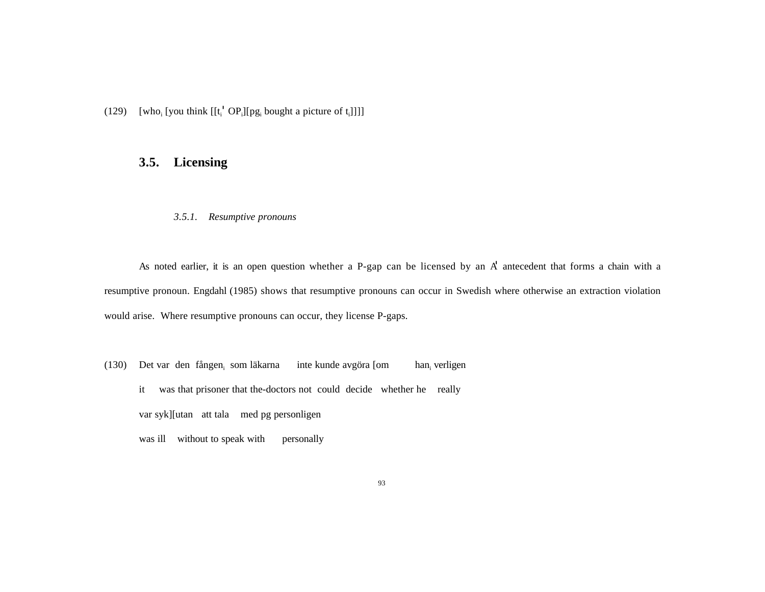(129) [who<sub>i</sub> [you think  $[[t_i' \text{ OP}_i][pg_i]$  bought a picture of  $[t_i]]$ ]]

# **3.5. Licensing**

### *3.5.1. Resumptive pronouns*

As noted earlier, it is an open question whether a P-gap can be licensed by an A' antecedent that forms a chain with a resumptive pronoun. Engdahl (1985) shows that resumptive pronouns can occur in Swedish where otherwise an extraction violation would arise. Where resumptive pronouns can occur, they license P-gaps.

(130) Det var den fången<sub>i</sub> som läkarna inte kunde avgöra [om han<sub>i</sub> han, verligen it was that prisoner that the-doctors not could decide whether he really var syk][utan att tala med pg personligen was ill without to speak with personally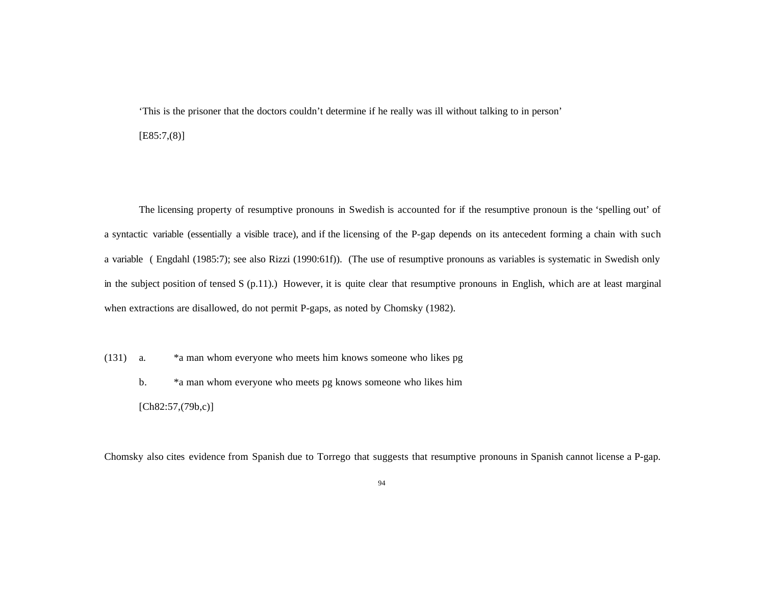'This is the prisoner that the doctors couldn't determine if he really was ill without talking to in person' [E85:7,(8)]

The licensing property of resumptive pronouns in Swedish is accounted for if the resumptive pronoun is the 'spelling out' of a syntactic variable (essentially a visible trace), and if the licensing of the P-gap depends on its antecedent forming a chain with such a variable ( Engdahl (1985:7); see also Rizzi (1990:61f)). (The use of resumptive pronouns as variables is systematic in Swedish only in the subject position of tensed S (p.11).) However, it is quite clear that resumptive pronouns in English, which are at least marginal when extractions are disallowed, do not permit P-gaps, as noted by Chomsky (1982).

(131) a. \*a man whom everyone who meets him knows someone who likes pg b. \*a man whom everyone who meets pg knows someone who likes him  $[Ch82:57,(79b,c)]$ 

Chomsky also cites evidence from Spanish due to Torrego that suggests that resumptive pronouns in Spanish cannot license a P-gap.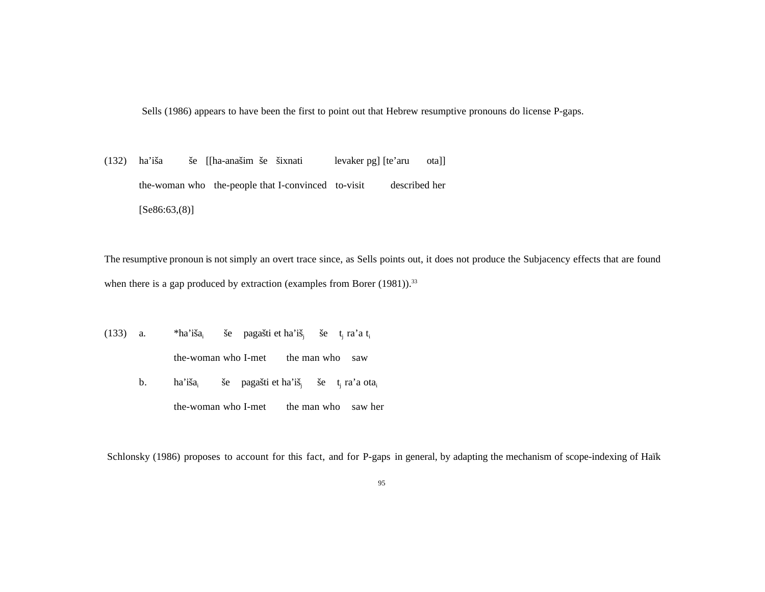Sells (1986) appears to have been the first to point out that Hebrew resumptive pronouns do license P-gaps.

(132) ha'iša še [[ha-anašim še šixnati levaker pg] [te'aru ota]] the-woman who the-people that I-convinced to-visit described her  $[Se86:63,(8)]$ 

The resumptive pronoun is not simply an overt trace since, as Sells points out, it does not produce the Subjacency effects that are found when there is a gap produced by extraction (examples from Borer  $(1981)$ ).<sup>33</sup>

(133) a.  $*ha'iša_i$ še pagašti et ha'iš<sub>i</sub> še t<sub>i</sub> ra'a t<sub>i</sub> the-woman who I-met the man who saw b. ha'iša še pagašti et ha'iš<sub>i</sub> še t<sub>i</sub> ra'a ota<sub>i</sub> the-woman who I-met the man who saw her

Schlonsky (1986) proposes to account for this fact, and for P-gaps in general, by adapting the mechanism of scope-indexing of Haïk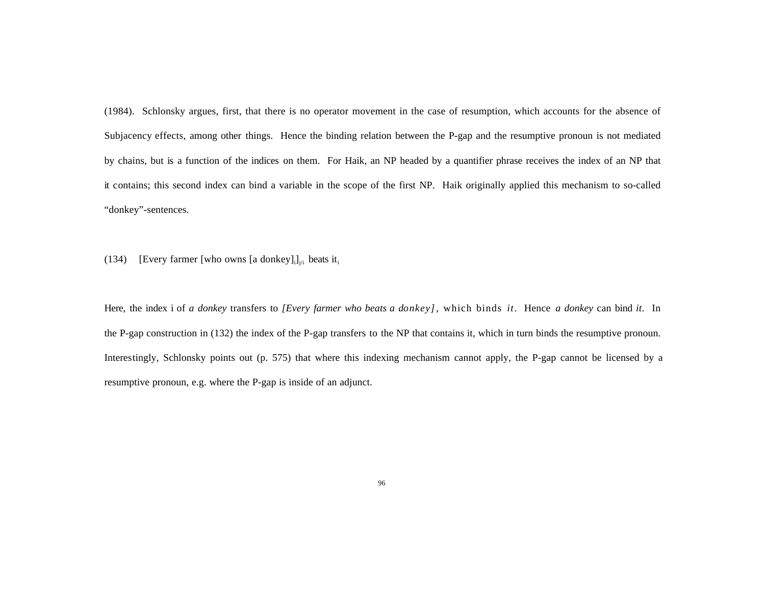(1984). Schlonsky argues, first, that there is no operator movement in the case of resumption, which accounts for the absence of Subjacency effects, among other things. Hence the binding relation between the P-gap and the resumptive pronoun is not mediated by chains, but is a function of the indices on them. For Haik, an NP headed by a quantifier phrase receives the index of an NP that it contains; this second index can bind a variable in the scope of the first NP. Haik originally applied this mechanism to so-called "donkey"-sentences.

(134) [Every farmer [who owns [a donkey] $_{i,j}$ ]<sub>j/i</sub> beats it<sub>i</sub>

Here, the index i of *a donkey* transfers to *[Every farmer who beats a donkey]*, which binds *it*. Hence *a donkey* can bind *it*. In the P-gap construction in (132) the index of the P-gap transfers to the NP that contains it, which in turn binds the resumptive pronoun. Interestingly, Schlonsky points out (p. 575) that where this indexing mechanism cannot apply, the P-gap cannot be licensed by a resumptive pronoun, e.g. where the P-gap is inside of an adjunct.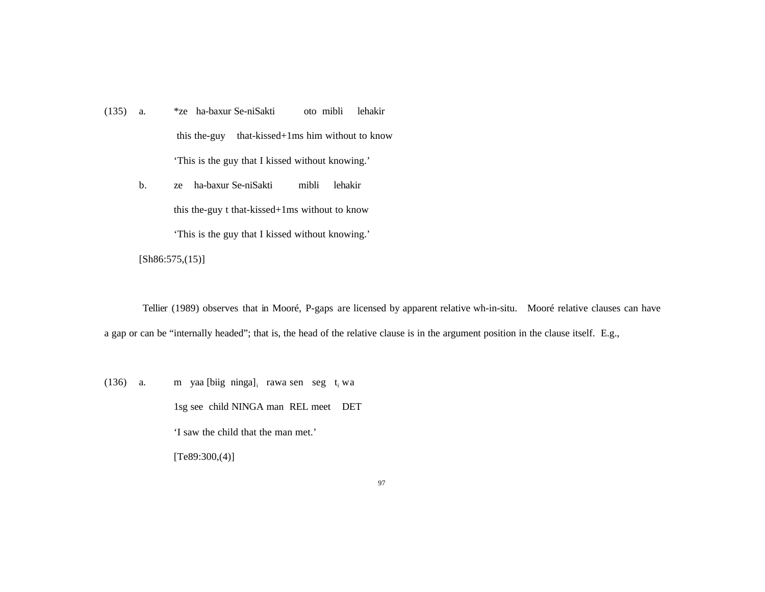- (135) a. \*ze ha-baxur Se-niSakti oto mibli lehakir this the-guy that-kissed+1ms him without to know 'This is the guy that I kissed without knowing.'
	- b. ze ha-baxur Se-niSakti mibli lehakir this the-guy t that-kissed+1ms without to know 'This is the guy that I kissed without knowing.'

[Sh86:575,(15)]

Tellier (1989) observes that in Mooré, P-gaps are licensed by apparent relative wh-in-situ. Mooré relative clauses can have a gap or can be "internally headed"; that is, the head of the relative clause is in the argument position in the clause itself. E.g.,

(136) a. m yaa [biig ninga] $_{i}$  rawa sen seg t<sub>i</sub> wa 1sg see child NINGA man REL meet DET 'I saw the child that the man met.'  $[Te89:300,(4)]$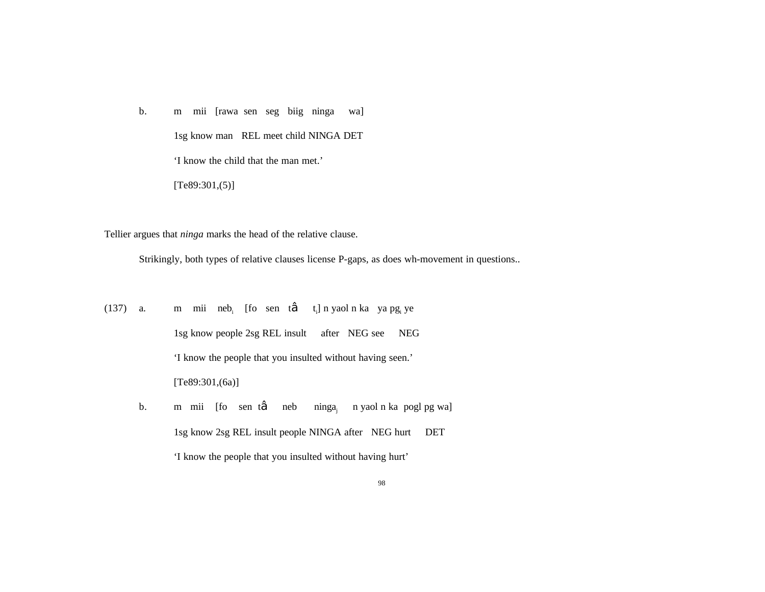b. m mii [rawa sen seg biig ninga wa] 1sg know man REL meet child NINGA DET 'I know the child that the man met.'  $[Te89:301,(5)]$ 

Tellier argues that *ninga* marks the head of the relative clause.

Strikingly, both types of relative clauses license P-gaps, as does wh-movement in questions..

(137) a. m mii neb<sub>i</sub> [fo sen t‰ t<sub>i</sub>] n yaol n ka ya pg<sub>i</sub> ye 1sg know people 2sg REL insult after NEG see NEG 'I know the people that you insulted without having seen.' [Te89:301,(6a)]

b. m mii [fo sen t‰ neb ninga<sub>i</sub> n yaol n ka pogl pg wa] 1sg know 2sg REL insult people NINGA after NEG hurt DET 'I know the people that you insulted without having hurt'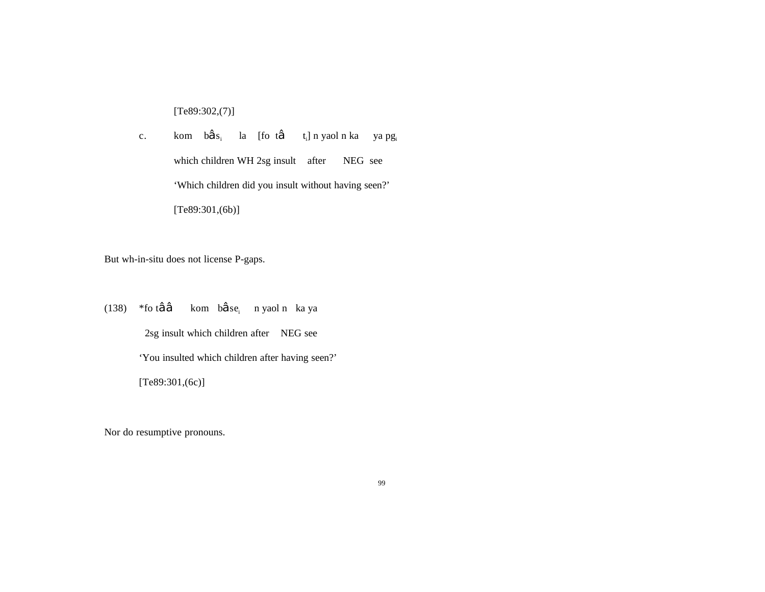[Te89:302,(7)]

c. kom b‱s<sub>i</sub> la [fo t‰ t<sub>i</sub>]nyaolnka yapg<sub>i</sub> which children WH 2sg insult after NEG see 'Which children did you insult without having seen?' [Te89:301,(6b)]

But wh-in-situ does not license P-gaps.

(138) \*fo t‰‰ kom b‰se<sub>i</sub> nyaolnka ya 2sg insult which children after NEG see 'You insulted which children after having seen?' [Te89:301,(6c)]

Nor do resumptive pronouns.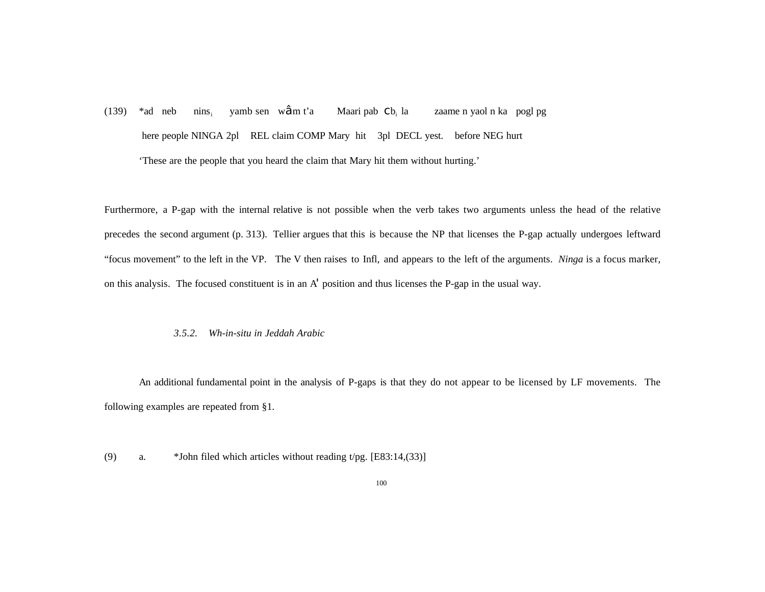$(139)$  \*ad neb nins<sub>i</sub> yamb sen w‰m t'a Maari pab Cb, la zaame n yaol n ka pogl pg here people NINGA 2pl REL claim COMP Mary hit 3pl DECL yest. before NEG hurt 'These are the people that you heard the claim that Mary hit them without hurting.'

Furthermore, a P-gap with the internal relative is not possible when the verb takes two arguments unless the head of the relative precedes the second argument (p. 313). Tellier argues that this is because the NP that licenses the P-gap actually undergoes leftward "focus movement" to the left in the VP. The V then raises to Infl, and appears to the left of the arguments. *Ninga* is a focus marker, on this analysis. The focused constituent is in an A' position and thus licenses the P-gap in the usual way.

### *3.5.2. Wh-in-situ in Jeddah Arabic*

An additional fundamental point in the analysis of P-gaps is that they do not appear to be licensed by LF movements. The following examples are repeated from §1.

(9) a. \*John filed which articles without reading t/pg. [E83:14,(33)]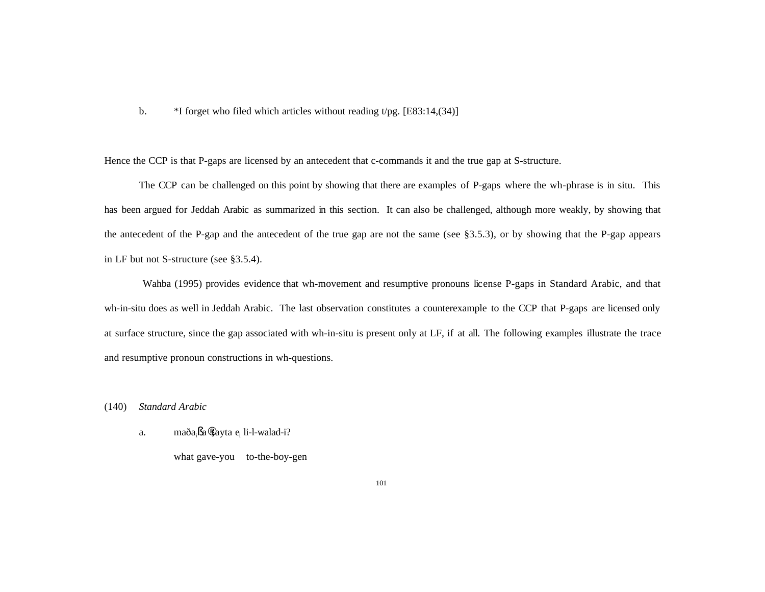b.  $*I$  forget who filed which articles without reading t/pg. [E83:14,(34)]

Hence the CCP is that P-gaps are licensed by an antecedent that c-commands it and the true gap at S-structure.

The CCP can be challenged on this point by showing that there are examples of P-gaps where the wh-phrase is in situ. This has been argued for Jeddah Arabic as summarized in this section. It can also be challenged, although more weakly, by showing that the antecedent of the P-gap and the antecedent of the true gap are not the same (see §3.5.3), or by showing that the P-gap appears in LF but not S-structure (see §3.5.4).

Wahba (1995) provides evidence that wh-movement and resumptive pronouns license P-gaps in Standard Arabic, and that wh-in-situ does as well in Jeddah Arabic. The last observation constitutes a counterexample to the CCP that P-gaps are licensed only at surface structure, since the gap associated with wh-in-situ is present only at LF, if at all. The following examples illustrate the trace and resumptive pronoun constructions in wh-questions.

(140) *Standard Arabic*

a. maða<sub>i</sub>§a¨tayta e<sub>i</sub> li-l-walad-i?

what gave-you to-the-boy-gen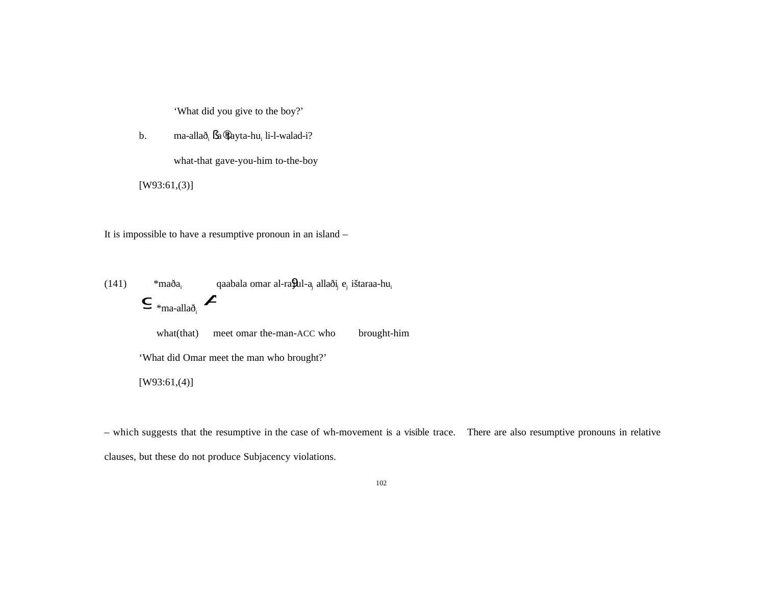'What did you give to the boy?'

b. ma-allað<sub>i</sub> §a¨tayta-hu<sub>i</sub> li-l-walad-i?

what-that gave-you-him to-the-boy

[W93:61,(3)]

It is impossible to have a resumptive pronoun in an island –

 $(141)$  \*maða<sub>i</sub> qaabala omar al-ra $9$ ul-a<sub>i</sub> allaði<sub>i</sub> e<sub>i</sub> ištaraa-hu<sub>i</sub>  $\bullet$   $*$ ma-allað<sub>i</sub> what(that) meet omar the-man-ACC who brought-him 'What did Omar meet the man who brought?' [W93:61,(4)]

– which suggests that the resumptive in the case of wh-movement is a visible trace. There are also resumptive pronouns in relative clauses, but these do not produce Subjacency violations.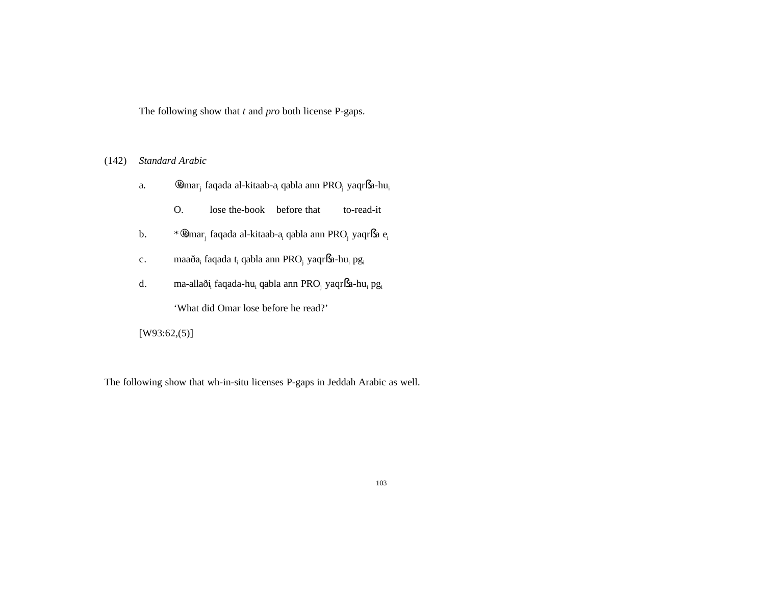The following show that *t* and *pro* both license P-gaps.

# (142) *Standard Arabic*

- a. ¨omar<sup>j</sup> faqada al-kitaab-a<sup>i</sup> qabla ann PRO<sup>j</sup> yaqr§a-hu<sup>i</sup>
	- O. lose the-book before that to-read-it
- b. \*¨omar<sup>j</sup> faqada al-kitaab-a<sup>i</sup> qabla ann PRO<sup>j</sup> yaqr§a e<sup>i</sup>
- c. maaða<sub>i</sub> faqada t<sub>i</sub> qabla ann PRO<sub>j</sub> yaqr§a-hu<sub>i</sub> pg<sub>i</sub>
- d. ma-allaði<sup>i</sup> faqada-hu<sup>i</sup> qabla ann PRO<sup>j</sup> yaqr§a-hu<sup>i</sup> pg<sup>i</sup>

'What did Omar lose before he read?'

# [W93:62,(5)]

The following show that wh-in-situ licenses P-gaps in Jeddah Arabic as well.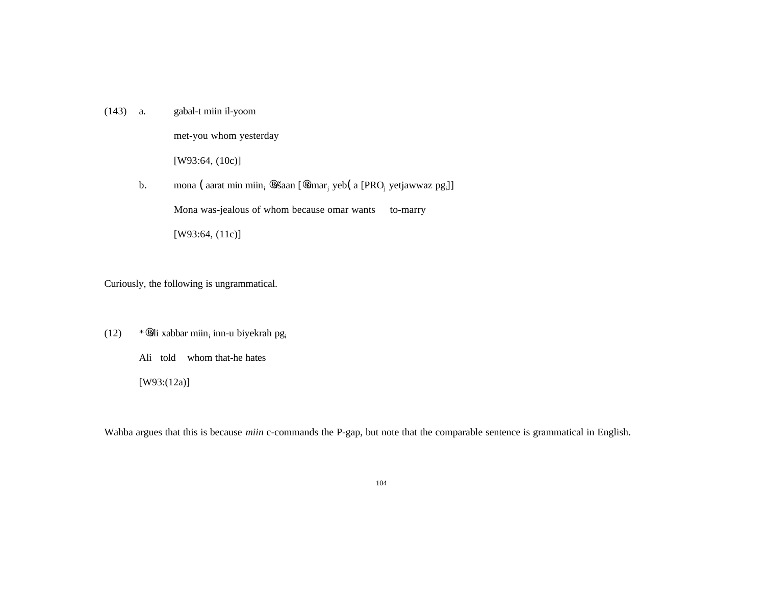(143) a. gabal-t miin il-yoom

met-you whom yesterday

[W93:64, (10c)]

b. mona (aarat min miin<sub>i</sub> ¨ašaan [¨omar<sub>i</sub> yeb (a [PRO<sub>j</sub> yetjawwaz pg<sub>i</sub>]] Mona was-jealous of whom because omar wants to-marry

[W93:64, (11c)]

Curiously, the following is ungrammatical.

- $(12)$  \* ali xabbar miin<sub>i</sub> inn-u biyekrah pg<sub>i</sub>
	- Ali told whom that-he hates
	- [W93:(12a)]

Wahba argues that this is because *miin* c-commands the P-gap, but note that the comparable sentence is grammatical in English.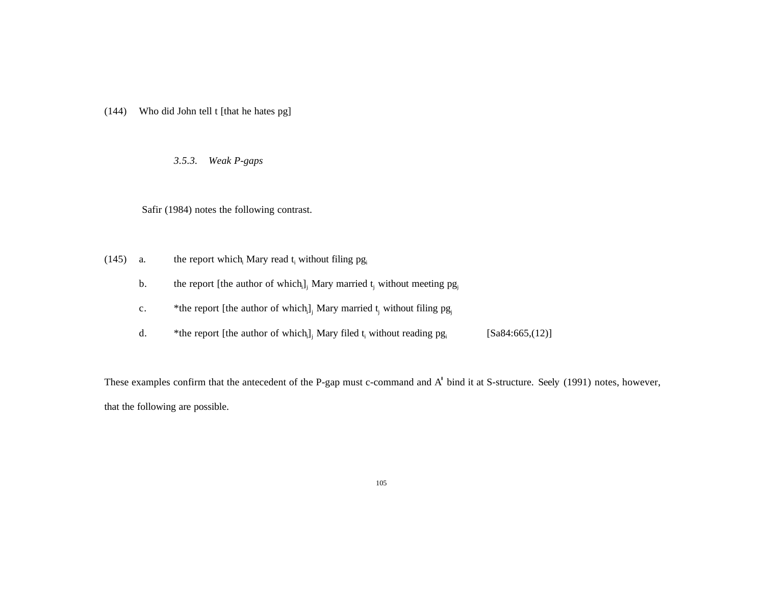(144) Who did John tell t [that he hates pg]

*3.5.3. Weak P-gaps*

Safir (1984) notes the following contrast.

- (145) a. the report which Mary read  $t_i$  without filing  $pg_i$ 
	- b. the report [the author of which<sub>i</sub>]<sub>i</sub> Mary married t<sub>i</sub> without meeting  $pg_{ij}$
	- c. \* the report [the author of which<sub>i</sub>], Mary married t<sub>i</sub> without filing  $pg_{i}$
	- d.  $*$ the report [the author of which<sub>i</sub>]<sub>i</sub> Mary filed t<sub>i</sub> without reading pg<sub>i</sub> [Sa84:665,(12)]

These examples confirm that the antecedent of the P-gap must c-command and A' bind it at S-structure. Seely (1991) notes, however, that the following are possible.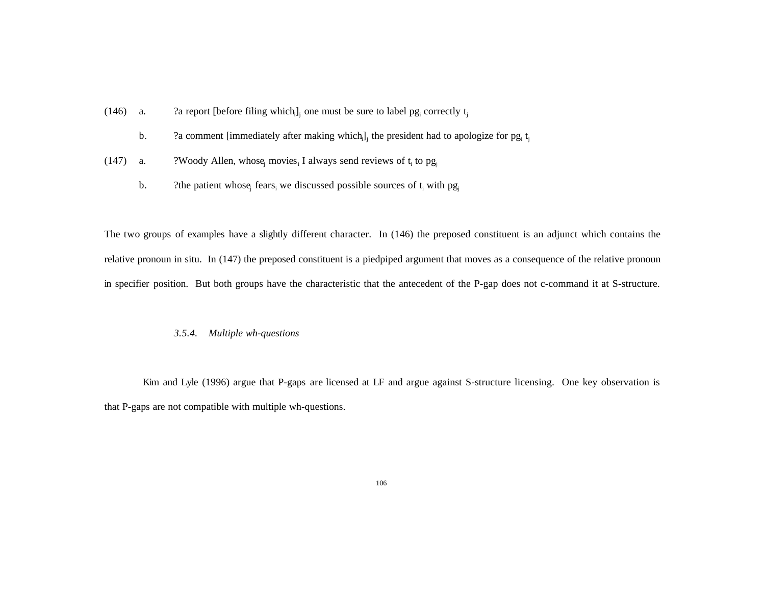- (146) a. 2a report [before filing which<sub>i</sub>]<sub>i</sub> one must be sure to label pg<sub>i</sub> correctly t<sub>i</sub>
	- b.  $\eta$  a comment [immediately after making which<sub>i</sub>]<sub>i</sub> the president had to apologize for pg<sub>i</sub> t<sub>i</sub>
- (147) a. *?Woody Allen, whose* movies I always send reviews of  $t_i$  to  $pg_i$ 
	- b. The patient whose fears, we discussed possible sources of  $t_i$  with  $pg_i$

The two groups of examples have a slightly different character. In (146) the preposed constituent is an adjunct which contains the relative pronoun in situ. In (147) the preposed constituent is a piedpiped argument that moves as a consequence of the relative pronoun in specifier position. But both groups have the characteristic that the antecedent of the P-gap does not c-command it at S-structure.

## *3.5.4. Multiple wh-questions*

Kim and Lyle (1996) argue that P-gaps are licensed at LF and argue against S-structure licensing. One key observation is that P-gaps are not compatible with multiple wh-questions.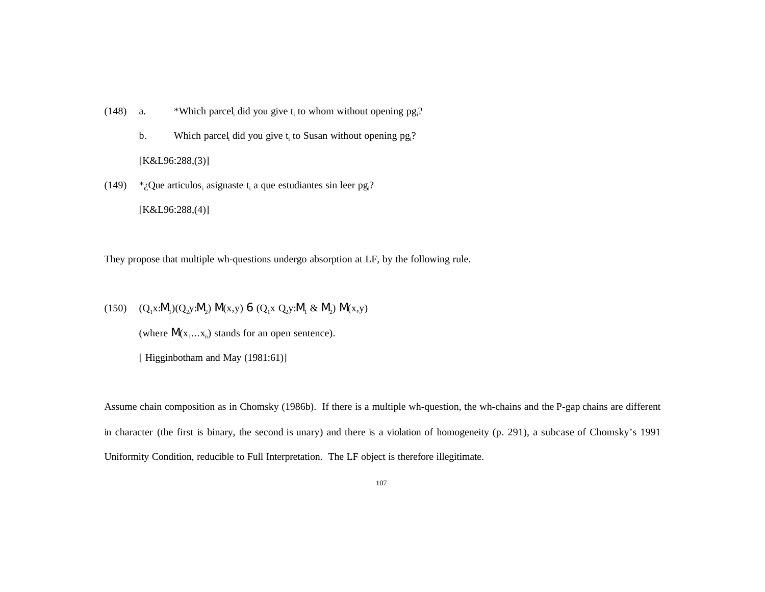- (148) a. \*Which parcel did you give  $t_i$  to whom without opening pg ?
	- b. Which parcel, did you give  $t_i$  to Susan without opening  $pg_i$ ?

[K&L96:288,(3)]

(149)  $*_{\mathcal{L}}$ Que articulos, asignaste t<sub>i</sub> a que estudiantes sin leer pg<sub>i</sub>?

[K&L96:288,(4)]

They propose that multiple wh-questions undergo absorption at LF, by the following rule.

(150)  $(Q_1x:M_1)(Q_2y:M_2) M(x,y) 6 (Q_1x Q_2y:M_1 & M_2) M(x,y)$ 

(where  $M(x_1...x_n)$  stands for an open sentence).

[ Higginbotham and May (1981:61)]

Assume chain composition as in Chomsky (1986b). If there is a multiple wh-question, the wh-chains and the P-gap chains are different in character (the first is binary, the second is unary) and there is a violation of homogeneity (p. 291), a subcase of Chomsky's 1991 Uniformity Condition, reducible to Full Interpretation. The LF object is therefore illegitimate.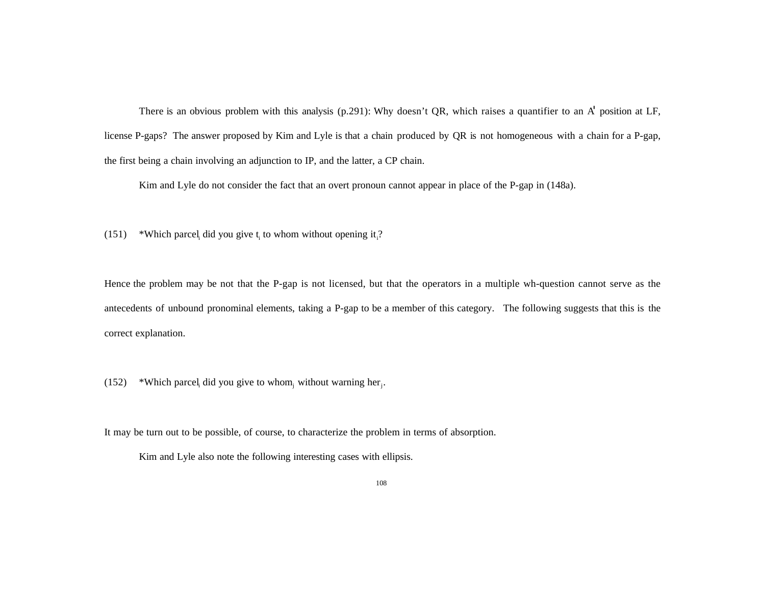There is an obvious problem with this analysis (p.291): Why doesn't QR, which raises a quantifier to an A' position at LF, license P-gaps? The answer proposed by Kim and Lyle is that a chain produced by QR is not homogeneous with a chain for a P-gap, the first being a chain involving an adjunction to IP, and the latter, a CP chain.

Kim and Lyle do not consider the fact that an overt pronoun cannot appear in place of the P-gap in (148a).

(151) \*Which parcel did you give  $t_i$  to whom without opening it <sup>2</sup>

Hence the problem may be not that the P-gap is not licensed, but that the operators in a multiple wh-question cannot serve as the antecedents of unbound pronominal elements, taking a P-gap to be a member of this category. The following suggests that this is the correct explanation.

(152) \*Which parcel, did you give to whom, without warning her.

It may be turn out to be possible, of course, to characterize the problem in terms of absorption.

Kim and Lyle also note the following interesting cases with ellipsis.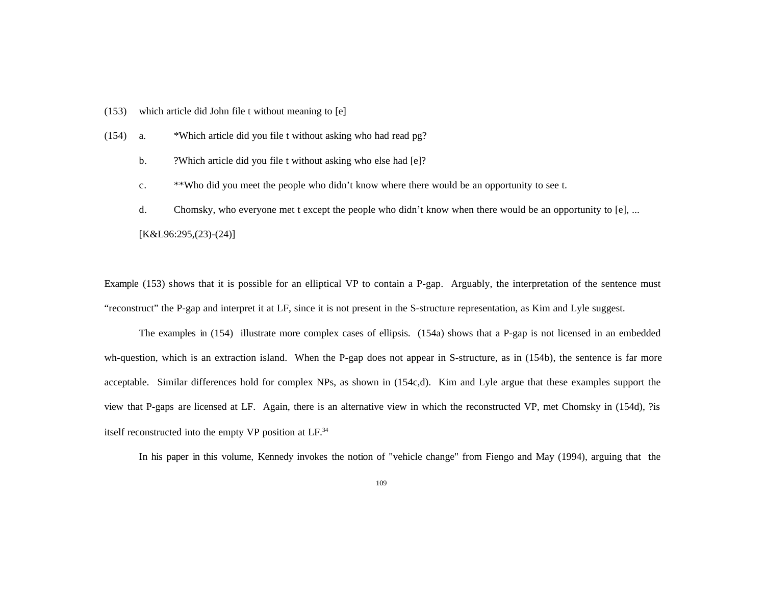- (153) which article did John file t without meaning to [e]
- (154) a. \*Which article did you file t without asking who had read pg?
	- b. ?Which article did you file t without asking who else had [e]?
	- c. \*\*Who did you meet the people who didn't know where there would be an opportunity to see t.
	- d. Chomsky, who everyone met t except the people who didn't know when there would be an opportunity to [e], ... [K&L96:295,(23)-(24)]

Example (153) shows that it is possible for an elliptical VP to contain a P-gap. Arguably, the interpretation of the sentence must "reconstruct" the P-gap and interpret it at LF, since it is not present in the S-structure representation, as Kim and Lyle suggest.

The examples in (154) illustrate more complex cases of ellipsis. (154a) shows that a P-gap is not licensed in an embedded wh-question, which is an extraction island. When the P-gap does not appear in S-structure, as in (154b), the sentence is far more acceptable. Similar differences hold for complex NPs, as shown in (154c,d). Kim and Lyle argue that these examples support the view that P-gaps are licensed at LF. Again, there is an alternative view in which the reconstructed VP, met Chomsky in (154d), ?is itself reconstructed into the empty VP position at LF.<sup>34</sup>

In his paper in this volume, Kennedy invokes the notion of "vehicle change" from Fiengo and May (1994), arguing that the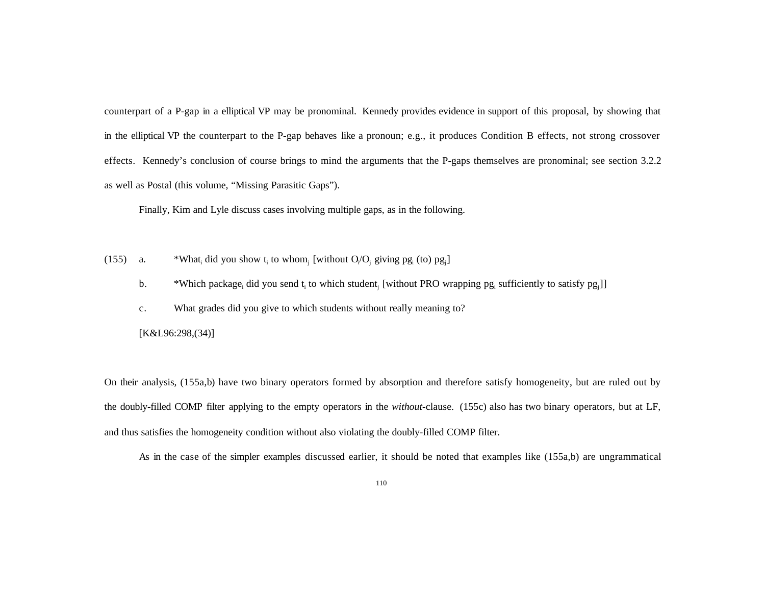counterpart of a P-gap in a elliptical VP may be pronominal. Kennedy provides evidence in support of this proposal, by showing that in the elliptical VP the counterpart to the P-gap behaves like a pronoun; e.g., it produces Condition B effects, not strong crossover effects. Kennedy's conclusion of course brings to mind the arguments that the P-gaps themselves are pronominal; see section 3.2.2 as well as Postal (this volume, "Missing Parasitic Gaps").

Finally, Kim and Lyle discuss cases involving multiple gaps, as in the following.

- $(155)$  a. did you show  $t_i$  to whom<sub>i</sub> [without  $O_i/O_i$  giving  $pg_i$  (to)  $pg_i$ ]
	- b. \*Which package<sub>i</sub> did you send t<sub>i</sub> to which student<sub>i</sub> [without PRO wrapping pg<sub>i</sub> sufficiently to satisfy pg<sub>j</sub>]]
	- c. What grades did you give to which students without really meaning to?

[K&L96:298,(34)]

On their analysis, (155a,b) have two binary operators formed by absorption and therefore satisfy homogeneity, but are ruled out by the doubly-filled COMP filter applying to the empty operators in the *without*-clause. (155c) also has two binary operators, but at LF, and thus satisfies the homogeneity condition without also violating the doubly-filled COMP filter.

As in the case of the simpler examples discussed earlier, it should be noted that examples like (155a,b) are ungrammatical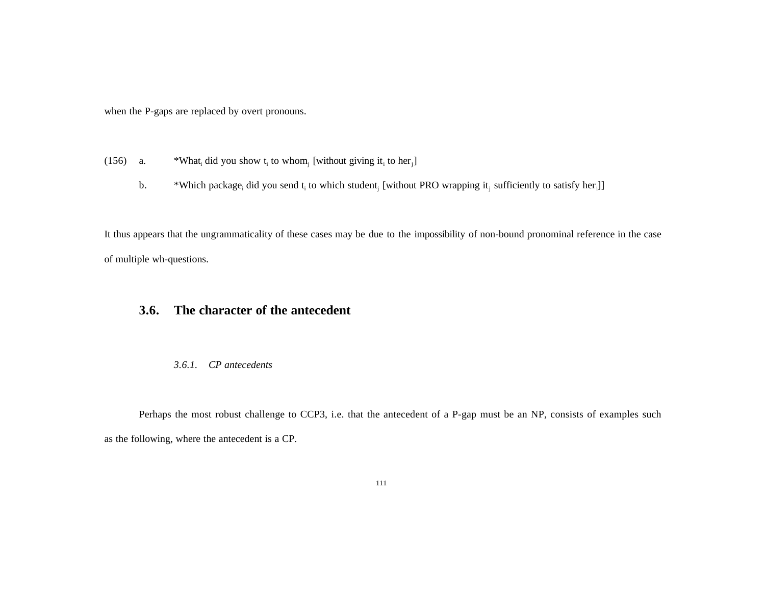when the P-gaps are replaced by overt pronouns.

- $(156)$  a. did you show  $t_i$  to whom<sub>i</sub> [without giving it<sub>i</sub> to her<sub>i</sub>]
	- b. \*Which package<sub>i</sub> did you send t<sub>i</sub> to which student<sub>i</sub> [without PRO wrapping it<sub>i</sub> sufficiently to satisfy her<sub>i</sub>]]

It thus appears that the ungrammaticality of these cases may be due to the impossibility of non-bound pronominal reference in the case of multiple wh-questions.

# **3.6. The character of the antecedent**

### *3.6.1. CP antecedents*

Perhaps the most robust challenge to CCP3, i.e. that the antecedent of a P-gap must be an NP, consists of examples such as the following, where the antecedent is a CP.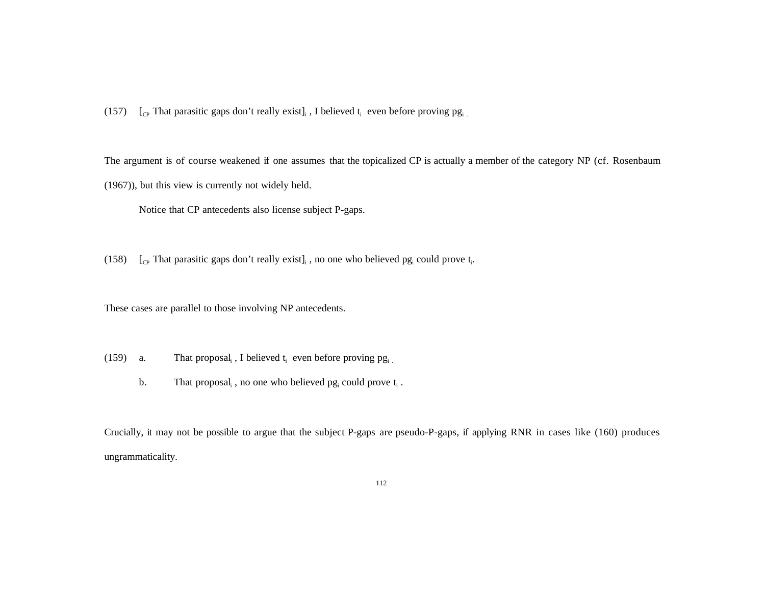(157)  $\left[$ <sub>CP</sub> That parasitic gaps don't really exist $\right]_i$ , I believed  $t_i$  even before proving pg<sub>i</sub>

The argument is of course weakened if one assumes that the topicalized CP is actually a member of the category NP (cf. Rosenbaum (1967)), but this view is currently not widely held.

Notice that CP antecedents also license subject P-gaps.

(158)  $\int_{\text{CP}}$  That parasitic gaps don't really exist], no one who believed pg<sub>i</sub> could prove t<sub>i</sub>.

These cases are parallel to those involving NP antecedents.

- (159) a. That proposal, I believed  $t_i$  even before proving  $pg_i$ .
	- b. That proposal, , no one who believed  $pg_i$  could prove  $t_i$ .

Crucially, it may not be possible to argue that the subject P-gaps are pseudo-P-gaps, if applying RNR in cases like (160) produces ungrammaticality.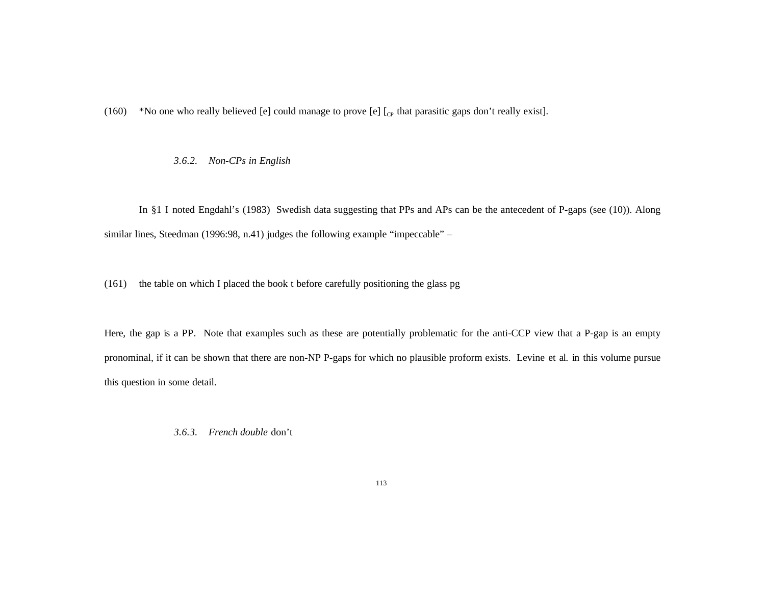(160) \*No one who really believed [e] could manage to prove [e]  $\left[_{\text{CP}}\right]$  that parasitic gaps don't really exist].

*3.6.2. Non-CPs in English*

In §1 I noted Engdahl's (1983) Swedish data suggesting that PPs and APs can be the antecedent of P-gaps (see (10)). Along similar lines, Steedman (1996:98, n.41) judges the following example "impeccable" –

(161) the table on which I placed the book t before carefully positioning the glass pg

Here, the gap is a PP. Note that examples such as these are potentially problematic for the anti-CCP view that a P-gap is an empty pronominal, if it can be shown that there are non-NP P-gaps for which no plausible proform exists. Levine et al. in this volume pursue this question in some detail.

*3.6.3. French double* don't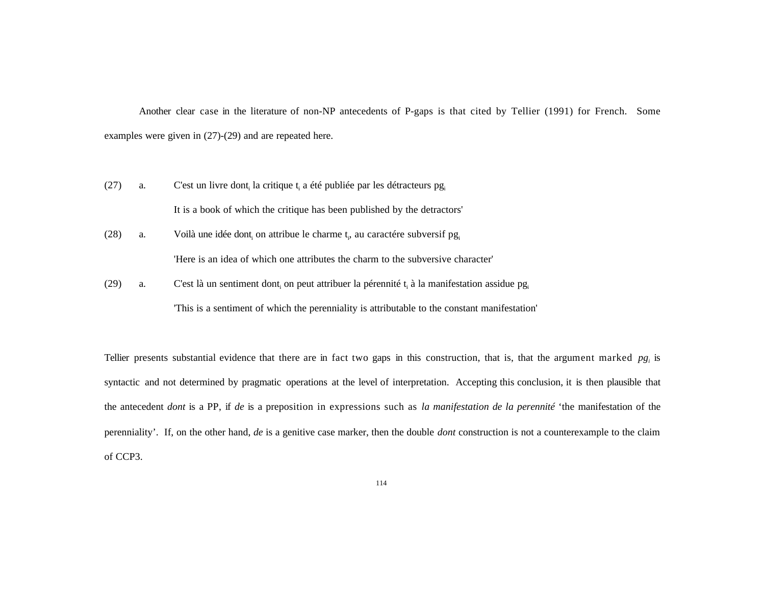Another clear case in the literature of non-NP antecedents of P-gaps is that cited by Tellier (1991) for French. Some examples were given in (27)-(29) and are repeated here.

- (27) a. C'est un livre dont, la critique  $t_i$  a été publiée par les détracteurs pg It is a book of which the critique has been published by the detractors'
- (28) a. Voilà une idée dont<sub>i</sub> on attribue le charme t<sub>i</sub>, au caractére subversif pg<sub>i</sub> 'Here is an idea of which one attributes the charm to the subversive character'
- (29) a. C'est là un sentiment dont<sub>i</sub> on peut attribuer la pérennité t<sub>i</sub> à la manifestation assidue pg<sub>i</sub>

'This is a sentiment of which the perenniality is attributable to the constant manifestation'

Tellier presents substantial evidence that there are in fact two gaps in this construction, that is, that the argument marked *pg<sup>i</sup>* is syntactic and not determined by pragmatic operations at the level of interpretation. Accepting this conclusion, it is then plausible that the antecedent *dont* is a PP, if *de* is a preposition in expressions such as *la manifestation de la perennité* 'the manifestation of the perenniality'. If, on the other hand, *de* is a genitive case marker, then the double *dont* construction is not a counterexample to the claim of CCP3.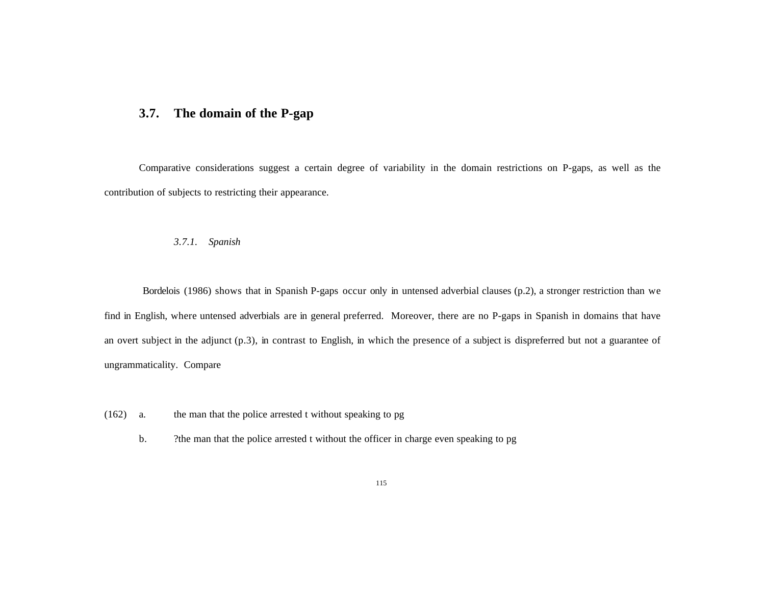## **3.7. The domain of the P-gap**

Comparative considerations suggest a certain degree of variability in the domain restrictions on P-gaps, as well as the contribution of subjects to restricting their appearance.

### *3.7.1. Spanish*

Bordelois (1986) shows that in Spanish P-gaps occur only in untensed adverbial clauses (p.2), a stronger restriction than we find in English, where untensed adverbials are in general preferred. Moreover, there are no P-gaps in Spanish in domains that have an overt subject in the adjunct (p.3), in contrast to English, in which the presence of a subject is dispreferred but not a guarantee of ungrammaticality. Compare

- (162) a. the man that the police arrested t without speaking to pg
	- b. ?the man that the police arrested t without the officer in charge even speaking to pg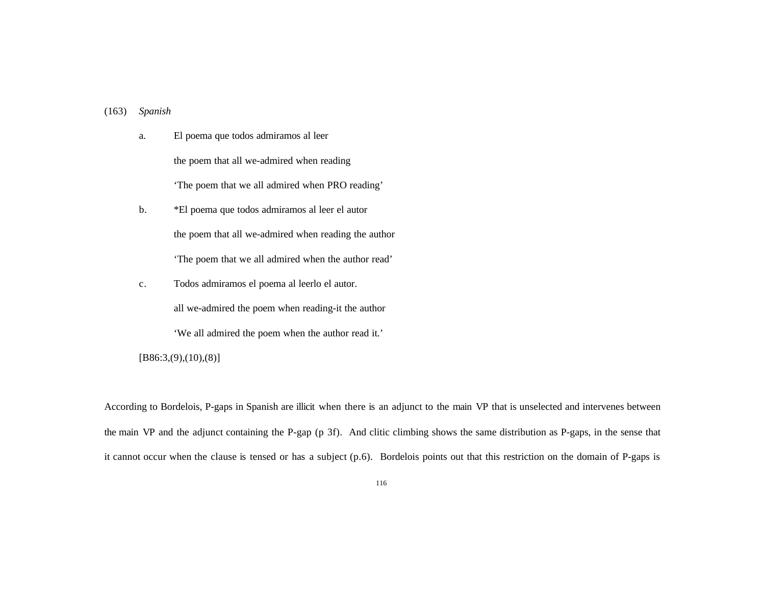### (163) *Spanish*

a. El poema que todos admiramos al leer the poem that all we-admired when reading 'The poem that we all admired when PRO reading'

- b. \*El poema que todos admiramos al leer el autor the poem that all we-admired when reading the author 'The poem that we all admired when the author read'
- c. Todos admiramos el poema al leerlo el autor.

all we-admired the poem when reading-it the author

'We all admired the poem when the author read it.'

 $[B86:3, (9), (10), (8)]$ 

According to Bordelois, P-gaps in Spanish are illicit when there is an adjunct to the main VP that is unselected and intervenes between the main VP and the adjunct containing the P-gap (p 3f). And clitic climbing shows the same distribution as P-gaps, in the sense that it cannot occur when the clause is tensed or has a subject (p.6). Bordelois points out that this restriction on the domain of P-gaps is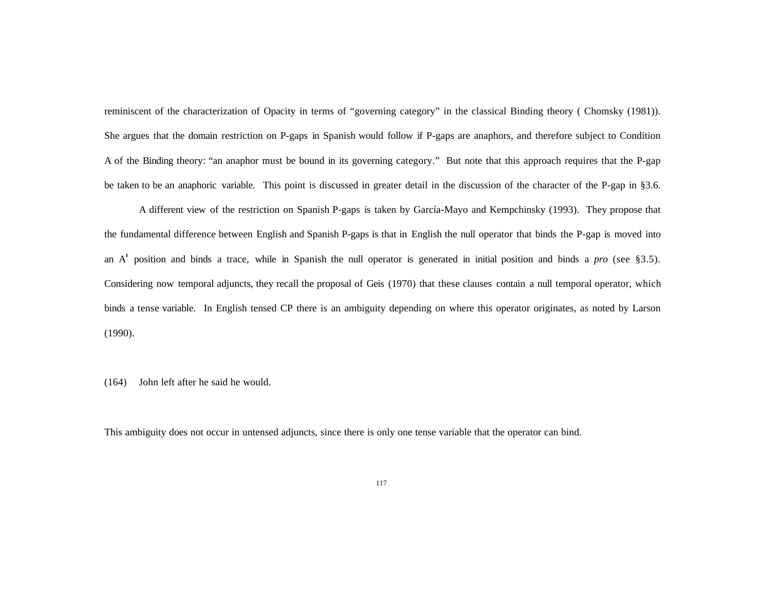reminiscent of the characterization of Opacity in terms of "governing category" in the classical Binding theory ( Chomsky (1981)). She argues that the domain restriction on P-gaps in Spanish would follow if P-gaps are anaphors, and therefore subject to Condition A of the Binding theory: "an anaphor must be bound in its governing category." But note that this approach requires that the P-gap be taken to be an anaphoric variable. This point is discussed in greater detail in the discussion of the character of the P-gap in §3.6.

A different view of the restriction on Spanish P-gaps is taken by García-Mayo and Kempchinsky (1993). They propose that the fundamental difference between English and Spanish P-gaps is that in English the null operator that binds the P-gap is moved into an A' position and binds a trace, while in Spanish the null operator is generated in initial position and binds a *pro* (see §3.5). Considering now temporal adjuncts, they recall the proposal of Geis (1970) that these clauses contain a null temporal operator, which binds a tense variable. In English tensed CP there is an ambiguity depending on where this operator originates, as noted by Larson (1990).

(164) John left after he said he would.

This ambiguity does not occur in untensed adjuncts, since there is only one tense variable that the operator can bind.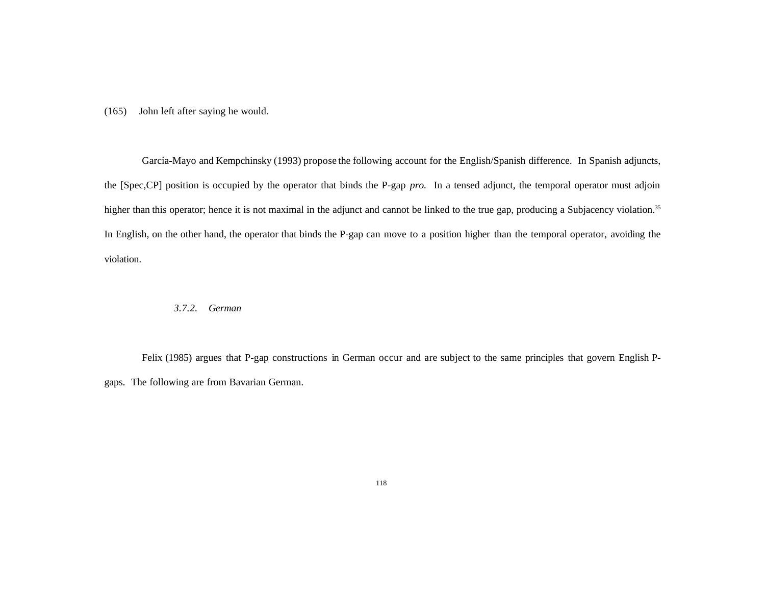(165) John left after saying he would.

 García-Mayo and Kempchinsky (1993) propose the following account for the English/Spanish difference. In Spanish adjuncts, the [Spec,CP] position is occupied by the operator that binds the P-gap *pro*. In a tensed adjunct, the temporal operator must adjoin higher than this operator; hence it is not maximal in the adjunct and cannot be linked to the true gap, producing a Subjacency violation.<sup>35</sup> In English, on the other hand, the operator that binds the P-gap can move to a position higher than the temporal operator, avoiding the violation.

### *3.7.2. German*

 Felix (1985) argues that P-gap constructions in German occur and are subject to the same principles that govern English Pgaps. The following are from Bavarian German.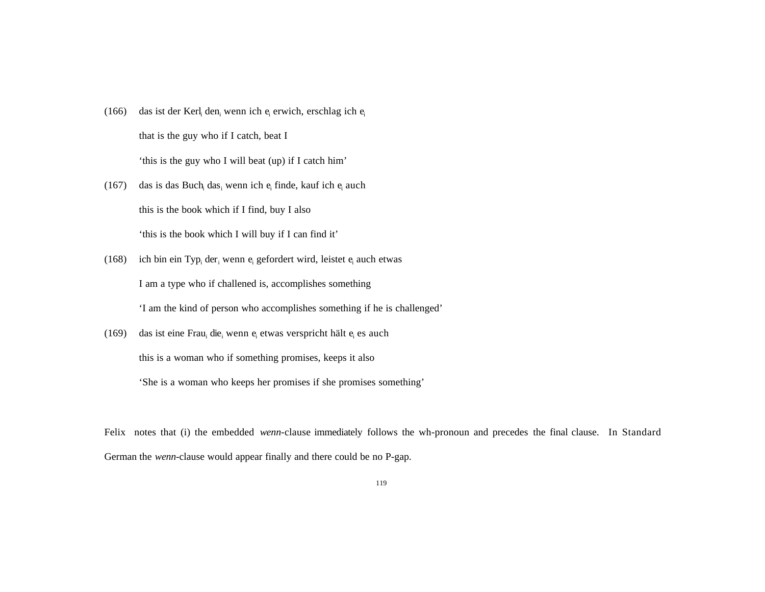- (166) das ist der Kerl<sub>i</sub> den<sub>i</sub> wenn ich e<sub>i</sub> erwich, erschlag ich e<sub>i</sub> that is the guy who if I catch, beat I 'this is the guy who I will beat (up) if I catch him'
- (167) das is das Buch<sub>i</sub> das, wenn ich e<sub>i</sub> finde, kauf ich e<sub>i</sub> auch this is the book which if I find, buy I also 'this is the book which I will buy if I can find it'
- (168) ich bin ein Typ<sub>i</sub> der<sub>i</sub> wenn e<sub>i</sub> gefordert wird, leistet e<sub>i</sub> auch etwas I am a type who if challened is, accomplishes something 'I am the kind of person who accomplishes something if he is challenged'
- (169) das ist eine Frau<sub>i</sub> die<sub>i</sub> wenn e<sub>i</sub> etwas verspricht hält e<sub>i</sub> es auch this is a woman who if something promises, keeps it also 'She is a woman who keeps her promises if she promises something'

Felix notes that (i) the embedded *wenn*-clause immediately follows the wh-pronoun and precedes the final clause. In Standard German the *wenn*-clause would appear finally and there could be no P-gap.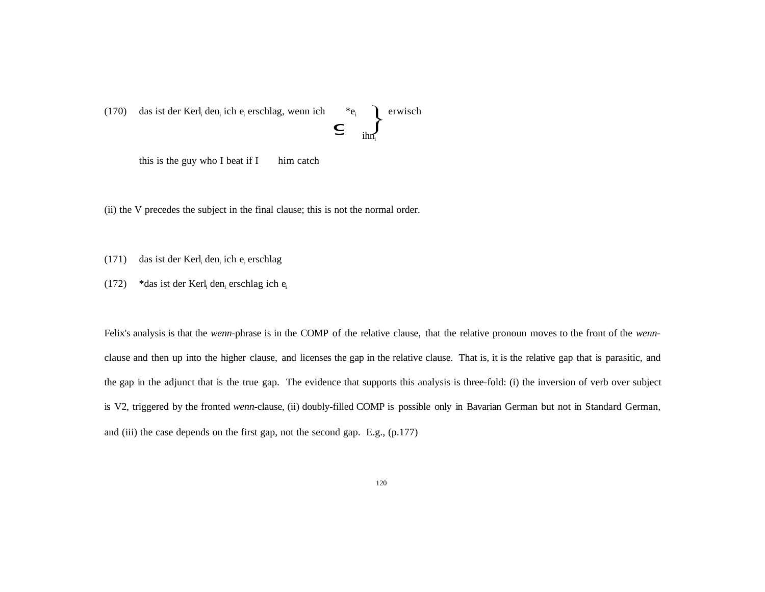(170) das ist der Kerl<sub>i</sub> den<sub>i</sub> ich e<sub>i</sub> erschlag, wenn ich \*e<sub>i</sub>  $\left\{\n\begin{matrix}\n\text{erwisch} \\
\text{in} \\
\text{in} \\
\text{in} \\
\text{in} \\
\text{in} \\
\text{in} \\
\text{in} \\
\text{in} \\
\text{in} \\
\text{in} \\
\text{in} \\
\text{in} \\
\text{in} \\
\text{in} \\
\text{in} \\
\text{in} \\
\text{in} \\
\text{in} \\
\text{in} \\
\text{in} \\
\text{in} \\
\text{in} \\
\text$ 

this is the guy who I beat if  $I$  him catch

(ii) the V precedes the subject in the final clause; this is not the normal order.

 $(171)$  das ist der Kerl<sub>i</sub> den<sub>i</sub> ich e<sub>i</sub> erschlag

(172) \* das ist der Kerl<sub>i</sub> den<sub>i</sub> erschlag ich e<sub>i</sub>

Felix's analysis is that the *wenn*-phrase is in the COMP of the relative clause, that the relative pronoun moves to the front of the *wenn*clause and then up into the higher clause, and licenses the gap in the relative clause. That is, it is the relative gap that is parasitic, and the gap in the adjunct that is the true gap. The evidence that supports this analysis is three-fold: (i) the inversion of verb over subject is V2, triggered by the fronted *wenn*-clause, (ii) doubly-filled COMP is possible only in Bavarian German but not in Standard German, and (iii) the case depends on the first gap, not the second gap. E.g., (p.177)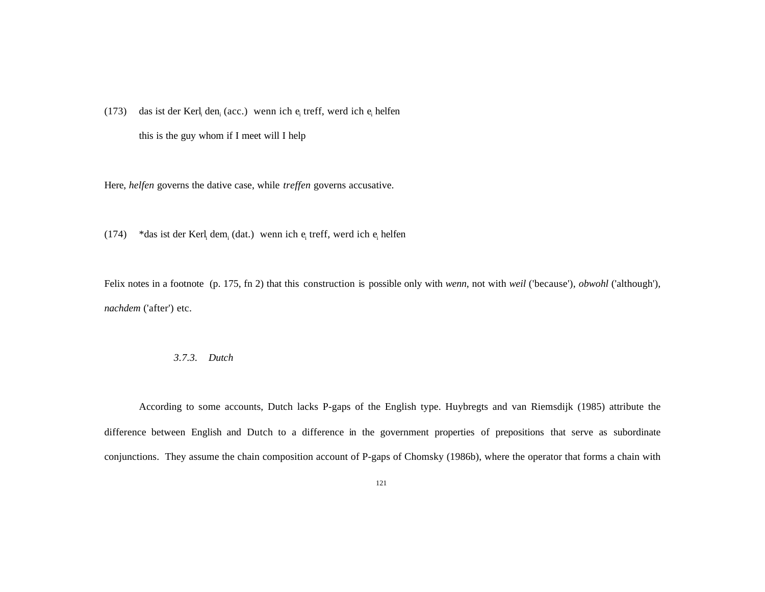(173) das ist der Kerl den (acc.) wenn ich e treff, werd ich e helfen this is the guy whom if I meet will I help

Here, *helfen* governs the dative case, while *treffen* governs accusative.

(174) \*das ist der Kerl<sub>i</sub> dem<sub>i</sub> (dat.) wenn ich  $e_i$  treff, werd ich  $e_i$  helfen

Felix notes in a footnote (p. 175, fn 2) that this construction is possible only with *wenn*, not with *weil* ('because'), *obwohl* ('although'), *nachdem* ('after') etc.

#### *3.7.3. Dutch*

According to some accounts, Dutch lacks P-gaps of the English type. Huybregts and van Riemsdijk (1985) attribute the difference between English and Dutch to a difference in the government properties of prepositions that serve as subordinate conjunctions. They assume the chain composition account of P-gaps of Chomsky (1986b), where the operator that forms a chain with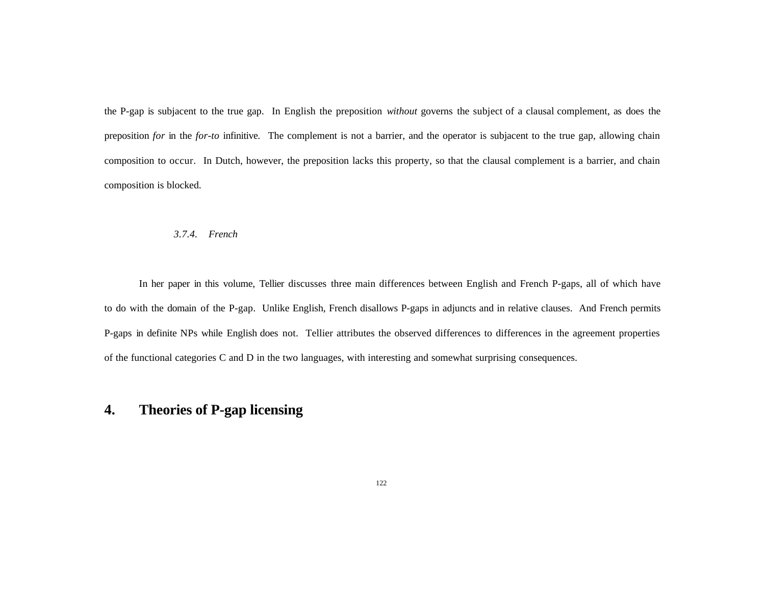the P-gap is subjacent to the true gap. In English the preposition *without* governs the subject of a clausal complement, as does the preposition *for* in the *for-to* infinitive. The complement is not a barrier, and the operator is subjacent to the true gap, allowing chain composition to occur. In Dutch, however, the preposition lacks this property, so that the clausal complement is a barrier, and chain composition is blocked.

### *3.7.4. French*

In her paper in this volume, Tellier discusses three main differences between English and French P-gaps, all of which have to do with the domain of the P-gap. Unlike English, French disallows P-gaps in adjuncts and in relative clauses. And French permits P-gaps in definite NPs while English does not. Tellier attributes the observed differences to differences in the agreement properties of the functional categories C and D in the two languages, with interesting and somewhat surprising consequences.

# **4. Theories of P-gap licensing**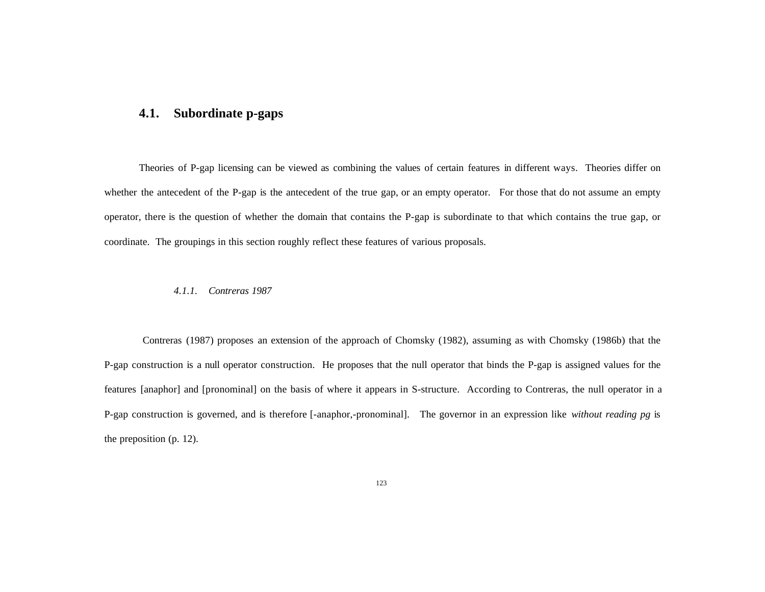## **4.1. Subordinate p-gaps**

Theories of P-gap licensing can be viewed as combining the values of certain features in different ways. Theories differ on whether the antecedent of the P-gap is the antecedent of the true gap, or an empty operator. For those that do not assume an empty operator, there is the question of whether the domain that contains the P-gap is subordinate to that which contains the true gap, or coordinate. The groupings in this section roughly reflect these features of various proposals.

#### *4.1.1. Contreras 1987*

Contreras (1987) proposes an extension of the approach of Chomsky (1982), assuming as with Chomsky (1986b) that the P-gap construction is a null operator construction. He proposes that the null operator that binds the P-gap is assigned values for the features [anaphor] and [pronominal] on the basis of where it appears in S-structure. According to Contreras, the null operator in a P-gap construction is governed, and is therefore [-anaphor,-pronominal]. The governor in an expression like *without reading pg* is the preposition (p. 12).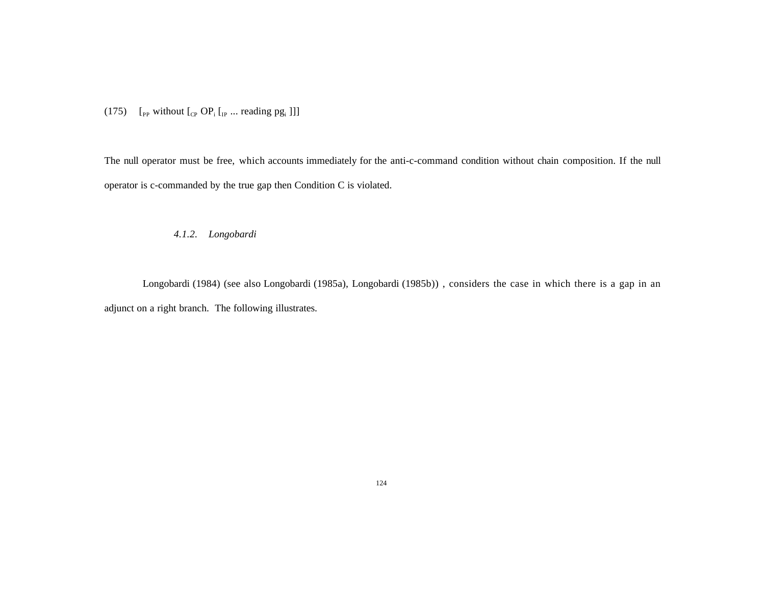(175)  $\left[$ <sub>PP</sub> without  $\left[$ <sub>CP</sub> OP<sub>i</sub> $\left[$ <sub>IP</sub> ... reading pg<sub>i</sub> $\left[$ ]]

The null operator must be free, which accounts immediately for the anti-c-command condition without chain composition. If the null operator is c-commanded by the true gap then Condition C is violated.

*4.1.2. Longobardi*

Longobardi (1984) (see also Longobardi (1985a), Longobardi (1985b)) , considers the case in which there is a gap in an adjunct on a right branch. The following illustrates.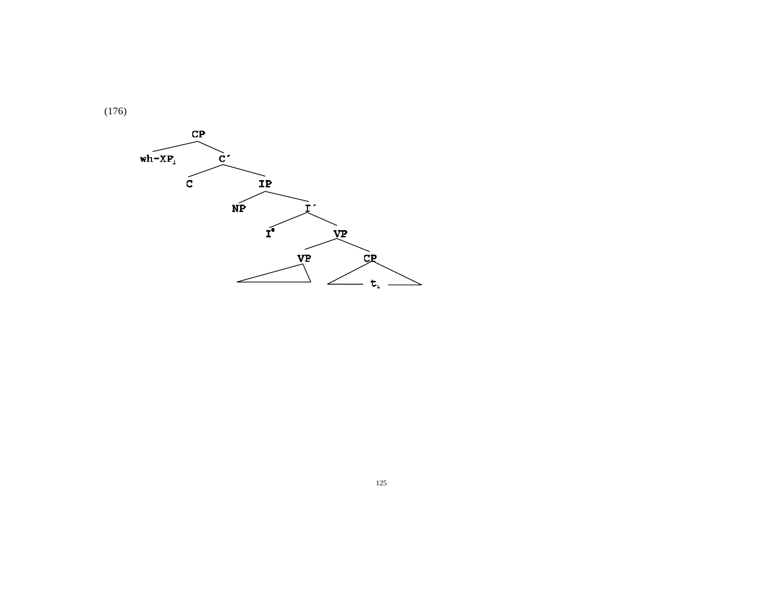

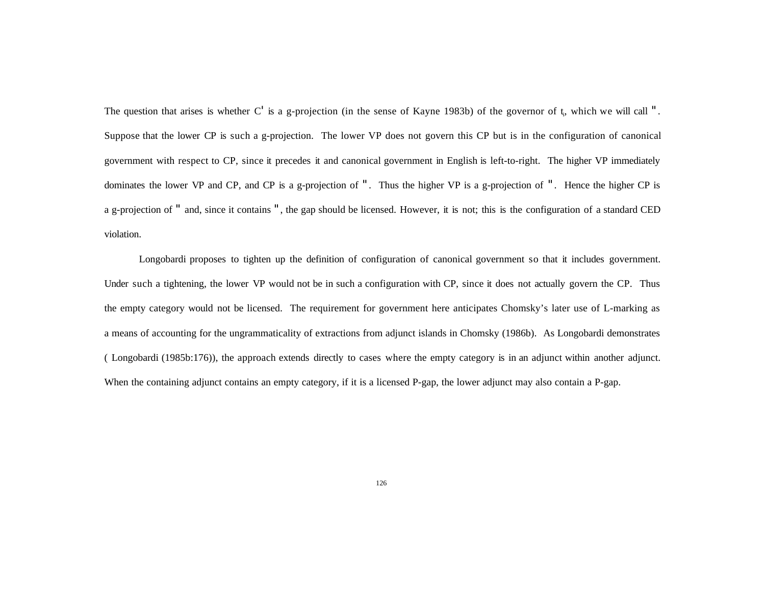The question that arises is whether  $C'$  is a g-projection (in the sense of Kayne 1983b) of the governor of  $t_i$ , which we will call ". Suppose that the lower CP is such a g-projection. The lower VP does not govern this CP but is in the configuration of canonical government with respect to CP, since it precedes it and canonical government in English is left-to-right. The higher VP immediately dominates the lower VP and CP, and CP is a g-projection of ". Thus the higher VP is a g-projection of ". Hence the higher CP is a g-projection of " and, since it contains ", the gap should be licensed. However, it is not; this is the configuration of a standard CED violation.

Longobardi proposes to tighten up the definition of configuration of canonical government so that it includes government. Under such a tightening, the lower VP would not be in such a configuration with CP, since it does not actually govern the CP. Thus the empty category would not be licensed. The requirement for government here anticipates Chomsky's later use of L-marking as a means of accounting for the ungrammaticality of extractions from adjunct islands in Chomsky (1986b). As Longobardi demonstrates ( Longobardi (1985b:176)), the approach extends directly to cases where the empty category is in an adjunct within another adjunct. When the containing adjunct contains an empty category, if it is a licensed P-gap, the lower adjunct may also contain a P-gap.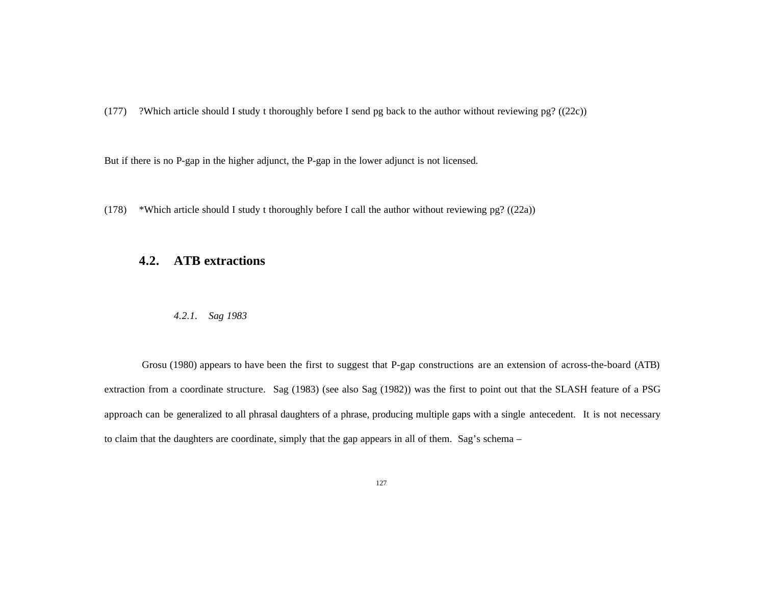(177) ?Which article should I study t thoroughly before I send pg back to the author without reviewing pg? ((22c))

But if there is no P-gap in the higher adjunct, the P-gap in the lower adjunct is not licensed.

(178) \*Which article should I study t thoroughly before I call the author without reviewing pg? ((22a))

## **4.2. ATB extractions**

*4.2.1. Sag 1983*

 Grosu (1980) appears to have been the first to suggest that P-gap constructions are an extension of across-the-board (ATB) extraction from a coordinate structure. Sag (1983) (see also Sag (1982)) was the first to point out that the SLASH feature of a PSG approach can be generalized to all phrasal daughters of a phrase, producing multiple gaps with a single antecedent. It is not necessary to claim that the daughters are coordinate, simply that the gap appears in all of them. Sag's schema –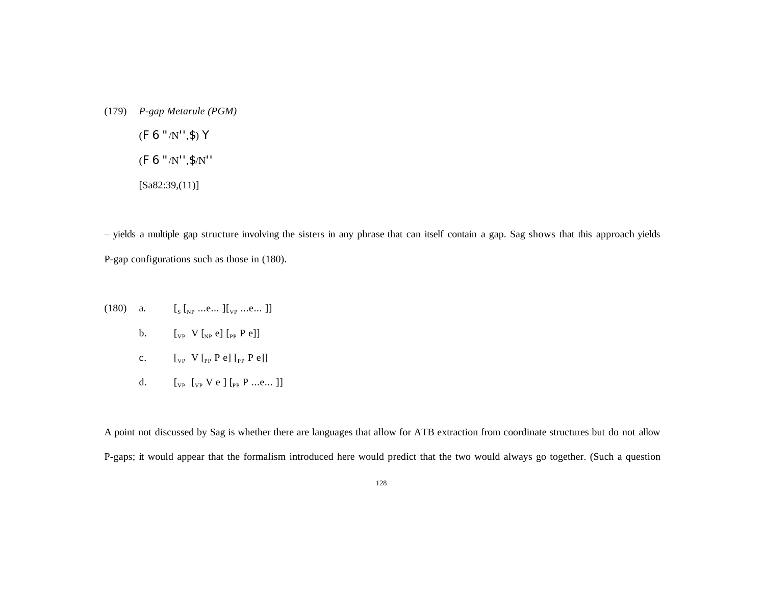(179) *P-gap Metarule (PGM)* (F 6 "/N'',\$) Y

(F 6 "/N'',\$/N''

[Sa82:39,(11)]

– yields a multiple gap structure involving the sisters in any phrase that can itself contain a gap. Sag shows that this approach yields P-gap configurations such as those in (180).

- $(180)$  a.  $\left[\begin{smallmatrix}S & 0 & \dots & 0 \end{smallmatrix}\right]$  ...e...  $\left[\begin{smallmatrix}V & 0 & \dots & 0 \end{smallmatrix}\right]$ 
	- b.  $\left[\begin{matrix}V_{\text{PP}} & V\end{matrix}\right]\left[\begin{matrix}V_{\text{PP}} & P & e\end{matrix}\right]$
	- c.  $\left[\begin{matrix}V_{\text{PP}} & V_{\text{PP}} & P & e\end{matrix}\right] \left[\begin{matrix}P_{\text{PP}} & P & e\end{matrix}\right]$
	- d.  $[\begin{array}{cc} [1,1] \mathbb{R}^p \end{array}]$  [<sub>PP</sub> P ...e...]]

A point not discussed by Sag is whether there are languages that allow for ATB extraction from coordinate structures but do not allow P-gaps; it would appear that the formalism introduced here would predict that the two would always go together. (Such a question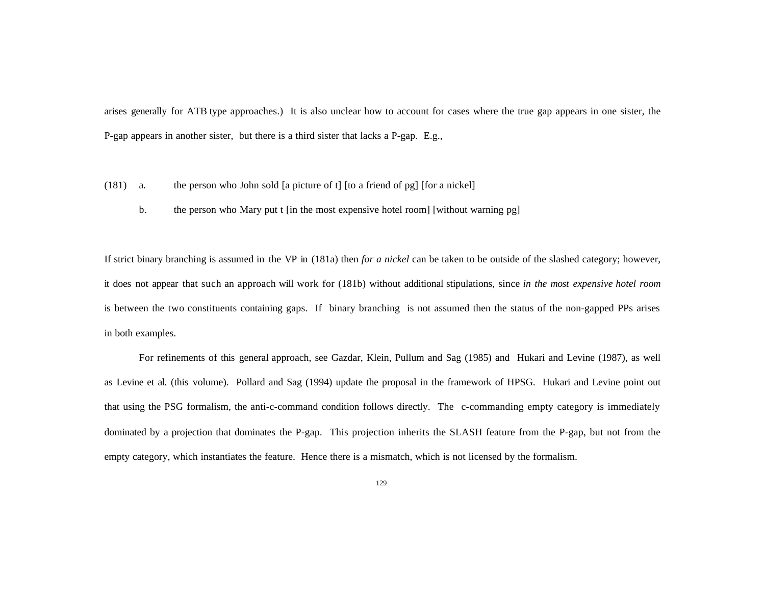arises generally for ATB type approaches.) It is also unclear how to account for cases where the true gap appears in one sister, the P-gap appears in another sister, but there is a third sister that lacks a P-gap. E.g.,

- (181) a. the person who John sold [a picture of t] [to a friend of pg] [for a nickel]
	- b. the person who Mary put t [in the most expensive hotel room] [without warning pg]

If strict binary branching is assumed in the VP in (181a) then *for a nickel* can be taken to be outside of the slashed category; however, it does not appear that such an approach will work for (181b) without additional stipulations, since *in the most expensive hotel room* is between the two constituents containing gaps. If binary branching is not assumed then the status of the non-gapped PPs arises in both examples.

For refinements of this general approach, see Gazdar, Klein, Pullum and Sag (1985) and Hukari and Levine (1987), as well as Levine et al. (this volume). Pollard and Sag (1994) update the proposal in the framework of HPSG. Hukari and Levine point out that using the PSG formalism, the anti-c-command condition follows directly. The c-commanding empty category is immediately dominated by a projection that dominates the P-gap. This projection inherits the SLASH feature from the P-gap, but not from the empty category, which instantiates the feature. Hence there is a mismatch, which is not licensed by the formalism.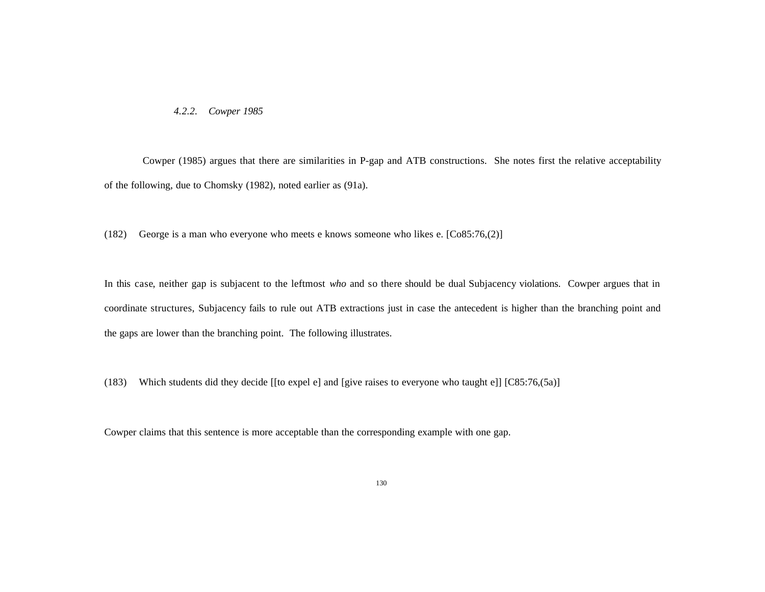*4.2.2. Cowper 1985*

 Cowper (1985) argues that there are similarities in P-gap and ATB constructions. She notes first the relative acceptability of the following, due to Chomsky (1982), noted earlier as (91a).

(182) George is a man who everyone who meets e knows someone who likes e. [Co85:76,(2)]

In this case, neither gap is subjacent to the leftmost *who* and so there should be dual Subjacency violations. Cowper argues that in coordinate structures, Subjacency fails to rule out ATB extractions just in case the antecedent is higher than the branching point and the gaps are lower than the branching point. The following illustrates.

(183) Which students did they decide [[to expel e] and [give raises to everyone who taught e]] [C85:76,(5a)]

Cowper claims that this sentence is more acceptable than the corresponding example with one gap.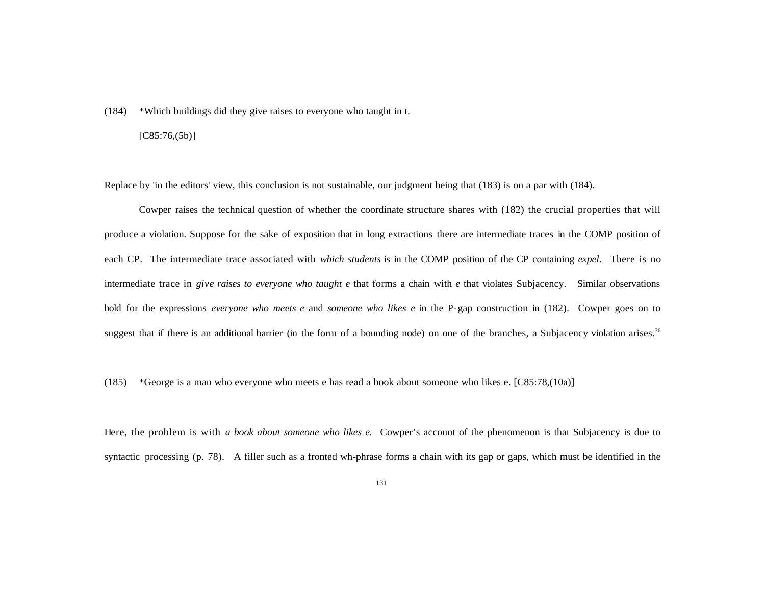(184) \*Which buildings did they give raises to everyone who taught in t.

### $[C85:76,(5b)]$

Replace by 'in the editors' view, this conclusion is not sustainable, our judgment being that (183) is on a par with (184).

Cowper raises the technical question of whether the coordinate structure shares with (182) the crucial properties that will produce a violation. Suppose for the sake of exposition that in long extractions there are intermediate traces in the COMP position of each CP. The intermediate trace associated with *which students* is in the COMP position of the CP containing *expel*. There is no intermediate trace in *give raises to everyone who taught e* that forms a chain with *e* that violates Subjacency. Similar observations hold for the expressions *everyone who meets e* and *someone who likes e* in the P-gap construction in (182). Cowper goes on to suggest that if there is an additional barrier (in the form of a bounding node) on one of the branches, a Subjacency violation arises.<sup>36</sup>

(185) \*George is a man who everyone who meets e has read a book about someone who likes e. [C85:78,(10a)]

Here, the problem is with *a book about someone who likes e.* Cowper's account of the phenomenon is that Subjacency is due to syntactic processing (p. 78). A filler such as a fronted wh-phrase forms a chain with its gap or gaps, which must be identified in the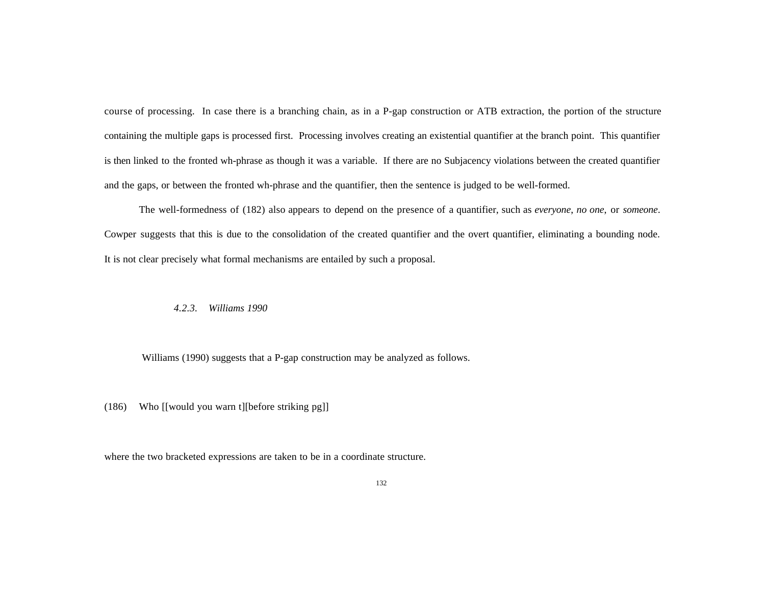course of processing. In case there is a branching chain, as in a P-gap construction or ATB extraction, the portion of the structure containing the multiple gaps is processed first. Processing involves creating an existential quantifier at the branch point. This quantifier is then linked to the fronted wh-phrase as though it was a variable. If there are no Subjacency violations between the created quantifier and the gaps, or between the fronted wh-phrase and the quantifier, then the sentence is judged to be well-formed.

The well-formedness of (182) also appears to depend on the presence of a quantifier, such as *everyone*, *no one*, or *someone*. Cowper suggests that this is due to the consolidation of the created quantifier and the overt quantifier, eliminating a bounding node. It is not clear precisely what formal mechanisms are entailed by such a proposal.

### *4.2.3. Williams 1990*

Williams (1990) suggests that a P-gap construction may be analyzed as follows.

(186) Who [[would you warn t][before striking pg]]

where the two bracketed expressions are taken to be in a coordinate structure.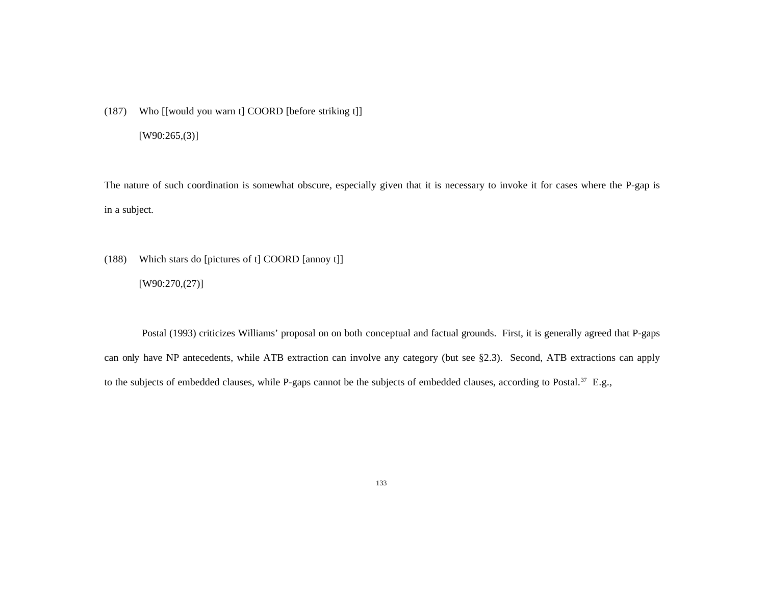(187) Who [[would you warn t] COORD [before striking t]]

[W90:265,(3)]

The nature of such coordination is somewhat obscure, especially given that it is necessary to invoke it for cases where the P-gap is in a subject.

(188) Which stars do [pictures of t] COORD [annoy t]] [W90:270,(27)]

 Postal (1993) criticizes Williams' proposal on on both conceptual and factual grounds. First, it is generally agreed that P-gaps can only have NP antecedents, while ATB extraction can involve any category (but see §2.3). Second, ATB extractions can apply to the subjects of embedded clauses, while P-gaps cannot be the subjects of embedded clauses, according to Postal.<sup>37</sup> E.g.,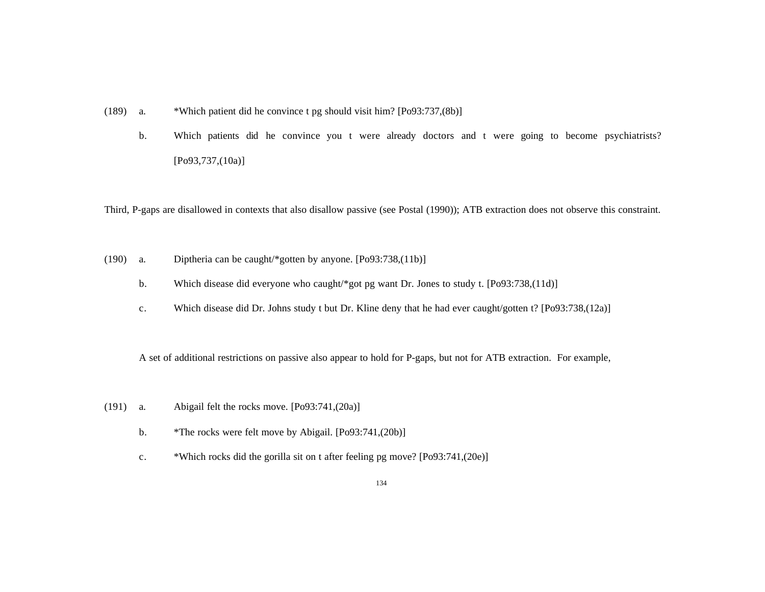- (189) a. \*Which patient did he convince t pg should visit him? [Po93:737,(8b)]
	- b. Which patients did he convince you t were already doctors and t were going to become psychiatrists? [Po93,737,(10a)]

Third, P-gaps are disallowed in contexts that also disallow passive (see Postal (1990)); ATB extraction does not observe this constraint.

- (190) a. Diptheria can be caught/\*gotten by anyone. [Po93:738,(11b)]
	- b. Which disease did everyone who caught/\*got pg want Dr. Jones to study t. [Po93:738,(11d)]
	- c. Which disease did Dr. Johns study t but Dr. Kline deny that he had ever caught/gotten t? [Po93:738,(12a)]

A set of additional restrictions on passive also appear to hold for P-gaps, but not for ATB extraction. For example,

- (191) a. Abigail felt the rocks move. [Po93:741,(20a)]
	- b. \*The rocks were felt move by Abigail. [Po93:741,(20b)]
	- c. \*Which rocks did the gorilla sit on t after feeling pg move? [Po93:741,(20e)]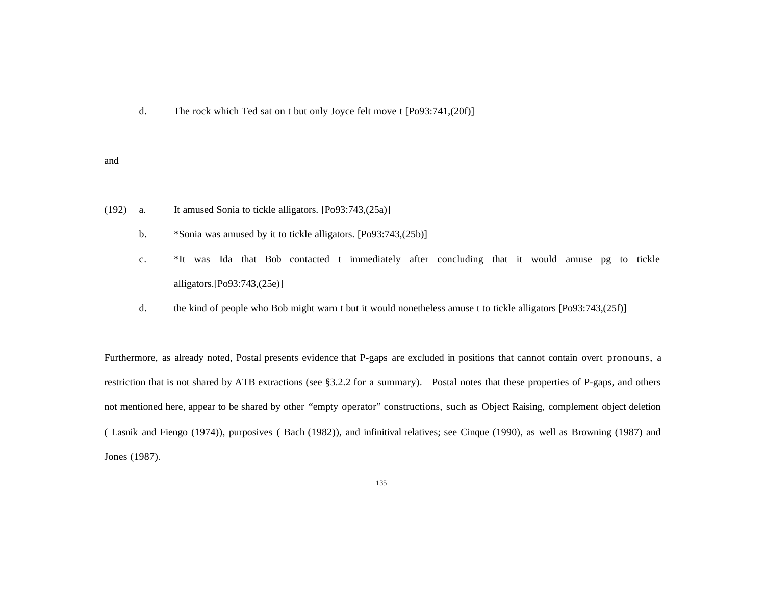d. The rock which Ted sat on t but only Joyce felt move t [Po93:741,(20f)]

#### and

- (192) a. It amused Sonia to tickle alligators. [Po93:743,(25a)]
	- b. \*Sonia was amused by it to tickle alligators. [Po93:743,(25b)]
	- c. \*It was Ida that Bob contacted t immediately after concluding that it would amuse pg to tickle alligators.[Po93:743,(25e)]
	- d. the kind of people who Bob might warn t but it would nonetheless amuse t to tickle alligators [Po93:743,(25f)]

Furthermore, as already noted, Postal presents evidence that P-gaps are excluded in positions that cannot contain overt pronouns, a restriction that is not shared by ATB extractions (see §3.2.2 for a summary). Postal notes that these properties of P-gaps, and others not mentioned here, appear to be shared by other "empty operator" constructions, such as Object Raising, complement object deletion ( Lasnik and Fiengo (1974)), purposives ( Bach (1982)), and infinitival relatives; see Cinque (1990), as well as Browning (1987) and Jones (1987).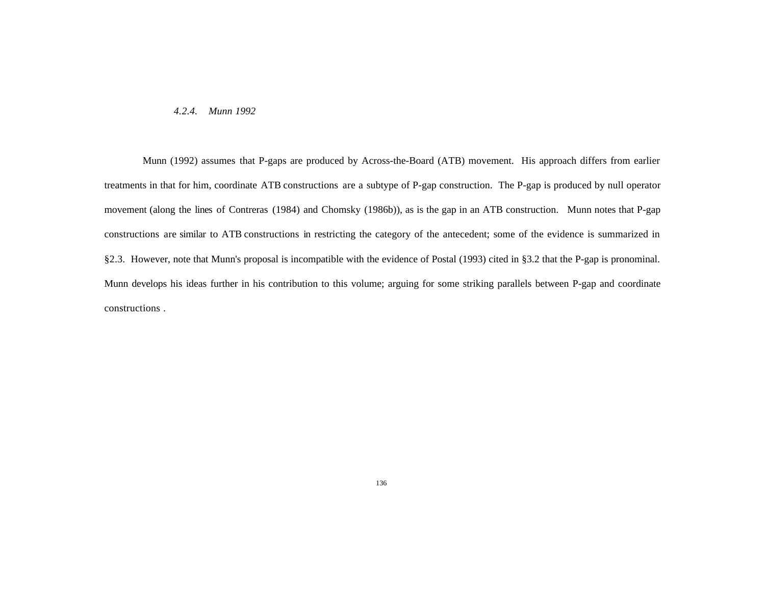#### *4.2.4. Munn 1992*

Munn (1992) assumes that P-gaps are produced by Across-the-Board (ATB) movement. His approach differs from earlier treatments in that for him, coordinate ATB constructions are a subtype of P-gap construction. The P-gap is produced by null operator movement (along the lines of Contreras (1984) and Chomsky (1986b)), as is the gap in an ATB construction. Munn notes that P-gap constructions are similar to ATB constructions in restricting the category of the antecedent; some of the evidence is summarized in §2.3. However, note that Munn's proposal is incompatible with the evidence of Postal (1993) cited in §3.2 that the P-gap is pronominal. Munn develops his ideas further in his contribution to this volume; arguing for some striking parallels between P-gap and coordinate constructions .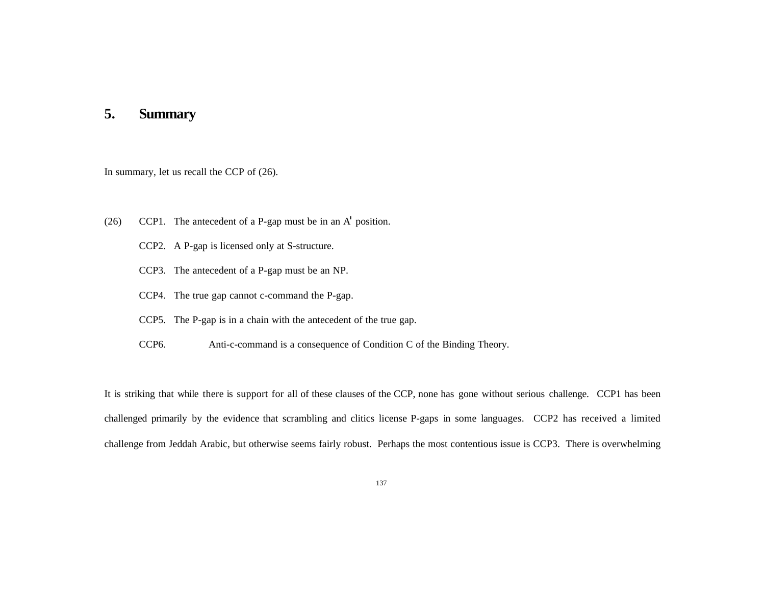# **5. Summary**

In summary, let us recall the CCP of (26).

- (26) CCP1. The antecedent of a P-gap must be in an A' position.
	- CCP2. A P-gap is licensed only at S-structure.
	- CCP3. The antecedent of a P-gap must be an NP.
	- CCP4. The true gap cannot c-command the P-gap.
	- CCP5. The P-gap is in a chain with the antecedent of the true gap.
	- CCP6. Anti-c-command is a consequence of Condition C of the Binding Theory.

It is striking that while there is support for all of these clauses of the CCP, none has gone without serious challenge. CCP1 has been challenged primarily by the evidence that scrambling and clitics license P-gaps in some languages. CCP2 has received a limited challenge from Jeddah Arabic, but otherwise seems fairly robust. Perhaps the most contentious issue is CCP3. There is overwhelming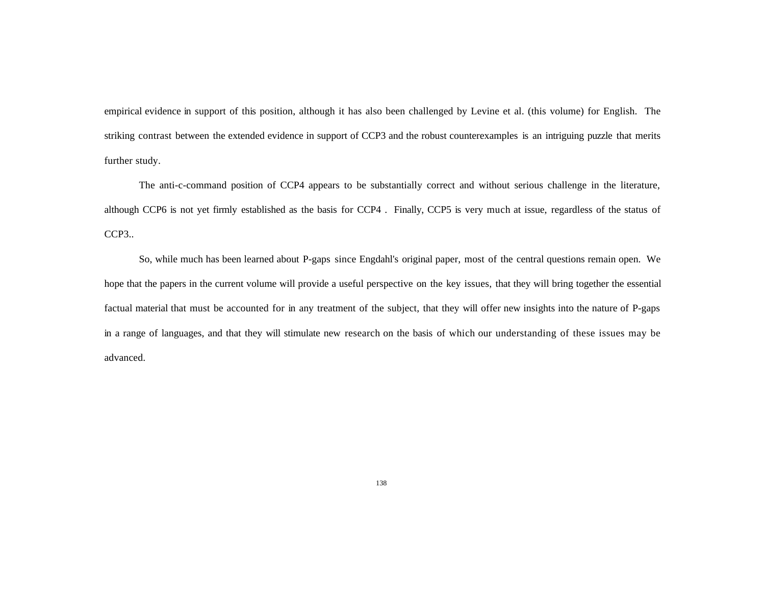empirical evidence in support of this position, although it has also been challenged by Levine et al. (this volume) for English. The striking contrast between the extended evidence in support of CCP3 and the robust counterexamples is an intriguing puzzle that merits further study.

The anti-c-command position of CCP4 appears to be substantially correct and without serious challenge in the literature, although CCP6 is not yet firmly established as the basis for CCP4 . Finally, CCP5 is very much at issue, regardless of the status of CCP3..

So, while much has been learned about P-gaps since Engdahl's original paper, most of the central questions remain open. We hope that the papers in the current volume will provide a useful perspective on the key issues, that they will bring together the essential factual material that must be accounted for in any treatment of the subject, that they will offer new insights into the nature of P-gaps in a range of languages, and that they will stimulate new research on the basis of which our understanding of these issues may be advanced.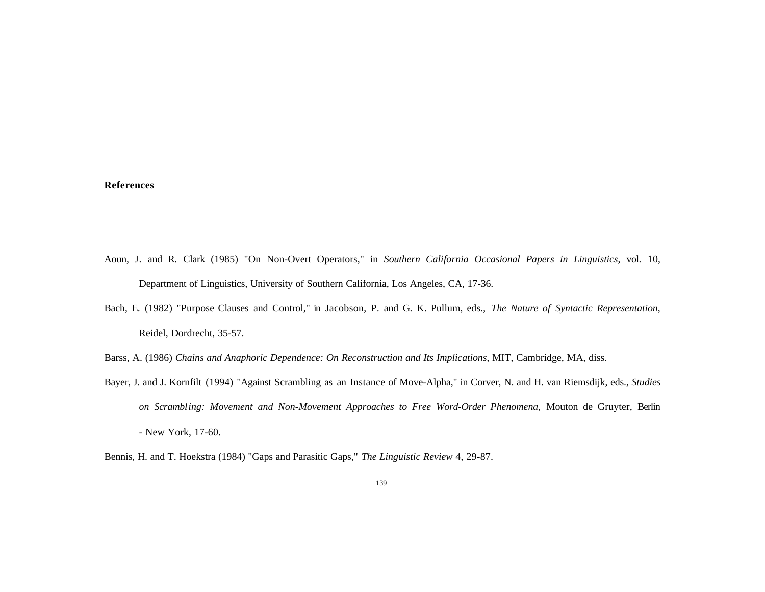### **References**

- Aoun, J. and R. Clark (1985) "On Non-Overt Operators," in *Southern California Occasional Papers in Linguistics*, vol. 10, Department of Linguistics, University of Southern California, Los Angeles, CA, 17-36.
- Bach, E. (1982) "Purpose Clauses and Control," in Jacobson, P. and G. K. Pullum, eds., *The Nature of Syntactic Representation*, Reidel, Dordrecht, 35-57.

Barss, A. (1986) *Chains and Anaphoric Dependence: On Reconstruction and Its Implications*, MIT, Cambridge, MA, diss.

- Bayer, J. and J. Kornfilt (1994) "Against Scrambling as an Instance of Move-Alpha," in Corver, N. and H. van Riemsdijk, eds., *Studies on Scrambling: Movement and Non-Movement Approaches to Free Word-Order Phenomena*, Mouton de Gruyter, Berlin - New York, 17-60.
- Bennis, H. and T. Hoekstra (1984) "Gaps and Parasitic Gaps," *The Linguistic Review* 4, 29-87.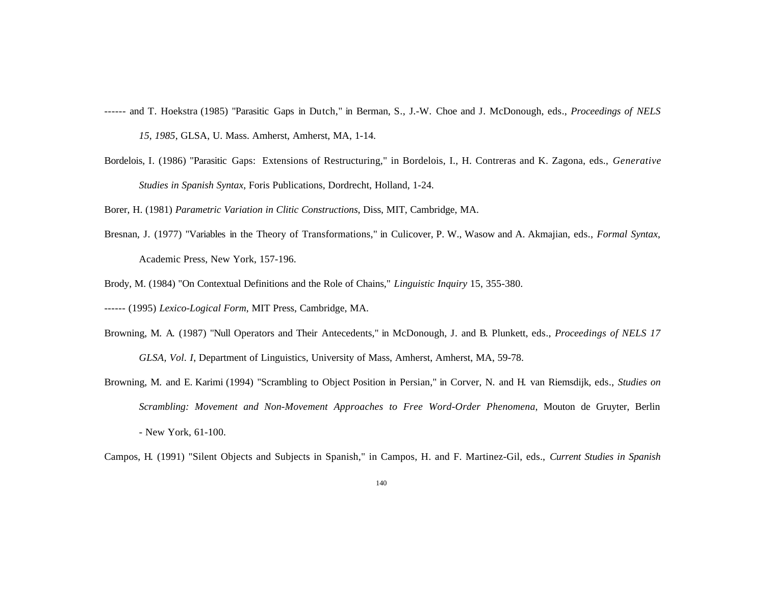------ and T. Hoekstra (1985) "Parasitic Gaps in Dutch," in Berman, S., J.-W. Choe and J. McDonough, eds., *Proceedings of NELS 15, 1985*, GLSA, U. Mass. Amherst, Amherst, MA, 1-14.

Bordelois, I. (1986) "Parasitic Gaps: Extensions of Restructuring," in Bordelois, I., H. Contreras and K. Zagona, eds., *Generative Studies in Spanish Syntax*, Foris Publications, Dordrecht, Holland, 1-24.

Borer, H. (1981) *Parametric Variation in Clitic Constructions*, Diss, MIT, Cambridge, MA.

Bresnan, J. (1977) "Variables in the Theory of Transformations," in Culicover, P. W., Wasow and A. Akmajian, eds., *Formal Syntax*, Academic Press, New York, 157-196.

Brody, M. (1984) "On Contextual Definitions and the Role of Chains," *Linguistic Inquiry* 15, 355-380.

------ (1995) *Lexico-Logical Form*, MIT Press, Cambridge, MA.

- Browning, M. A. (1987) "Null Operators and Their Antecedents," in McDonough, J. and B. Plunkett, eds., *Proceedings of NELS 17 GLSA, Vol. I*, Department of Linguistics, University of Mass, Amherst, Amherst, MA, 59-78.
- Browning, M. and E. Karimi (1994) "Scrambling to Object Position in Persian," in Corver, N. and H. van Riemsdijk, eds., *Studies on Scrambling: Movement and Non-Movement Approaches to Free Word-Order Phenomena*, Mouton de Gruyter, Berlin - New York, 61-100.
- Campos, H. (1991) "Silent Objects and Subjects in Spanish," in Campos, H. and F. Martinez-Gil, eds., *Current Studies in Spanish*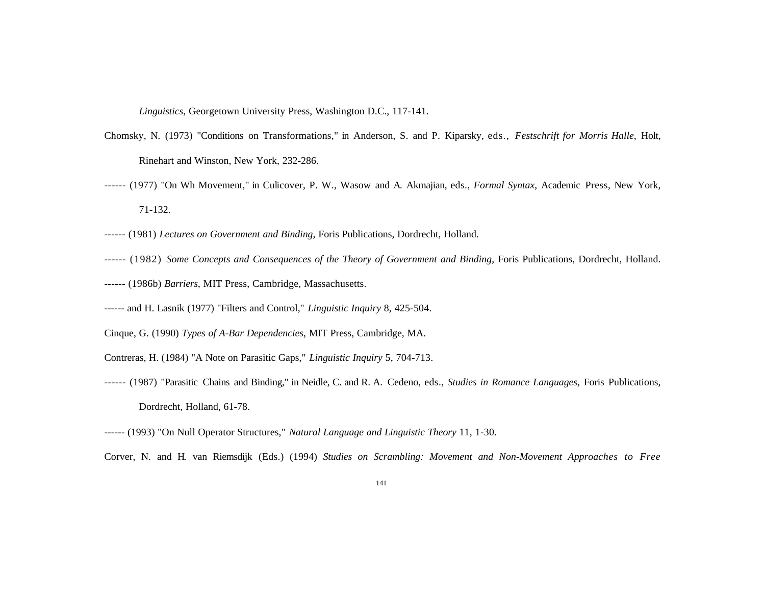*Linguistics*, Georgetown University Press, Washington D.C., 117-141.

- Chomsky, N. (1973) "Conditions on Transformations," in Anderson, S. and P. Kiparsky, eds., *Festschrift for Morris Halle*, Holt, Rinehart and Winston, New York, 232-286.
- ------ (1977) "On Wh Movement," in Culicover, P. W., Wasow and A. Akmajian, eds., *Formal Syntax*, Academic Press, New York, 71-132.
- ------ (1981) *Lectures on Government and Binding*, Foris Publications, Dordrecht, Holland.
- ------ (1982) *Some Concepts and Consequences of the Theory of Government and Binding*, Foris Publications, Dordrecht, Holland.
- ------ (1986b) *Barriers*, MIT Press, Cambridge, Massachusetts.
- ------ and H. Lasnik (1977) "Filters and Control," *Linguistic Inquiry* 8, 425-504.
- Cinque, G. (1990) *Types of A-Bar Dependencies*, MIT Press, Cambridge, MA.
- Contreras, H. (1984) "A Note on Parasitic Gaps," *Linguistic Inquiry* 5, 704-713.
- ------ (1987) "Parasitic Chains and Binding," in Neidle, C. and R. A. Cedeno, eds., *Studies in Romance Languages*, Foris Publications, Dordrecht, Holland, 61-78.
- ------ (1993) "On Null Operator Structures," *Natural Language and Linguistic Theory* 11, 1-30.

Corver, N. and H. van Riemsdijk (Eds.) (1994) *Studies on Scrambling: Movement and Non-Movement Approaches to Free*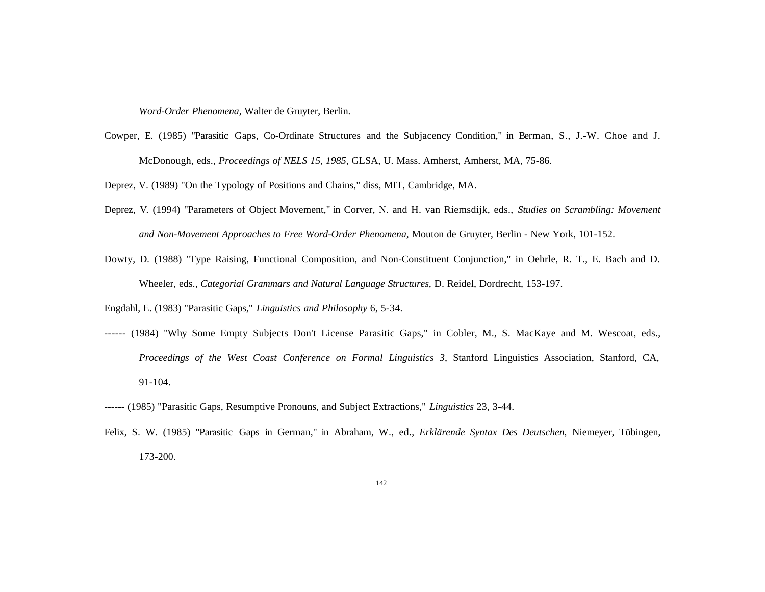*Word-Order Phenomena*, Walter de Gruyter, Berlin.

Cowper, E. (1985) "Parasitic Gaps, Co-Ordinate Structures and the Subjacency Condition," in Berman, S., J.-W. Choe and J. McDonough, eds., *Proceedings of NELS 15, 1985*, GLSA, U. Mass. Amherst, Amherst, MA, 75-86.

Deprez, V. (1989) "On the Typology of Positions and Chains," diss, MIT, Cambridge, MA.

- Deprez, V. (1994) "Parameters of Object Movement," in Corver, N. and H. van Riemsdijk, eds., *Studies on Scrambling: Movement and Non-Movement Approaches to Free Word-Order Phenomena*, Mouton de Gruyter, Berlin - New York, 101-152.
- Dowty, D. (1988) "Type Raising, Functional Composition, and Non-Constituent Conjunction," in Oehrle, R. T., E. Bach and D. Wheeler, eds., *Categorial Grammars and Natural Language Structures*, D. Reidel, Dordrecht, 153-197.

Engdahl, E. (1983) "Parasitic Gaps," *Linguistics and Philosophy* 6, 5-34.

- ------ (1984) "Why Some Empty Subjects Don't License Parasitic Gaps," in Cobler, M., S. MacKaye and M. Wescoat, eds., *Proceedings of the West Coast Conference on Formal Linguistics 3*, Stanford Linguistics Association, Stanford, CA, 91-104.
- ------ (1985) "Parasitic Gaps, Resumptive Pronouns, and Subject Extractions," *Linguistics* 23, 3-44.
- Felix, S. W. (1985) "Parasitic Gaps in German," in Abraham, W., ed., *Erklärende Syntax Des Deutschen*, Niemeyer, Tübingen, 173-200.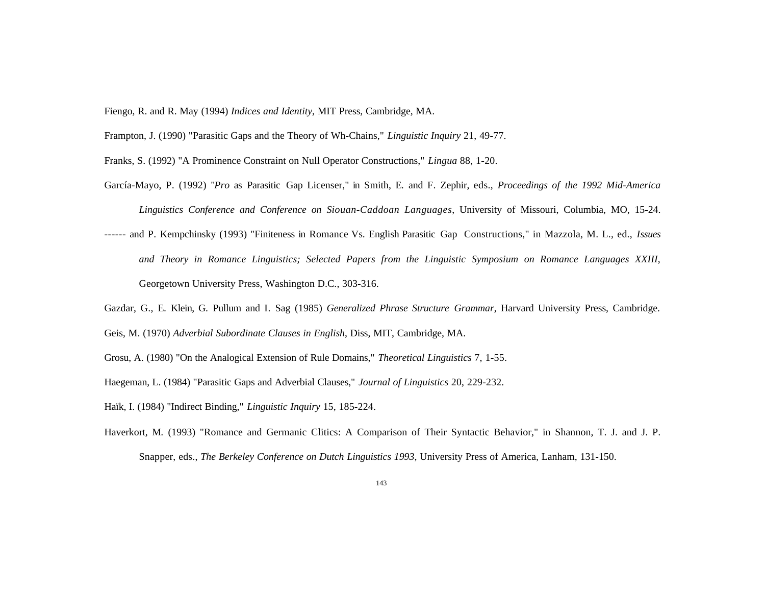Fiengo, R. and R. May (1994) *Indices and Identity*, MIT Press, Cambridge, MA.

Frampton, J. (1990) "Parasitic Gaps and the Theory of Wh-Chains," *Linguistic Inquiry* 21, 49-77.

Franks, S. (1992) "A Prominence Constraint on Null Operator Constructions," *Lingua* 88, 1-20.

- García-Mayo, P. (1992) "*Pro* as Parasitic Gap Licenser," in Smith, E. and F. Zephir, eds., *Proceedings of the 1992 Mid-America Linguistics Conference and Conference on Siouan-Caddoan Languages*, University of Missouri, Columbia, MO, 15-24.
- ------ and P. Kempchinsky (1993) "Finiteness in Romance Vs. English Parasitic Gap Constructions," in Mazzola, M. L., ed., *Issues and Theory in Romance Linguistics; Selected Papers from the Linguistic Symposium on Romance Languages XXIII*, Georgetown University Press, Washington D.C., 303-316.
- Gazdar, G., E. Klein, G. Pullum and I. Sag (1985) *Generalized Phrase Structure Grammar*, Harvard University Press, Cambridge.
- Geis, M. (1970) *Adverbial Subordinate Clauses in English*, Diss, MIT, Cambridge, MA.
- Grosu, A. (1980) "On the Analogical Extension of Rule Domains," *Theoretical Linguistics* 7, 1-55.
- Haegeman, L. (1984) "Parasitic Gaps and Adverbial Clauses," *Journal of Linguistics* 20, 229-232.
- Haïk, I. (1984) "Indirect Binding," *Linguistic Inquiry* 15, 185-224.
- Haverkort, M. (1993) "Romance and Germanic Clitics: A Comparison of Their Syntactic Behavior," in Shannon, T. J. and J. P. Snapper, eds., *The Berkeley Conference on Dutch Linguistics 1993*, University Press of America, Lanham, 131-150.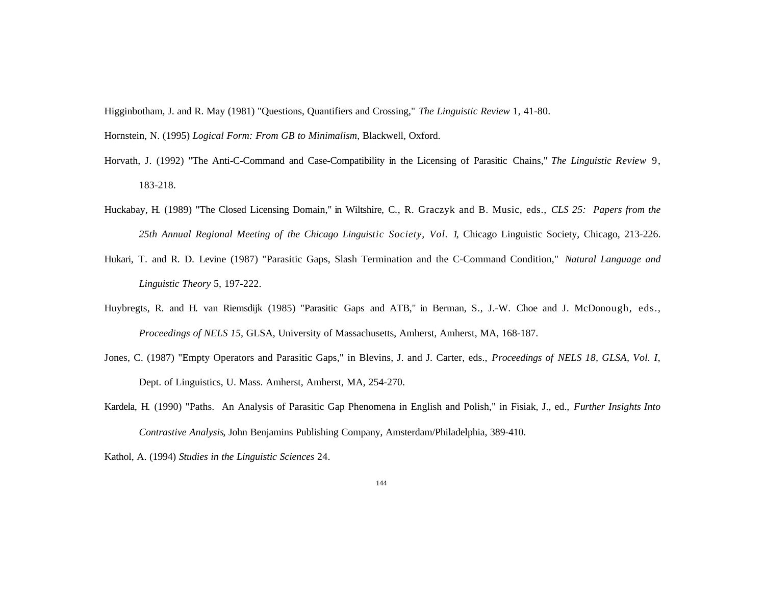Higginbotham, J. and R. May (1981) "Questions, Quantifiers and Crossing," *The Linguistic Review* 1, 41-80.

Hornstein, N. (1995) *Logical Form: From GB to Minimalism*, Blackwell, Oxford.

- Horvath, J. (1992) "The Anti-C-Command and Case-Compatibility in the Licensing of Parasitic Chains," *The Linguistic Review* 9, 183-218.
- Huckabay, H. (1989) "The Closed Licensing Domain," in Wiltshire, C., R. Graczyk and B. Music, eds., *CLS 25: Papers from the 25th Annual Regional Meeting of the Chicago Linguistic Society, Vol. 1*, Chicago Linguistic Society, Chicago, 213-226.
- Hukari, T. and R. D. Levine (1987) "Parasitic Gaps, Slash Termination and the C-Command Condition," *Natural Language and Linguistic Theory* 5, 197-222.
- Huybregts, R. and H. van Riemsdijk (1985) "Parasitic Gaps and ATB," in Berman, S., J.-W. Choe and J. McDonough, eds., *Proceedings of NELS 15,* GLSA, University of Massachusetts, Amherst, Amherst, MA, 168-187.
- Jones, C. (1987) "Empty Operators and Parasitic Gaps," in Blevins, J. and J. Carter, eds., *Proceedings of NELS 18, GLSA, Vol. I*, Dept. of Linguistics, U. Mass. Amherst, Amherst, MA, 254-270.
- Kardela, H. (1990) "Paths. An Analysis of Parasitic Gap Phenomena in English and Polish," in Fisiak, J., ed., *Further Insights Into Contrastive Analysis*, John Benjamins Publishing Company, Amsterdam/Philadelphia, 389-410.
- Kathol, A. (1994) *Studies in the Linguistic Sciences* 24.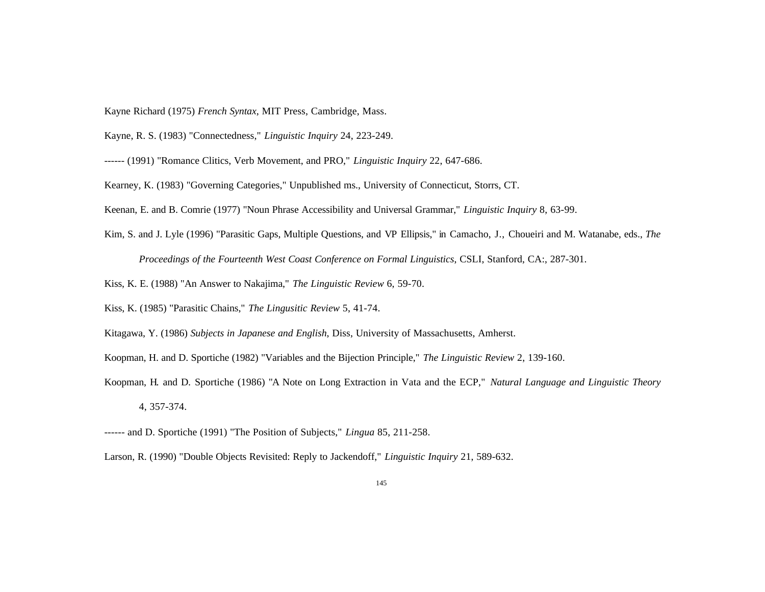Kayne Richard (1975) *French Syntax*, MIT Press, Cambridge, Mass.

Kayne, R. S. (1983) "Connectedness," *Linguistic Inquiry* 24, 223-249.

------ (1991) "Romance Clitics, Verb Movement, and PRO," *Linguistic Inquiry* 22, 647-686.

Kearney, K. (1983) "Governing Categories," Unpublished ms., University of Connecticut, Storrs, CT.

Keenan, E. and B. Comrie (1977) "Noun Phrase Accessibility and Universal Grammar," *Linguistic Inquiry* 8, 63-99.

Kim, S. and J. Lyle (1996) "Parasitic Gaps, Multiple Questions, and VP Ellipsis," in Camacho, J., Choueiri and M. Watanabe, eds., *The*

*Proceedings of the Fourteenth West Coast Conference on Formal Linguistics*, CSLI, Stanford, CA:, 287-301.

Kiss, K. E. (1988) "An Answer to Nakajima," *The Linguistic Review* 6, 59-70.

Kiss, K. (1985) "Parasitic Chains," *The Lingusitic Review* 5, 41-74.

Kitagawa, Y. (1986) *Subjects in Japanese and English*, Diss, University of Massachusetts, Amherst.

Koopman, H. and D. Sportiche (1982) "Variables and the Bijection Principle," *The Linguistic Review* 2, 139-160.

Koopman, H. and D. Sportiche (1986) "A Note on Long Extraction in Vata and the ECP," *Natural Language and Linguistic Theory* 4, 357-374.

------ and D. Sportiche (1991) "The Position of Subjects," *Lingua* 85, 211-258.

Larson, R. (1990) "Double Objects Revisited: Reply to Jackendoff," *Linguistic Inquiry* 21, 589-632.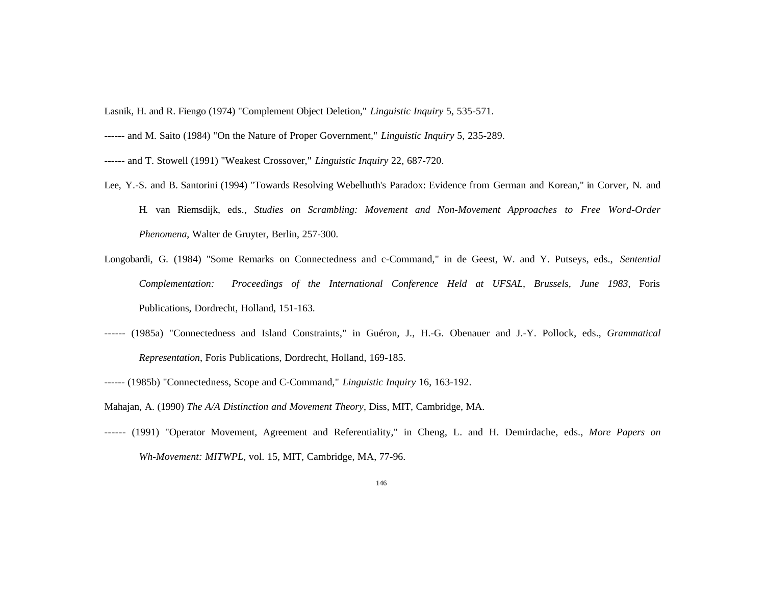Lasnik, H. and R. Fiengo (1974) "Complement Object Deletion," *Linguistic Inquiry* 5, 535-571.

------ and T. Stowell (1991) "Weakest Crossover," *Linguistic Inquiry* 22, 687-720.

- Lee, Y.-S. and B. Santorini (1994) "Towards Resolving Webelhuth's Paradox: Evidence from German and Korean," in Corver, N. and H. van Riemsdijk, eds., *Studies on Scrambling: Movement and Non-Movement Approaches to Free Word-Order Phenomena*, Walter de Gruyter, Berlin, 257-300.
- Longobardi, G. (1984) "Some Remarks on Connectedness and c-Command," in de Geest, W. and Y. Putseys, eds., *Sentential Complementation: Proceedings of the International Conference Held at UFSAL, Brussels, June 1983*, Foris Publications, Dordrecht, Holland, 151-163.
- ------ (1985a) "Connectedness and Island Constraints," in Guéron, J., H.-G. Obenauer and J.-Y. Pollock, eds., *Grammatical Representation*, Foris Publications, Dordrecht, Holland, 169-185.
- ------ (1985b) "Connectedness, Scope and C-Command," *Linguistic Inquiry* 16, 163-192.

------ (1991) "Operator Movement, Agreement and Referentiality," in Cheng, L. and H. Demirdache, eds., *More Papers on Wh-Movement: MITWPL*, vol. 15, MIT, Cambridge, MA, 77-96.

<sup>------</sup> and M. Saito (1984) "On the Nature of Proper Government," *Linguistic Inquiry* 5, 235-289.

Mahajan, A. (1990) *The A/A Distinction and Movement Theory*, Diss, MIT, Cambridge, MA.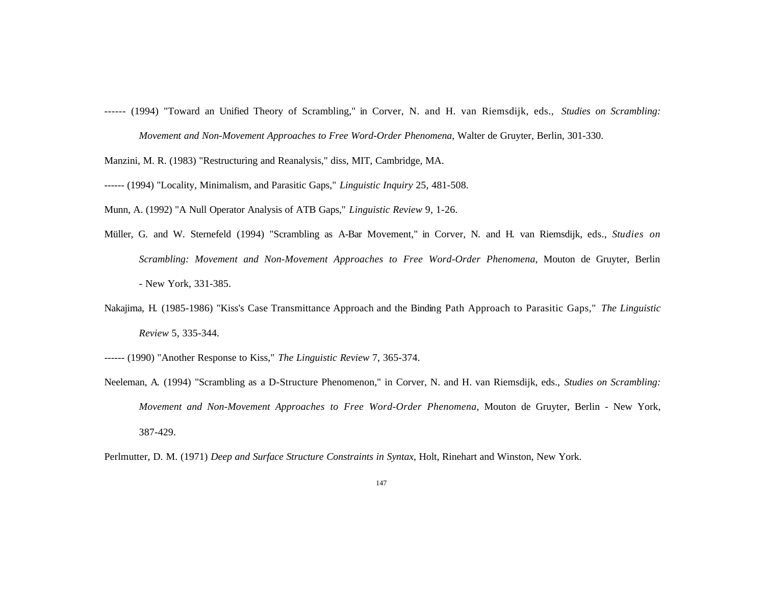- ------ (1994) "Toward an Unified Theory of Scrambling," in Corver, N. and H. van Riemsdijk, eds., *Studies on Scrambling: Movement and Non-Movement Approaches to Free Word-Order Phenomena*, Walter de Gruyter, Berlin, 301-330.
- Manzini, M. R. (1983) "Restructuring and Reanalysis," diss, MIT, Cambridge, MA.
- ------ (1994) "Locality, Minimalism, and Parasitic Gaps," *Linguistic Inquiry* 25, 481-508.
- Munn, A. (1992) "A Null Operator Analysis of ATB Gaps," *Linguistic Review* 9, 1-26.
- Müller, G. and W. Sternefeld (1994) "Scrambling as A-Bar Movement," in Corver, N. and H. van Riemsdijk, eds., *Studies on Scrambling: Movement and Non-Movement Approaches to Free Word-Order Phenomena*, Mouton de Gruyter, Berlin - New York, 331-385.
- Nakajima, H. (1985-1986) "Kiss's Case Transmittance Approach and the Binding Path Approach to Parasitic Gaps," *The Linguistic Review* 5, 335-344.
- ------ (1990) "Another Response to Kiss," *The Linguistic Review* 7, 365-374.
- Neeleman, A. (1994) "Scrambling as a D-Structure Phenomenon," in Corver, N. and H. van Riemsdijk, eds., *Studies on Scrambling: Movement and Non-Movement Approaches to Free Word-Order Phenomena*, Mouton de Gruyter, Berlin - New York, 387-429.
- Perlmutter, D. M. (1971) *Deep and Surface Structure Constraints in Syntax*, Holt, Rinehart and Winston, New York.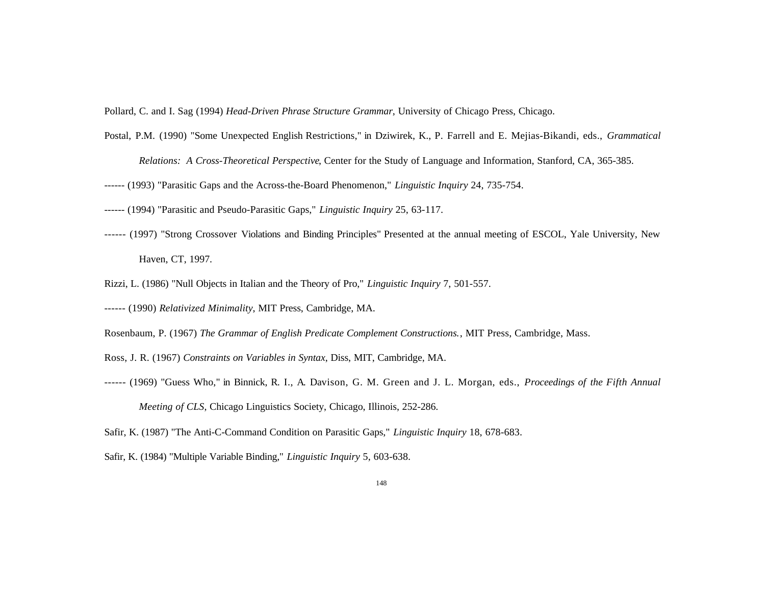Pollard, C. and I. Sag (1994) *Head-Driven Phrase Structure Grammar*, University of Chicago Press, Chicago.

- Postal, P.M. (1990) "Some Unexpected English Restrictions," in Dziwirek, K., P. Farrell and E. Mejias-Bikandi, eds., *Grammatical Relations: A Cross-Theoretical Perspective*, Center for the Study of Language and Information, Stanford, CA, 365-385.
- ------ (1993) "Parasitic Gaps and the Across-the-Board Phenomenon," *Linguistic Inquiry* 24, 735-754.
- ------ (1994) "Parasitic and Pseudo-Parasitic Gaps," *Linguistic Inquiry* 25, 63-117.
- ------ (1997) "Strong Crossover Violations and Binding Principles" Presented at the annual meeting of ESCOL, Yale University, New Haven, CT, 1997.
- Rizzi, L. (1986) "Null Objects in Italian and the Theory of Pro," *Linguistic Inquiry* 7, 501-557.
- ------ (1990) *Relativized Minimality*, MIT Press, Cambridge, MA.
- Rosenbaum, P. (1967) *The Grammar of English Predicate Complement Constructions.*, MIT Press, Cambridge, Mass.
- Ross, J. R. (1967) *Constraints on Variables in Syntax*, Diss, MIT, Cambridge, MA.
- ------ (1969) "Guess Who," in Binnick, R. I., A. Davison, G. M. Green and J. L. Morgan, eds., *Proceedings of the Fifth Annual Meeting of CLS*, Chicago Linguistics Society, Chicago, Illinois, 252-286.
- Safir, K. (1987) "The Anti-C-Command Condition on Parasitic Gaps," *Linguistic Inquiry* 18, 678-683.
- Safir, K. (1984) "Multiple Variable Binding," *Linguistic Inquiry* 5, 603-638.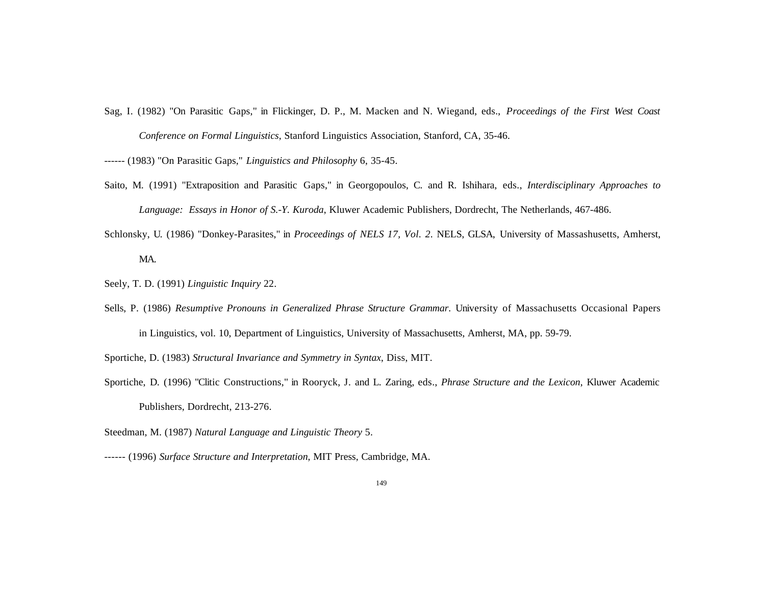Sag, I. (1982) "On Parasitic Gaps," in Flickinger, D. P., M. Macken and N. Wiegand, eds., *Proceedings of the First West Coast Conference on Formal Linguistics*, Stanford Linguistics Association, Stanford, CA, 35-46.

------ (1983) "On Parasitic Gaps," *Linguistics and Philosophy* 6, 35-45.

- Saito, M. (1991) "Extraposition and Parasitic Gaps," in Georgopoulos, C. and R. Ishihara, eds., *Interdisciplinary Approaches to Language: Essays in Honor of S.-Y. Kuroda*, Kluwer Academic Publishers, Dordrecht, The Netherlands, 467-486.
- Schlonsky, U. (1986) "Donkey-Parasites," in *Proceedings of NELS 17, Vol. 2*. NELS, GLSA, University of Massashusetts, Amherst, MA.
- Seely, T. D. (1991) *Linguistic Inquiry* 22.
- Sells, P. (1986) *Resumptive Pronouns in Generalized Phrase Structure Grammar*. University of Massachusetts Occasional Papers in Linguistics, vol. 10, Department of Linguistics, University of Massachusetts, Amherst, MA, pp. 59-79.
- Sportiche, D. (1983) *Structural Invariance and Symmetry in Syntax*, Diss, MIT.
- Sportiche, D. (1996) "Clitic Constructions," in Rooryck, J. and L. Zaring, eds., *Phrase Structure and the Lexicon*, Kluwer Academic Publishers, Dordrecht, 213-276.
- Steedman, M. (1987) *Natural Language and Linguistic Theory* 5.
- ------ (1996) *Surface Structure and Interpretation*, MIT Press, Cambridge, MA.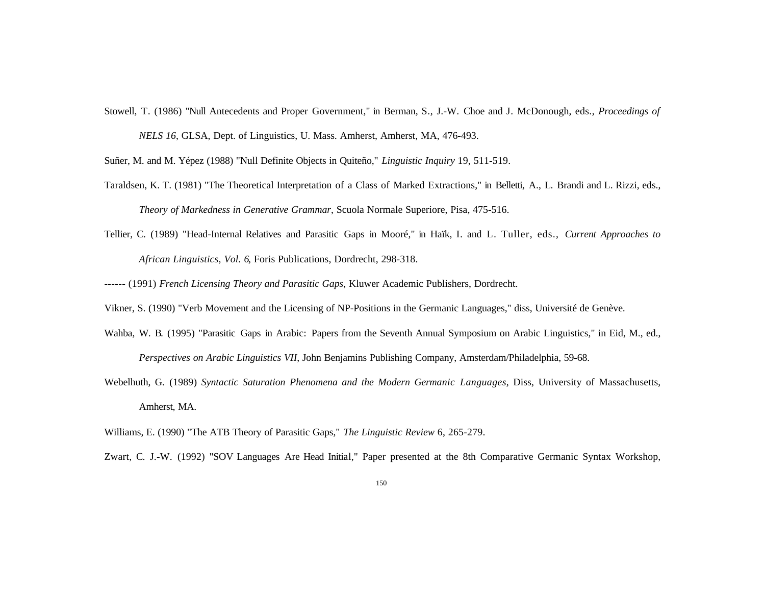Stowell, T. (1986) "Null Antecedents and Proper Government," in Berman, S., J.-W. Choe and J. McDonough, eds., *Proceedings of NELS 16*, GLSA, Dept. of Linguistics, U. Mass. Amherst, Amherst, MA, 476-493.

Suñer, M. and M. Yépez (1988) "Null Definite Objects in Quiteño," *Linguistic Inquiry* 19, 511-519.

- Taraldsen, K. T. (1981) "The Theoretical Interpretation of a Class of Marked Extractions," in Belletti, A., L. Brandi and L. Rizzi, eds., *Theory of Markedness in Generative Grammar*, Scuola Normale Superiore, Pisa, 475-516.
- Tellier, C. (1989) "Head-Internal Relatives and Parasitic Gaps in Mooré," in Haïk, I. and L. Tuller, eds., *Current Approaches to African Linguistics, Vol. 6*, Foris Publications, Dordrecht, 298-318.
- ------ (1991) *French Licensing Theory and Parasitic Gaps*, Kluwer Academic Publishers, Dordrecht.
- Vikner, S. (1990) "Verb Movement and the Licensing of NP-Positions in the Germanic Languages," diss, Université de Genève.
- Wahba, W. B. (1995) "Parasitic Gaps in Arabic: Papers from the Seventh Annual Symposium on Arabic Linguistics," in Eid, M., ed., *Perspectives on Arabic Linguistics VII*, John Benjamins Publishing Company, Amsterdam/Philadelphia, 59-68.
- Webelhuth, G. (1989) *Syntactic Saturation Phenomena and the Modern Germanic Languages*, Diss, University of Massachusetts, Amherst, MA.
- Williams, E. (1990) "The ATB Theory of Parasitic Gaps," *The Linguistic Review* 6, 265-279.
- Zwart, C. J.-W. (1992) "SOV Languages Are Head Initial," Paper presented at the 8th Comparative Germanic Syntax Workshop,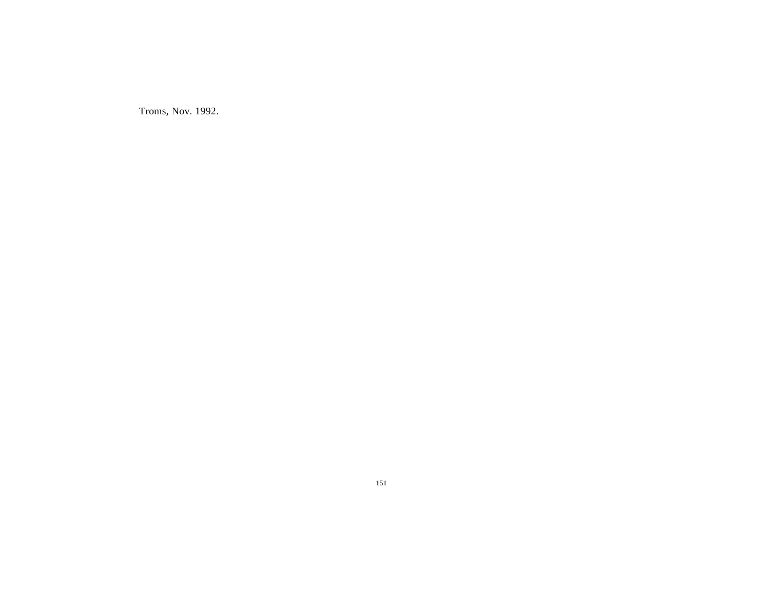Troms, Nov. 1992.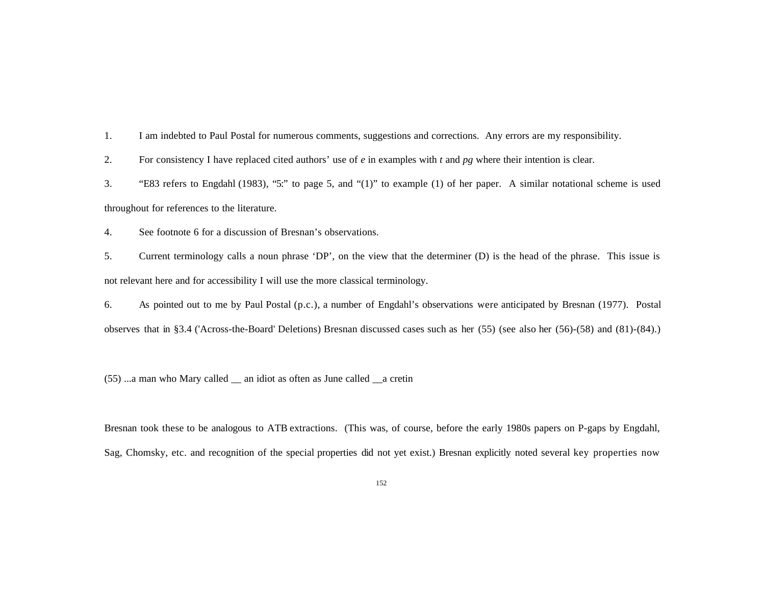1. I am indebted to Paul Postal for numerous comments, suggestions and corrections. Any errors are my responsibility.

2. For consistency I have replaced cited authors' use of *e* in examples with *t* and *pg* where their intention is clear.

3. "E83 refers to Engdahl (1983), "5:" to page 5, and "(1)" to example (1) of her paper. A similar notational scheme is used throughout for references to the literature.

4. See footnote 6 for a discussion of Bresnan's observations.

5. Current terminology calls a noun phrase 'DP', on the view that the determiner (D) is the head of the phrase. This issue is not relevant here and for accessibility I will use the more classical terminology.

6. As pointed out to me by Paul Postal (p.c.), a number of Engdahl's observations were anticipated by Bresnan (1977). Postal observes that in §3.4 ('Across-the-Board' Deletions) Bresnan discussed cases such as her (55) (see also her (56)-(58) and (81)-(84).)

(55) ...a man who Mary called \_\_ an idiot as often as June called \_\_a cretin

Bresnan took these to be analogous to ATB extractions. (This was, of course, before the early 1980s papers on P-gaps by Engdahl, Sag, Chomsky, etc. and recognition of the special properties did not yet exist.) Bresnan explicitly noted several key properties now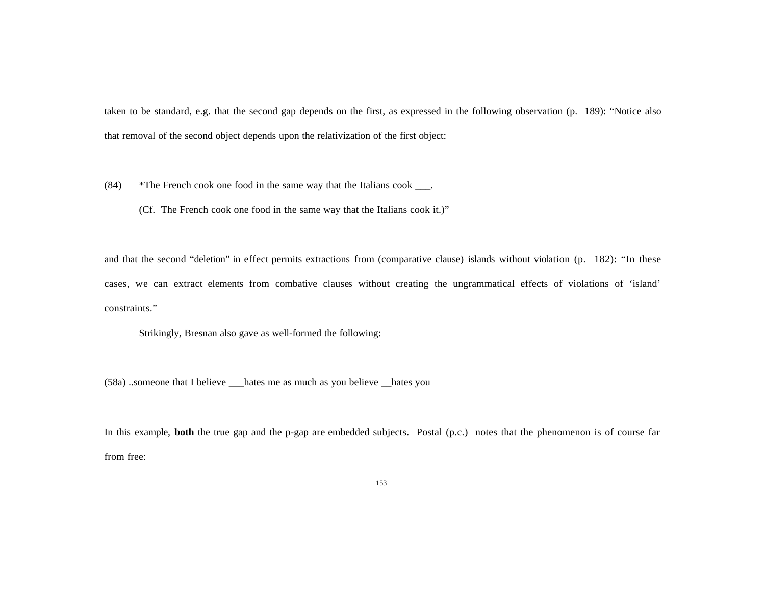taken to be standard, e.g. that the second gap depends on the first, as expressed in the following observation (p. 189): "Notice also that removal of the second object depends upon the relativization of the first object:

(84) \*The French cook one food in the same way that the Italians cook \_\_\_.

(Cf. The French cook one food in the same way that the Italians cook it.)"

and that the second "deletion" in effect permits extractions from (comparative clause) islands without violation (p. 182): "In these cases, we can extract elements from combative clauses without creating the ungrammatical effects of violations of 'island' constraints."

Strikingly, Bresnan also gave as well-formed the following:

(58a) ..someone that I believe \_\_\_hates me as much as you believe \_\_hates you

In this example, **both** the true gap and the p-gap are embedded subjects. Postal (p.c.) notes that the phenomenon is of course far from free: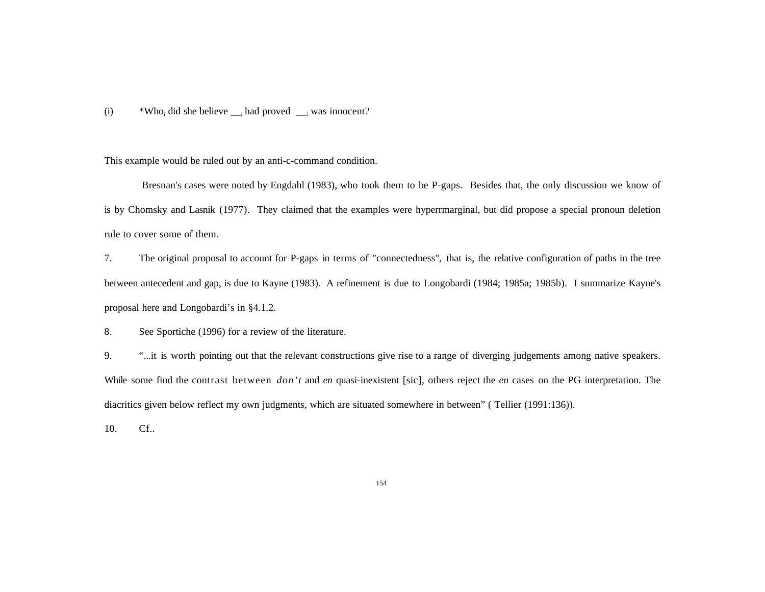## (i)  $*Who_i$  did she believe  $\Box_i$  had proved  $\Box_i$  was innocent?

This example would be ruled out by an anti-c-command condition.

 Bresnan's cases were noted by Engdahl (1983), who took them to be P-gaps. Besides that, the only discussion we know of is by Chomsky and Lasnik (1977). They claimed that the examples were hyperrmarginal, but did propose a special pronoun deletion rule to cover some of them.

7. The original proposal to account for P-gaps in terms of "connectedness", that is, the relative configuration of paths in the tree between antecedent and gap, is due to Kayne (1983). A refinement is due to Longobardi (1984; 1985a; 1985b). I summarize Kayne's proposal here and Longobardi's in §4.1.2.

8. See Sportiche (1996) for a review of the literature.

9. "...it is worth pointing out that the relevant constructions give rise to a range of diverging judgements among native speakers. While some find the contrast between *don't* and *en* quasi-inexistent [sic], others reject the *en* cases on the PG interpretation. The diacritics given below reflect my own judgments, which are situated somewhere in between" ( Tellier (1991:136)).

10. Cf..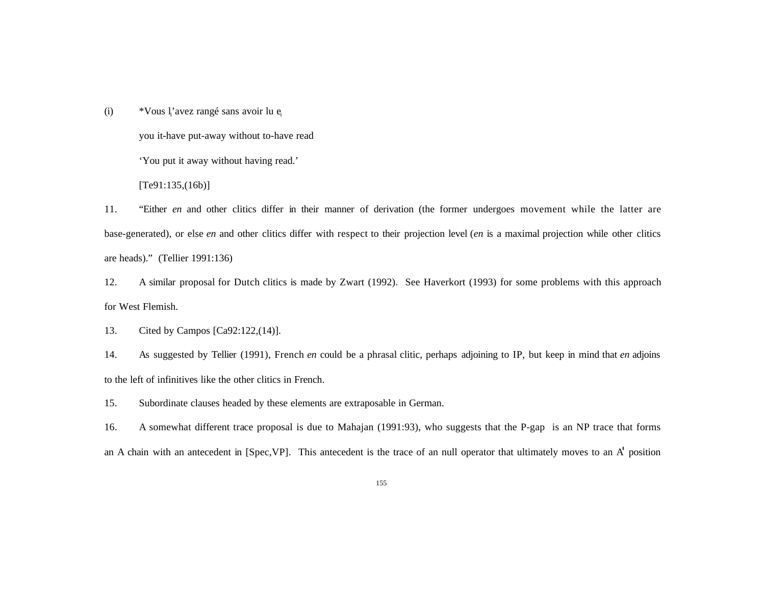(i)  $*$  Vous l'avez rangé sans avoir lu e<sub>i</sub>

you it-have put-away without to-have read

'You put it away without having read.'

 $[Te91:135,(16b)]$ 

11. "Either *en* and other clitics differ in their manner of derivation (the former undergoes movement while the latter are base-generated), or else *en* and other clitics differ with respect to their projection level (*en* is a maximal projection while other clitics are heads)." (Tellier 1991:136)

12. A similar proposal for Dutch clitics is made by Zwart (1992). See Haverkort (1993) for some problems with this approach for West Flemish.

13. Cited by Campos [Ca92:122,(14)].

14. As suggested by Tellier (1991), French *en* could be a phrasal clitic, perhaps adjoining to IP, but keep in mind that *en* adjoins to the left of infinitives like the other clitics in French.

15. Subordinate clauses headed by these elements are extraposable in German.

16. A somewhat different trace proposal is due to Mahajan (1991:93), who suggests that the P-gap is an NP trace that forms an A chain with an antecedent in [Spec,VP]. This antecedent is the trace of an null operator that ultimately moves to an A' position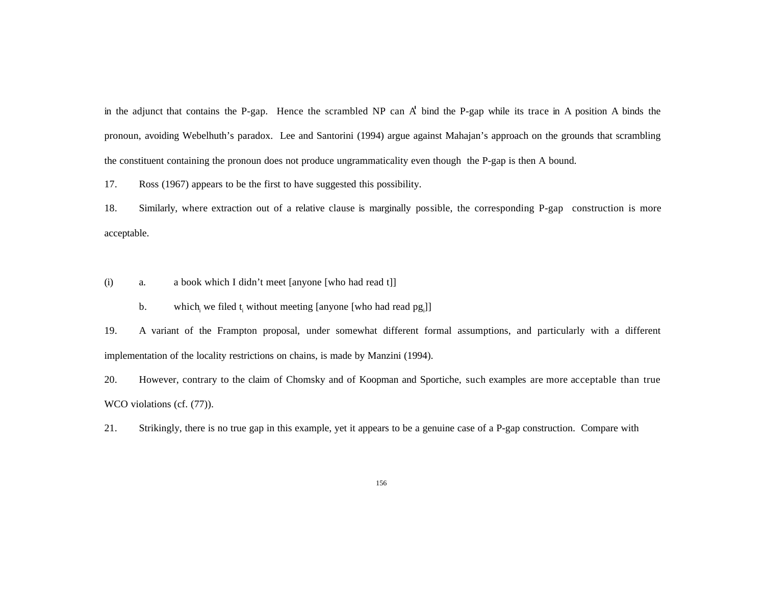in the adjunct that contains the P-gap. Hence the scrambled NP can A' bind the P-gap while its trace in A position A binds the pronoun, avoiding Webelhuth's paradox. Lee and Santorini (1994) argue against Mahajan's approach on the grounds that scrambling the constituent containing the pronoun does not produce ungrammaticality even though the P-gap is then A bound.

17. Ross (1967) appears to be the first to have suggested this possibility.

18. Similarly, where extraction out of a relative clause is marginally possible, the corresponding P-gap construction is more acceptable.

- (i) a. a book which I didn't meet [anyone [who had read t]]
	- b. which we filed  $t_i$  without meeting [anyone [who had read  $pg_i$ ]]

19. A variant of the Frampton proposal, under somewhat different formal assumptions, and particularly with a different implementation of the locality restrictions on chains, is made by Manzini (1994).

20. However, contrary to the claim of Chomsky and of Koopman and Sportiche, such examples are more acceptable than true WCO violations (cf.  $(77)$ ).

21. Strikingly, there is no true gap in this example, yet it appears to be a genuine case of a P-gap construction. Compare with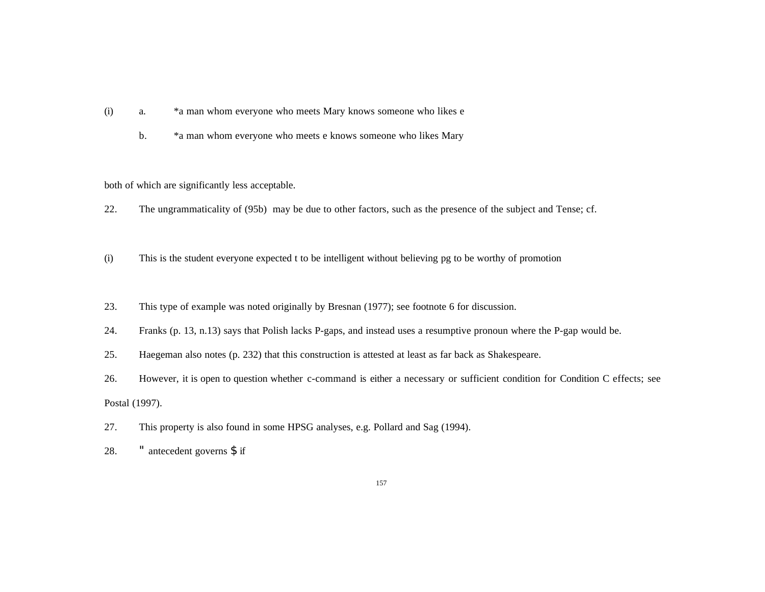- (i) a. \*a man whom everyone who meets Mary knows someone who likes e
	- b. \*a man whom everyone who meets e knows someone who likes Mary

both of which are significantly less acceptable.

- 22. The ungrammaticality of (95b) may be due to other factors, such as the presence of the subject and Tense; cf.
- (i) This is the student everyone expected t to be intelligent without believing pg to be worthy of promotion
- 23. This type of example was noted originally by Bresnan (1977); see footnote 6 for discussion.
- 24. Franks (p. 13, n.13) says that Polish lacks P-gaps, and instead uses a resumptive pronoun where the P-gap would be.
- 25. Haegeman also notes (p. 232) that this construction is attested at least as far back as Shakespeare.
- 26. However, it is open to question whether c-command is either a necessary or sufficient condition for Condition C effects; see Postal (1997).
- 27. This property is also found in some HPSG analyses, e.g. Pollard and Sag (1994).
- 28. " antecedent governs \$ if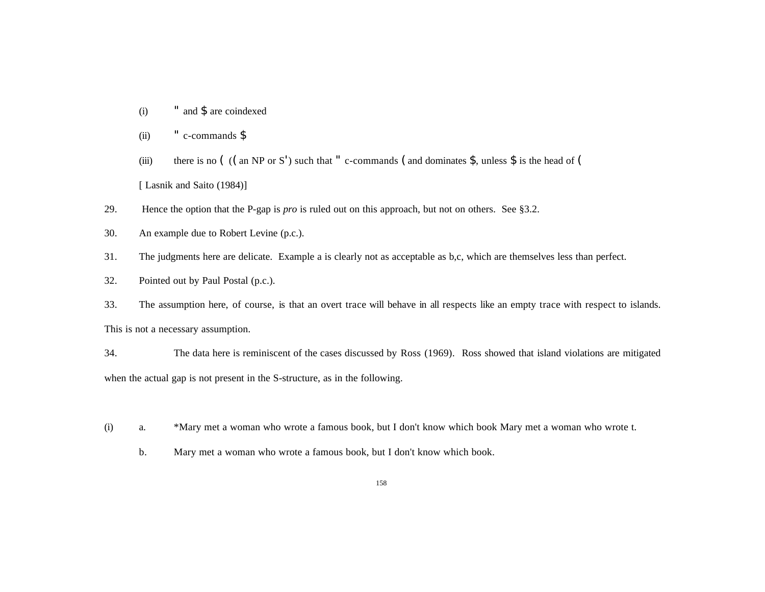- (i) " and \$ are coindexed
- (ii)  $\cdot$   $\cdot$  c-commands  $\frac{1}{2}$
- (iii) there is no  $($  ((an NP or S') such that " c-commands (and dominates \$, unless \$ is the head of ( [ Lasnik and Saito (1984)]
- 29. Hence the option that the P-gap is *pro* is ruled out on this approach, but not on others. See §3.2.
- 30. An example due to Robert Levine (p.c.).
- 31. The judgments here are delicate. Example a is clearly not as acceptable as b,c, which are themselves less than perfect.
- 32. Pointed out by Paul Postal (p.c.).

33. The assumption here, of course, is that an overt trace will behave in all respects like an empty trace with respect to islands. This is not a necessary assumption.

34. The data here is reminiscent of the cases discussed by Ross (1969). Ross showed that island violations are mitigated when the actual gap is not present in the S-structure, as in the following.

- (i) a. \*Mary met a woman who wrote a famous book, but I don't know which book Mary met a woman who wrote t.
	- b. Mary met a woman who wrote a famous book, but I don't know which book.